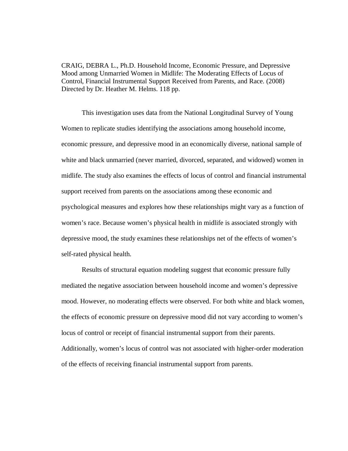CRAIG, DEBRA L., Ph.D. Household Income, Economic Pressure, and Depressive Mood among Unmarried Women in Midlife: The Moderating Effects of Locus of Control, Financial Instrumental Support Received from Parents, and Race. (2008) Directed by Dr. Heather M. Helms. 118 pp.

This investigation uses data from the National Longitudinal Survey of Young Women to replicate studies identifying the associations among household income, economic pressure, and depressive mood in an economically diverse, national sample of white and black unmarried (never married, divorced, separated, and widowed) women in midlife. The study also examines the effects of locus of control and financial instrumental support received from parents on the associations among these economic and psychological measures and explores how these relationships might vary as a function of women's race. Because women's physical health in midlife is associated strongly with depressive mood, the study examines these relationships net of the effects of women's self-rated physical health.

Results of structural equation modeling suggest that economic pressure fully mediated the negative association between household income and women's depressive mood. However, no moderating effects were observed. For both white and black women, the effects of economic pressure on depressive mood did not vary according to women's locus of control or receipt of financial instrumental support from their parents. Additionally, women's locus of control was not associated with higher-order moderation of the effects of receiving financial instrumental support from parents.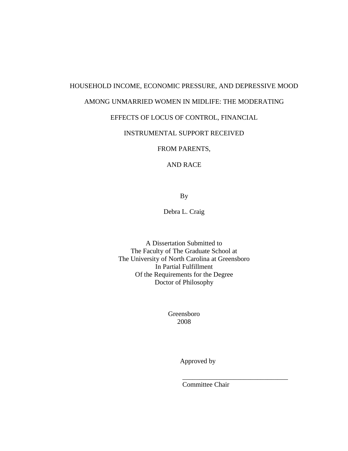# HOUSEHOLD INCOME, ECONOMIC PRESSURE, AND DEPRESSIVE MOOD

## AMONG UNMARRIED WOMEN IN MIDLIFE: THE MODERATING

## EFFECTS OF LOCUS OF CONTROL, FINANCIAL

## INSTRUMENTAL SUPPORT RECEIVED

FROM PARENTS,

### AND RACE

By

Debra L. Craig

A Dissertation Submitted to The Faculty of The Graduate School at The University of North Carolina at Greensboro In Partial Fulfillment Of the Requirements for the Degree Doctor of Philosophy

> Greensboro 2008

> > Approved by

Committee Chair

\_\_\_\_\_\_\_\_\_\_\_\_\_\_\_\_\_\_\_\_\_\_\_\_\_\_\_\_\_\_\_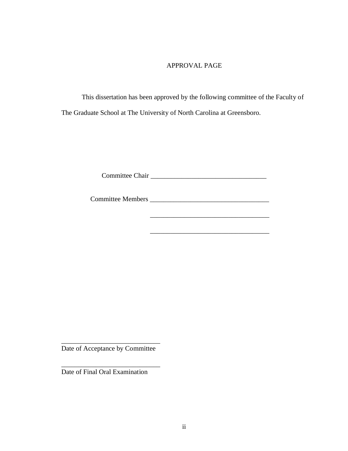## APPROVAL PAGE

This dissertation has been approved by the following committee of the Faculty of The Graduate School at The University of North Carolina at Greensboro.

Committee Chair

Committee Members \_\_\_\_\_\_\_\_\_\_\_\_\_\_\_\_\_\_\_\_\_\_\_\_\_\_\_\_\_\_\_\_\_\_\_

\_\_\_\_\_\_\_\_\_\_\_\_\_\_\_\_\_\_\_\_\_\_\_\_\_\_\_\_\_\_\_\_\_\_\_

\_\_\_\_\_\_\_\_\_\_\_\_\_\_\_\_\_\_\_\_\_\_\_\_\_\_\_\_\_\_\_\_\_\_\_

\_\_\_\_\_\_\_\_\_\_\_\_\_\_\_\_\_\_\_\_\_\_\_\_\_\_\_\_\_ Date of Acceptance by Committee

\_\_\_\_\_\_\_\_\_\_\_\_\_\_\_\_\_\_\_\_\_\_\_\_\_\_\_\_\_

Date of Final Oral Examination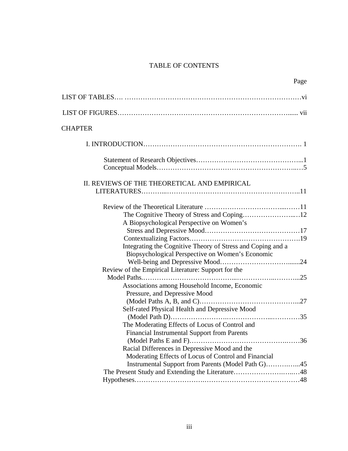# TABLE OF CONTENTS

| Page                                                                                                                                                                                                                |
|---------------------------------------------------------------------------------------------------------------------------------------------------------------------------------------------------------------------|
|                                                                                                                                                                                                                     |
|                                                                                                                                                                                                                     |
| <b>CHAPTER</b>                                                                                                                                                                                                      |
|                                                                                                                                                                                                                     |
|                                                                                                                                                                                                                     |
| II. REVIEWS OF THE THEORETICAL AND EMPIRICAL                                                                                                                                                                        |
| A Biopsychological Perspective on Women's<br>Integrating the Cognitive Theory of Stress and Coping and a<br>Biopsychological Perspective on Women's Economic<br>Review of the Empirical Literature: Support for the |
| Associations among Household Income, Economic<br>Pressure, and Depressive Mood<br>Self-rated Physical Health and Depressive Mood<br>The Moderating Effects of Locus of Control and                                  |
| <b>Financial Instrumental Support from Parents</b><br>Racial Differences in Depressive Mood and the<br>Moderating Effects of Locus of Control and Financial                                                         |
|                                                                                                                                                                                                                     |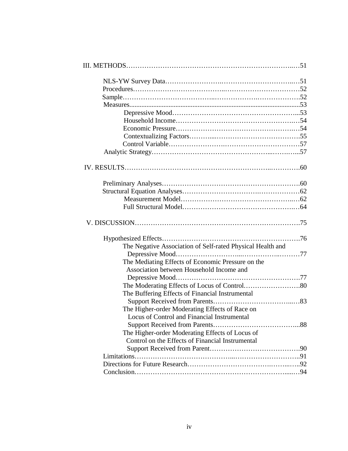| The Negative Association of Self-rated Physical Health and |  |
|------------------------------------------------------------|--|
|                                                            |  |
| The Mediating Effects of Economic Pressure on the          |  |
| Association between Household Income and                   |  |
|                                                            |  |
|                                                            |  |
| The Buffering Effects of Financial Instrumental            |  |
|                                                            |  |
| The Higher-order Moderating Effects of Race on             |  |
| Locus of Control and Financial Instrumental                |  |
|                                                            |  |
| The Higher-order Moderating Effects of Locus of            |  |
| Control on the Effects of Financial Instrumental           |  |
|                                                            |  |
|                                                            |  |
|                                                            |  |
|                                                            |  |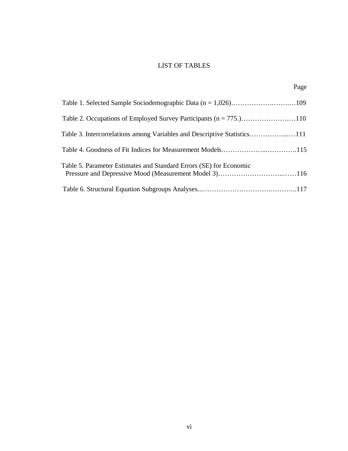# LIST OF TABLES

| Table 5. Parameter Estimates and Standard Errors (SE) for Economic |  |
|--------------------------------------------------------------------|--|
|                                                                    |  |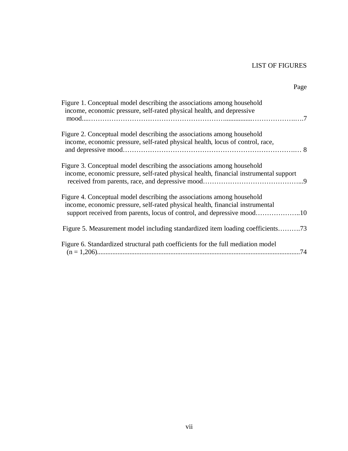# LIST OF FIGURES

Page

| Figure 1. Conceptual model describing the associations among household<br>income, economic pressure, self-rated physical health, and depressive                                                                                   |
|-----------------------------------------------------------------------------------------------------------------------------------------------------------------------------------------------------------------------------------|
| Figure 2. Conceptual model describing the associations among household<br>income, economic pressure, self-rated physical health, locus of control, race,                                                                          |
| Figure 3. Conceptual model describing the associations among household<br>income, economic pressure, self-rated physical health, financial instrumental support                                                                   |
| Figure 4. Conceptual model describing the associations among household<br>income, economic pressure, self-rated physical health, financial instrumental<br>support received from parents, locus of control, and depressive mood10 |
| Figure 5. Measurement model including standardized item loading coefficients73                                                                                                                                                    |
| Figure 6. Standardized structural path coefficients for the full mediation model                                                                                                                                                  |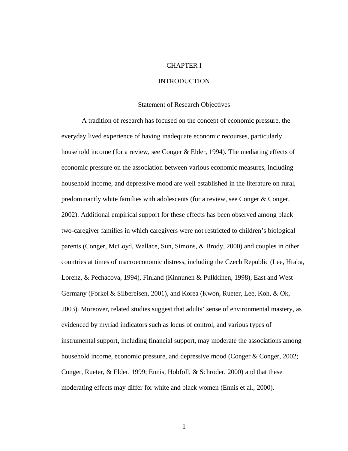## CHAPTER I

#### INTRODUCTION

#### Statement of Research Objectives

A tradition of research has focused on the concept of economic pressure, the everyday lived experience of having inadequate economic recourses, particularly household income (for a review, see Conger & Elder, 1994). The mediating effects of economic pressure on the association between various economic measures, including household income, and depressive mood are well established in the literature on rural, predominantly white families with adolescents (for a review, see Conger & Conger, 2002). Additional empirical support for these effects has been observed among black two-caregiver families in which caregivers were not restricted to children's biological parents (Conger, McLoyd, Wallace, Sun, Simons, & Brody, 2000) and couples in other countries at times of macroeconomic distress, including the Czech Republic (Lee, Hraba, Lorenz, & Pechacova, 1994), Finland (Kinnunen & Pulkkinen, 1998), East and West Germany (Forkel & Silbereisen, 2001), and Korea (Kwon, Rueter, Lee, Koh, & Ok, 2003). Moreover, related studies suggest that adults' sense of environmental mastery, as evidenced by myriad indicators such as locus of control, and various types of instrumental support, including financial support, may moderate the associations among household income, economic pressure, and depressive mood (Conger & Conger, 2002; Conger, Rueter, & Elder, 1999; Ennis, Hobfoll, & Schroder, 2000) and that these moderating effects may differ for white and black women (Ennis et al., 2000).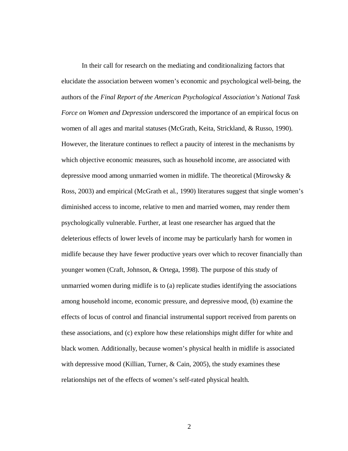In their call for research on the mediating and conditionalizing factors that elucidate the association between women's economic and psychological well-being, the authors of the *Final Report of the American Psychological Association's National Task Force on Women and Depression* underscored the importance of an empirical focus on women of all ages and marital statuses (McGrath, Keita, Strickland, & Russo, 1990). However, the literature continues to reflect a paucity of interest in the mechanisms by which objective economic measures, such as household income, are associated with depressive mood among unmarried women in midlife. The theoretical (Mirowsky & Ross, 2003) and empirical (McGrath et al., 1990) literatures suggest that single women's diminished access to income, relative to men and married women, may render them psychologically vulnerable. Further, at least one researcher has argued that the deleterious effects of lower levels of income may be particularly harsh for women in midlife because they have fewer productive years over which to recover financially than younger women (Craft, Johnson, & Ortega, 1998). The purpose of this study of unmarried women during midlife is to (a) replicate studies identifying the associations among household income, economic pressure, and depressive mood, (b) examine the effects of locus of control and financial instrumental support received from parents on these associations, and (c) explore how these relationships might differ for white and black women. Additionally, because women's physical health in midlife is associated with depressive mood (Killian, Turner, & Cain, 2005), the study examines these relationships net of the effects of women's self-rated physical health.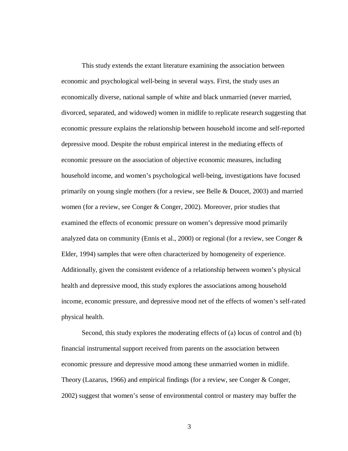This study extends the extant literature examining the association between economic and psychological well-being in several ways. First, the study uses an economically diverse, national sample of white and black unmarried (never married, divorced, separated, and widowed) women in midlife to replicate research suggesting that economic pressure explains the relationship between household income and self-reported depressive mood. Despite the robust empirical interest in the mediating effects of economic pressure on the association of objective economic measures, including household income, and women's psychological well-being, investigations have focused primarily on young single mothers (for a review, see Belle & Doucet, 2003) and married women (for a review, see Conger & Conger, 2002). Moreover, prior studies that examined the effects of economic pressure on women's depressive mood primarily analyzed data on community (Ennis et al., 2000) or regional (for a review, see Conger  $\&$ Elder, 1994) samples that were often characterized by homogeneity of experience. Additionally, given the consistent evidence of a relationship between women's physical health and depressive mood, this study explores the associations among household income, economic pressure, and depressive mood net of the effects of women's self-rated physical health.

Second, this study explores the moderating effects of (a) locus of control and (b) financial instrumental support received from parents on the association between economic pressure and depressive mood among these unmarried women in midlife. Theory (Lazarus, 1966) and empirical findings (for a review, see Conger & Conger, 2002) suggest that women's sense of environmental control or mastery may buffer the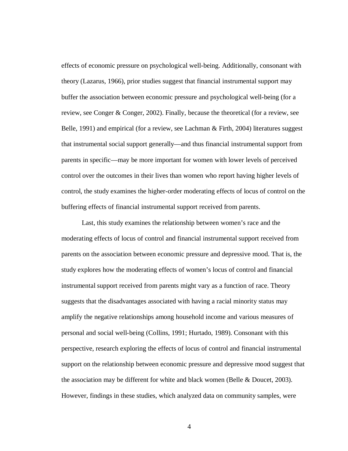effects of economic pressure on psychological well-being. Additionally, consonant with theory (Lazarus, 1966), prior studies suggest that financial instrumental support may buffer the association between economic pressure and psychological well-being (for a review, see Conger & Conger, 2002). Finally, because the theoretical (for a review, see Belle, 1991) and empirical (for a review, see Lachman & Firth, 2004) literatures suggest that instrumental social support generally—and thus financial instrumental support from parents in specific—may be more important for women with lower levels of perceived control over the outcomes in their lives than women who report having higher levels of control, the study examines the higher-order moderating effects of locus of control on the buffering effects of financial instrumental support received from parents.

Last, this study examines the relationship between women's race and the moderating effects of locus of control and financial instrumental support received from parents on the association between economic pressure and depressive mood. That is, the study explores how the moderating effects of women's locus of control and financial instrumental support received from parents might vary as a function of race. Theory suggests that the disadvantages associated with having a racial minority status may amplify the negative relationships among household income and various measures of personal and social well-being (Collins, 1991; Hurtado, 1989). Consonant with this perspective, research exploring the effects of locus of control and financial instrumental support on the relationship between economic pressure and depressive mood suggest that the association may be different for white and black women (Belle & Doucet, 2003). However, findings in these studies, which analyzed data on community samples, were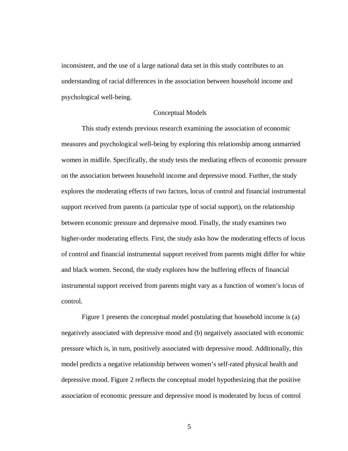inconsistent, and the use of a large national data set in this study contributes to an understanding of racial differences in the association between household income and psychological well-being.

#### Conceptual Models

This study extends previous research examining the association of economic measures and psychological well-being by exploring this relationship among unmarried women in midlife. Specifically, the study tests the mediating effects of economic pressure on the association between household income and depressive mood. Further, the study explores the moderating effects of two factors, locus of control and financial instrumental support received from parents (a particular type of social support), on the relationship between economic pressure and depressive mood. Finally, the study examines two higher-order moderating effects. First, the study asks how the moderating effects of locus of control and financial instrumental support received from parents might differ for white and black women. Second, the study explores how the buffering effects of financial instrumental support received from parents might vary as a function of women's locus of control.

Figure 1 presents the conceptual model postulating that household income is (a) negatively associated with depressive mood and (b) negatively associated with economic pressure which is, in turn, positively associated with depressive mood. Additionally, this model predicts a negative relationship between women's self-rated physical health and depressive mood. Figure 2 reflects the conceptual model hypothesizing that the positive association of economic pressure and depressive mood is moderated by locus of control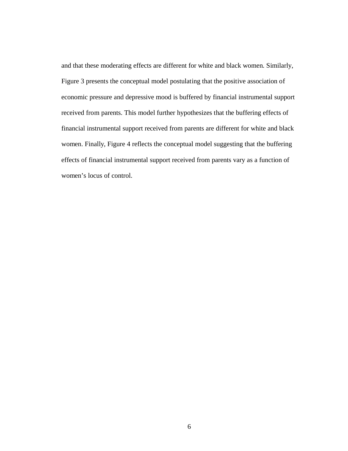and that these moderating effects are different for white and black women. Similarly, Figure 3 presents the conceptual model postulating that the positive association of economic pressure and depressive mood is buffered by financial instrumental support received from parents. This model further hypothesizes that the buffering effects of financial instrumental support received from parents are different for white and black women. Finally, Figure 4 reflects the conceptual model suggesting that the buffering effects of financial instrumental support received from parents vary as a function of women's locus of control.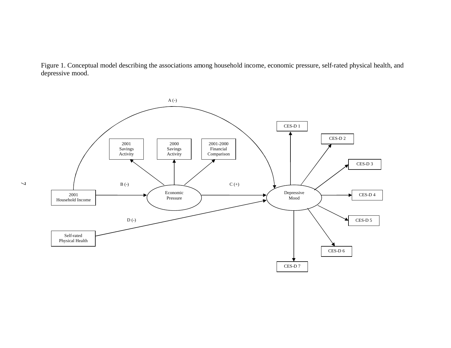Figure 1. Conceptual model describing the associations among household income, economic pressure, self-rated physical health, and depressive mood.

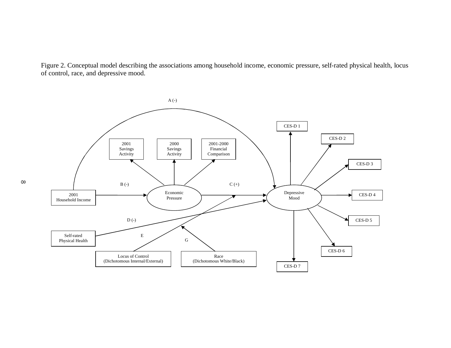Figure 2. Conceptual model describing the associations among household income, economic pressure, self-rated physical health, locus of control, race, and depressive mood.

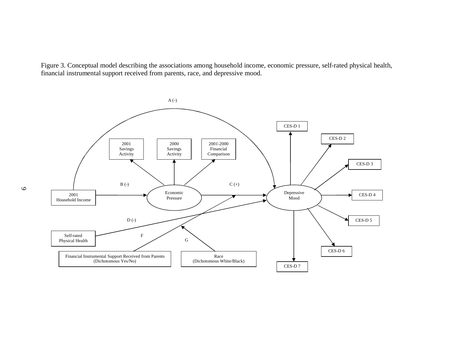Figure 3. Conceptual model describing the associations among household income, economic pressure, self-rated physical health, financial instrumental support received from parents, race, and depressive mood.

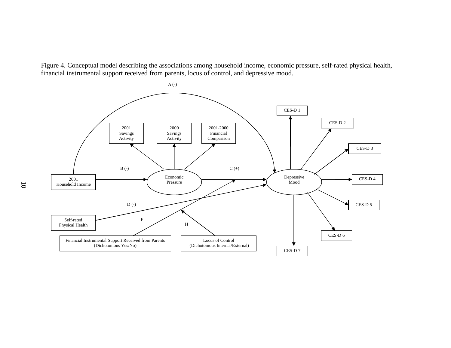Figure 4. Conceptual model describing the associations among household income, economic pressure, self-rated physical health, financial instrumental support received from parents, locus of control, and depressive mood.

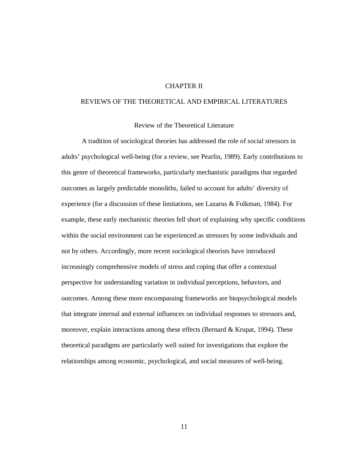#### CHAPTER II

### REVIEWS OF THE THEORETICAL AND EMPIRICAL LITERATURES

#### Review of the Theoretical Literature

A tradition of sociological theories has addressed the role of social stressors in adults' psychological well-being (for a review, see Pearlin, 1989). Early contributions to this genre of theoretical frameworks, particularly mechanistic paradigms that regarded outcomes as largely predictable monoliths, failed to account for adults' diversity of experience (for a discussion of these limitations, see Lazarus & Folkman, 1984). For example, these early mechanistic theories fell short of explaining why specific conditions within the social environment can be experienced as stressors by some individuals and not by others. Accordingly, more recent sociological theorists have introduced increasingly comprehensive models of stress and coping that offer a contextual perspective for understanding variation in individual perceptions, behaviors, and outcomes. Among these more encompassing frameworks are biopsychological models that integrate internal and external influences on individual responses to stressors and, moreover, explain interactions among these effects (Bernard & Krupat, 1994). These theoretical paradigms are particularly well suited for investigations that explore the relationships among economic, psychological, and social measures of well-being.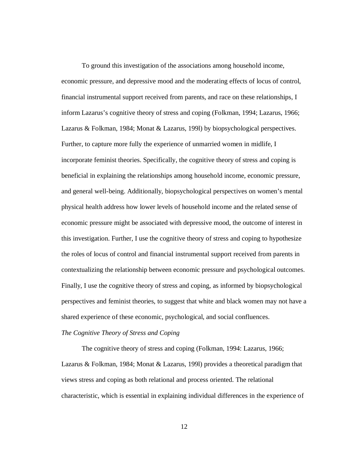To ground this investigation of the associations among household income, economic pressure, and depressive mood and the moderating effects of locus of control, financial instrumental support received from parents, and race on these relationships, I inform Lazarus's cognitive theory of stress and coping (Folkman, 1994; Lazarus, 1966; Lazarus & Folkman, 1984; Monat & Lazarus, 199l) by biopsychological perspectives. Further, to capture more fully the experience of unmarried women in midlife, I incorporate feminist theories. Specifically, the cognitive theory of stress and coping is beneficial in explaining the relationships among household income, economic pressure, and general well-being. Additionally, biopsychological perspectives on women's mental physical health address how lower levels of household income and the related sense of economic pressure might be associated with depressive mood, the outcome of interest in this investigation. Further, I use the cognitive theory of stress and coping to hypothesize the roles of locus of control and financial instrumental support received from parents in contextualizing the relationship between economic pressure and psychological outcomes. Finally, I use the cognitive theory of stress and coping, as informed by biopsychological perspectives and feminist theories, to suggest that white and black women may not have a shared experience of these economic, psychological, and social confluences.

#### *The Cognitive Theory of Stress and Coping*

The cognitive theory of stress and coping (Folkman, 1994: Lazarus, 1966; Lazarus & Folkman, 1984; Monat & Lazarus, 199l) provides a theoretical paradigm that views stress and coping as both relational and process oriented. The relational characteristic, which is essential in explaining individual differences in the experience of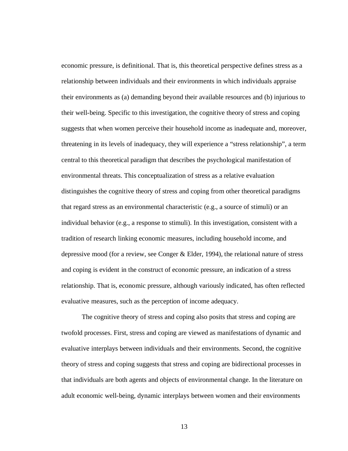economic pressure, is definitional. That is, this theoretical perspective defines stress as a relationship between individuals and their environments in which individuals appraise their environments as (a) demanding beyond their available resources and (b) injurious to their well-being. Specific to this investigation, the cognitive theory of stress and coping suggests that when women perceive their household income as inadequate and, moreover, threatening in its levels of inadequacy, they will experience a "stress relationship", a term central to this theoretical paradigm that describes the psychological manifestation of environmental threats. This conceptualization of stress as a relative evaluation distinguishes the cognitive theory of stress and coping from other theoretical paradigms that regard stress as an environmental characteristic (e.g., a source of stimuli) or an individual behavior (e.g., a response to stimuli). In this investigation, consistent with a tradition of research linking economic measures, including household income, and depressive mood (for a review, see Conger & Elder, 1994), the relational nature of stress and coping is evident in the construct of economic pressure, an indication of a stress relationship. That is, economic pressure, although variously indicated, has often reflected evaluative measures, such as the perception of income adequacy.

The cognitive theory of stress and coping also posits that stress and coping are twofold processes. First, stress and coping are viewed as manifestations of dynamic and evaluative interplays between individuals and their environments. Second, the cognitive theory of stress and coping suggests that stress and coping are bidirectional processes in that individuals are both agents and objects of environmental change. In the literature on adult economic well-being, dynamic interplays between women and their environments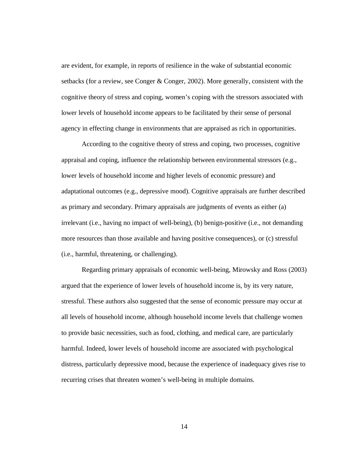are evident, for example, in reports of resilience in the wake of substantial economic setbacks (for a review, see Conger & Conger, 2002). More generally, consistent with the cognitive theory of stress and coping, women's coping with the stressors associated with lower levels of household income appears to be facilitated by their sense of personal agency in effecting change in environments that are appraised as rich in opportunities.

According to the cognitive theory of stress and coping, two processes, cognitive appraisal and coping, influence the relationship between environmental stressors (e.g., lower levels of household income and higher levels of economic pressure) and adaptational outcomes (e.g., depressive mood). Cognitive appraisals are further described as primary and secondary. Primary appraisals are judgments of events as either (a) irrelevant (i.e., having no impact of well-being), (b) benign-positive (i.e., not demanding more resources than those available and having positive consequences), or (c) stressful (i.e., harmful, threatening, or challenging).

Regarding primary appraisals of economic well-being, Mirowsky and Ross (2003) argued that the experience of lower levels of household income is, by its very nature, stressful. These authors also suggested that the sense of economic pressure may occur at all levels of household income, although household income levels that challenge women to provide basic necessities, such as food, clothing, and medical care, are particularly harmful. Indeed, lower levels of household income are associated with psychological distress, particularly depressive mood, because the experience of inadequacy gives rise to recurring crises that threaten women's well-being in multiple domains.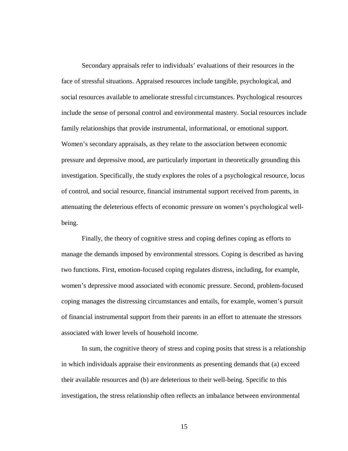Secondary appraisals refer to individuals' evaluations of their resources in the face of stressful situations. Appraised resources include tangible, psychological, and social resources available to ameliorate stressful circumstances. Psychological resources include the sense of personal control and environmental mastery. Social resources include family relationships that provide instrumental, informational, or emotional support. Women's secondary appraisals, as they relate to the association between economic pressure and depressive mood, are particularly important in theoretically grounding this investigation. Specifically, the study explores the roles of a psychological resource, locus of control, and social resource, financial instrumental support received from parents, in attenuating the deleterious effects of economic pressure on women's psychological wellbeing.

Finally, the theory of cognitive stress and coping defines coping as efforts to manage the demands imposed by environmental stressors. Coping is described as having two functions. First, emotion-focused coping regulates distress, including, for example, women's depressive mood associated with economic pressure. Second, problem-focused coping manages the distressing circumstances and entails, for example, women's pursuit of financial instrumental support from their parents in an effort to attenuate the stressors associated with lower levels of household income.

In sum, the cognitive theory of stress and coping posits that stress is a relationship in which individuals appraise their environments as presenting demands that (a) exceed their available resources and (b) are deleterious to their well-being. Specific to this investigation, the stress relationship often reflects an imbalance between environmental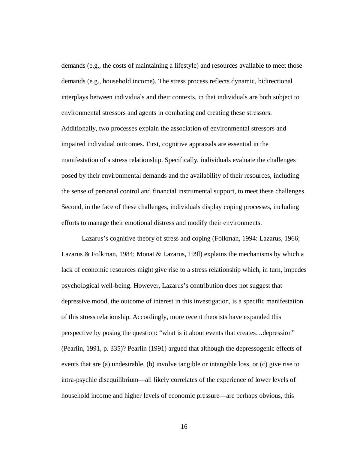demands (e.g., the costs of maintaining a lifestyle) and resources available to meet those demands (e.g., household income). The stress process reflects dynamic, bidirectional interplays between individuals and their contexts, in that individuals are both subject to environmental stressors and agents in combating and creating these stressors. Additionally, two processes explain the association of environmental stressors and impaired individual outcomes. First, cognitive appraisals are essential in the manifestation of a stress relationship. Specifically, individuals evaluate the challenges posed by their environmental demands and the availability of their resources, including the sense of personal control and financial instrumental support, to meet these challenges. Second, in the face of these challenges, individuals display coping processes, including efforts to manage their emotional distress and modify their environments.

Lazarus's cognitive theory of stress and coping (Folkman, 1994: Lazarus, 1966; Lazarus & Folkman, 1984; Monat & Lazarus, 199l) explains the mechanisms by which a lack of economic resources might give rise to a stress relationship which, in turn, impedes psychological well-being. However, Lazarus's contribution does not suggest that depressive mood, the outcome of interest in this investigation, is a specific manifestation of this stress relationship. Accordingly, more recent theorists have expanded this perspective by posing the question: "what is it about events that creates…depression" (Pearlin, 1991, p. 335)? Pearlin (1991) argued that although the depressogenic effects of events that are (a) undesirable, (b) involve tangible or intangible loss, or (c) give rise to intra-psychic disequilibrium—all likely correlates of the experience of lower levels of household income and higher levels of economic pressure—are perhaps obvious, this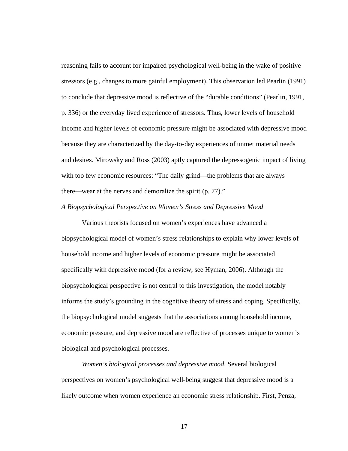reasoning fails to account for impaired psychological well-being in the wake of positive stressors (e.g., changes to more gainful employment). This observation led Pearlin (1991) to conclude that depressive mood is reflective of the "durable conditions" (Pearlin, 1991, p. 336) or the everyday lived experience of stressors. Thus, lower levels of household income and higher levels of economic pressure might be associated with depressive mood because they are characterized by the day-to-day experiences of unmet material needs and desires. Mirowsky and Ross (2003) aptly captured the depressogenic impact of living with too few economic resources: "The daily grind—the problems that are always there—wear at the nerves and demoralize the spirit (p. 77)."

#### *A Biopsychological Perspective on Women's Stress and Depressive Mood*

Various theorists focused on women's experiences have advanced a biopsychological model of women's stress relationships to explain why lower levels of household income and higher levels of economic pressure might be associated specifically with depressive mood (for a review, see Hyman, 2006). Although the biopsychological perspective is not central to this investigation, the model notably informs the study's grounding in the cognitive theory of stress and coping. Specifically, the biopsychological model suggests that the associations among household income, economic pressure, and depressive mood are reflective of processes unique to women's biological and psychological processes.

*Women's biological processes and depressive mood*. Several biological perspectives on women's psychological well-being suggest that depressive mood is a likely outcome when women experience an economic stress relationship. First, Penza,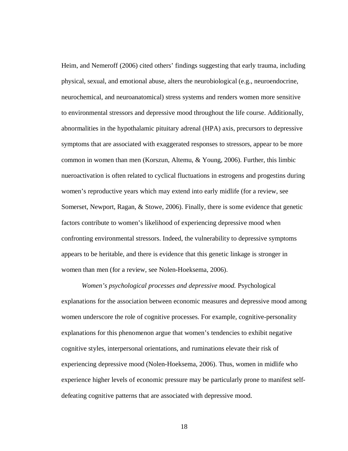Heim, and Nemeroff (2006) cited others' findings suggesting that early trauma, including physical, sexual, and emotional abuse, alters the neurobiological (e.g., neuroendocrine, neurochemical, and neuroanatomical) stress systems and renders women more sensitive to environmental stressors and depressive mood throughout the life course. Additionally, abnormalities in the hypothalamic pituitary adrenal (HPA) axis, precursors to depressive symptoms that are associated with exaggerated responses to stressors, appear to be more common in women than men (Korszun, Altemu, & Young, 2006). Further, this limbic nueroactivation is often related to cyclical fluctuations in estrogens and progestins during women's reproductive years which may extend into early midlife (for a review, see Somerset, Newport, Ragan, & Stowe, 2006). Finally, there is some evidence that genetic factors contribute to women's likelihood of experiencing depressive mood when confronting environmental stressors. Indeed, the vulnerability to depressive symptoms appears to be heritable, and there is evidence that this genetic linkage is stronger in women than men (for a review, see Nolen-Hoeksema, 2006).

*Women's psychological processes and depressive mood.* Psychological explanations for the association between economic measures and depressive mood among women underscore the role of cognitive processes. For example, cognitive-personality explanations for this phenomenon argue that women's tendencies to exhibit negative cognitive styles, interpersonal orientations, and ruminations elevate their risk of experiencing depressive mood (Nolen-Hoeksema, 2006). Thus, women in midlife who experience higher levels of economic pressure may be particularly prone to manifest selfdefeating cognitive patterns that are associated with depressive mood.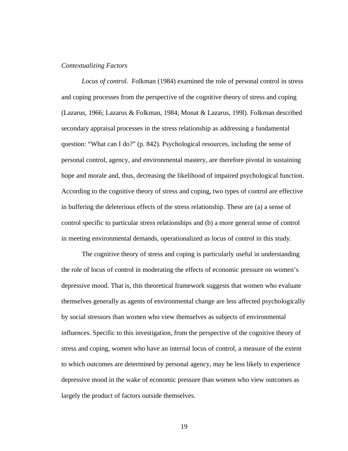#### *Contextualizing Factors*

*Locus of control.* Folkman (1984) examined the role of personal control in stress and coping processes from the perspective of the cognitive theory of stress and coping (Lazarus, 1966; Lazarus & Folkman, 1984; Monat & Lazarus, 199l). Folkman described secondary appraisal processes in the stress relationship as addressing a fundamental question: "What can I do?" (p. 842). Psychological resources, including the sense of personal control, agency, and environmental mastery, are therefore pivotal in sustaining hope and morale and, thus, decreasing the likelihood of impaired psychological function. According to the cognitive theory of stress and coping, two types of control are effective in buffering the deleterious effects of the stress relationship. These are (a) a sense of control specific to particular stress relationships and (b) a more general sense of control in meeting environmental demands, operationalized as locus of control in this study.

The cognitive theory of stress and coping is particularly useful in understanding the role of locus of control in moderating the effects of economic pressure on women's depressive mood. That is, this theoretical framework suggests that women who evaluate themselves generally as agents of environmental change are less affected psychologically by social stressors than women who view themselves as subjects of environmental influences. Specific to this investigation, from the perspective of the cognitive theory of stress and coping, women who have an internal locus of control, a measure of the extent to which outcomes are determined by personal agency, may be less likely to experience depressive mood in the wake of economic pressure than women who view outcomes as largely the product of factors outside themselves.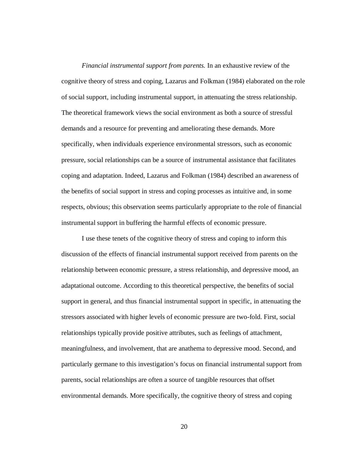*Financial instrumental support from parents.* In an exhaustive review of the cognitive theory of stress and coping, Lazarus and Folkman (1984) elaborated on the role of social support, including instrumental support, in attenuating the stress relationship. The theoretical framework views the social environment as both a source of stressful demands and a resource for preventing and ameliorating these demands. More specifically, when individuals experience environmental stressors, such as economic pressure, social relationships can be a source of instrumental assistance that facilitates coping and adaptation. Indeed, Lazarus and Folkman (1984) described an awareness of the benefits of social support in stress and coping processes as intuitive and, in some respects, obvious; this observation seems particularly appropriate to the role of financial instrumental support in buffering the harmful effects of economic pressure.

I use these tenets of the cognitive theory of stress and coping to inform this discussion of the effects of financial instrumental support received from parents on the relationship between economic pressure, a stress relationship, and depressive mood, an adaptational outcome. According to this theoretical perspective, the benefits of social support in general, and thus financial instrumental support in specific, in attenuating the stressors associated with higher levels of economic pressure are two-fold. First, social relationships typically provide positive attributes, such as feelings of attachment, meaningfulness, and involvement, that are anathema to depressive mood. Second, and particularly germane to this investigation's focus on financial instrumental support from parents, social relationships are often a source of tangible resources that offset environmental demands. More specifically, the cognitive theory of stress and coping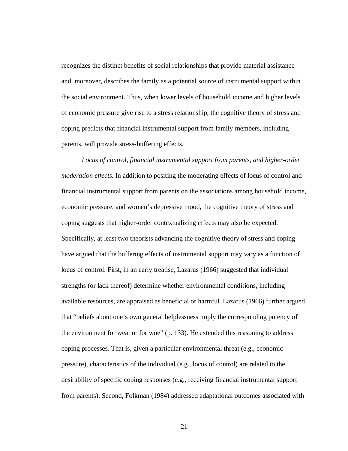recognizes the distinct benefits of social relationships that provide material assistance and, moreover, describes the family as a potential source of instrumental support within the social environment. Thus, when lower levels of household income and higher levels of economic pressure give rise to a stress relationship, the cognitive theory of stress and coping predicts that financial instrumental support from family members, including parents, will provide stress-buffering effects.

*Locus of control, financial instrumental support from parents, and higher-order moderation effects.* In addition to positing the moderating effects of locus of control and financial instrumental support from parents on the associations among household income, economic pressure, and women's depressive mood, the cognitive theory of stress and coping suggests that higher-order contextualizing effects may also be expected. Specifically, at least two theorists advancing the cognitive theory of stress and coping have argued that the buffering effects of instrumental support may vary as a function of locus of control. First, in an early treatise, Lazarus (1966) suggested that individual strengths (or lack thereof) determine whether environmental conditions, including available resources, are appraised as beneficial or harmful. Lazarus (1966) further argued that "beliefs about one's own general helplessness imply the corresponding potency of the environment for weal or for woe" (p. 133). He extended this reasoning to address coping processes. That is, given a particular environmental threat (e.g., economic pressure), characteristics of the individual (e.g., locus of control) are related to the desirability of specific coping responses (e.g., receiving financial instrumental support from parents). Second, Folkman (1984) addressed adaptational outcomes associated with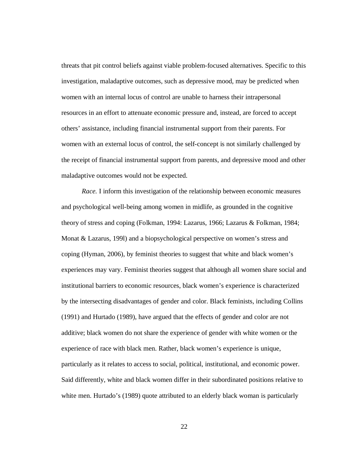threats that pit control beliefs against viable problem-focused alternatives. Specific to this investigation, maladaptive outcomes, such as depressive mood, may be predicted when women with an internal locus of control are unable to harness their intrapersonal resources in an effort to attenuate economic pressure and, instead, are forced to accept others' assistance, including financial instrumental support from their parents. For women with an external locus of control, the self-concept is not similarly challenged by the receipt of financial instrumental support from parents, and depressive mood and other maladaptive outcomes would not be expected.

*Race.* I inform this investigation of the relationship between economic measures and psychological well-being among women in midlife, as grounded in the cognitive theory of stress and coping (Folkman, 1994: Lazarus, 1966; Lazarus & Folkman, 1984; Monat & Lazarus, 199l) and a biopsychological perspective on women's stress and coping (Hyman, 2006), by feminist theories to suggest that white and black women's experiences may vary. Feminist theories suggest that although all women share social and institutional barriers to economic resources, black women's experience is characterized by the intersecting disadvantages of gender and color. Black feminists, including Collins (1991) and Hurtado (1989), have argued that the effects of gender and color are not additive; black women do not share the experience of gender with white women or the experience of race with black men. Rather, black women's experience is unique, particularly as it relates to access to social, political, institutional, and economic power. Said differently, white and black women differ in their subordinated positions relative to white men. Hurtado's (1989) quote attributed to an elderly black woman is particularly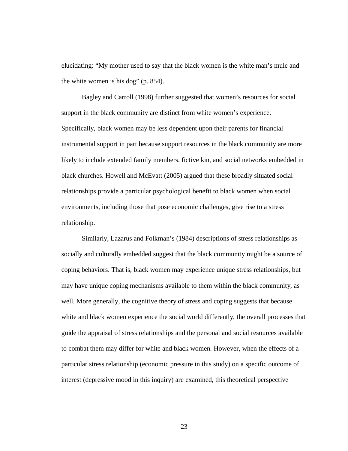elucidating: "My mother used to say that the black women is the white man's mule and the white women is his dog" (p. 854).

Bagley and Carroll (1998) further suggested that women's resources for social support in the black community are distinct from white women's experience. Specifically, black women may be less dependent upon their parents for financial instrumental support in part because support resources in the black community are more likely to include extended family members, fictive kin, and social networks embedded in black churches. Howell and McEvatt (2005) argued that these broadly situated social relationships provide a particular psychological benefit to black women when social environments, including those that pose economic challenges, give rise to a stress relationship.

Similarly, Lazarus and Folkman's (1984) descriptions of stress relationships as socially and culturally embedded suggest that the black community might be a source of coping behaviors. That is, black women may experience unique stress relationships, but may have unique coping mechanisms available to them within the black community, as well. More generally, the cognitive theory of stress and coping suggests that because white and black women experience the social world differently, the overall processes that guide the appraisal of stress relationships and the personal and social resources available to combat them may differ for white and black women. However, when the effects of a particular stress relationship (economic pressure in this study) on a specific outcome of interest (depressive mood in this inquiry) are examined, this theoretical perspective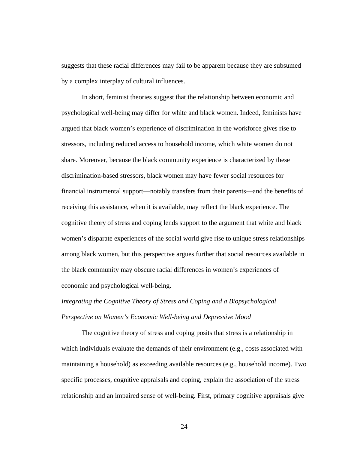suggests that these racial differences may fail to be apparent because they are subsumed by a complex interplay of cultural influences.

In short, feminist theories suggest that the relationship between economic and psychological well-being may differ for white and black women. Indeed, feminists have argued that black women's experience of discrimination in the workforce gives rise to stressors, including reduced access to household income, which white women do not share. Moreover, because the black community experience is characterized by these discrimination-based stressors, black women may have fewer social resources for financial instrumental support—notably transfers from their parents—and the benefits of receiving this assistance, when it is available, may reflect the black experience. The cognitive theory of stress and coping lends support to the argument that white and black women's disparate experiences of the social world give rise to unique stress relationships among black women, but this perspective argues further that social resources available in the black community may obscure racial differences in women's experiences of economic and psychological well-being.

*Integrating the Cognitive Theory of Stress and Coping and a Biopsychological Perspective on Women's Economic Well-being and Depressive Mood*

The cognitive theory of stress and coping posits that stress is a relationship in which individuals evaluate the demands of their environment (e.g., costs associated with maintaining a household) as exceeding available resources (e.g., household income). Two specific processes, cognitive appraisals and coping, explain the association of the stress relationship and an impaired sense of well-being. First, primary cognitive appraisals give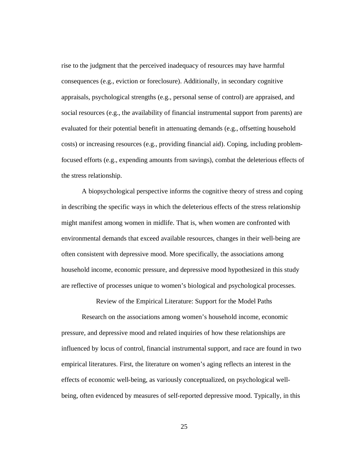rise to the judgment that the perceived inadequacy of resources may have harmful consequences (e.g., eviction or foreclosure). Additionally, in secondary cognitive appraisals, psychological strengths (e.g., personal sense of control) are appraised, and social resources (e.g., the availability of financial instrumental support from parents) are evaluated for their potential benefit in attenuating demands (e.g., offsetting household costs) or increasing resources (e.g., providing financial aid). Coping, including problemfocused efforts (e.g., expending amounts from savings), combat the deleterious effects of the stress relationship.

A biopsychological perspective informs the cognitive theory of stress and coping in describing the specific ways in which the deleterious effects of the stress relationship might manifest among women in midlife. That is, when women are confronted with environmental demands that exceed available resources, changes in their well-being are often consistent with depressive mood. More specifically, the associations among household income, economic pressure, and depressive mood hypothesized in this study are reflective of processes unique to women's biological and psychological processes.

Review of the Empirical Literature: Support for the Model Paths

Research on the associations among women's household income, economic pressure, and depressive mood and related inquiries of how these relationships are influenced by locus of control, financial instrumental support, and race are found in two empirical literatures. First, the literature on women's aging reflects an interest in the effects of economic well-being, as variously conceptualized, on psychological wellbeing, often evidenced by measures of self-reported depressive mood. Typically, in this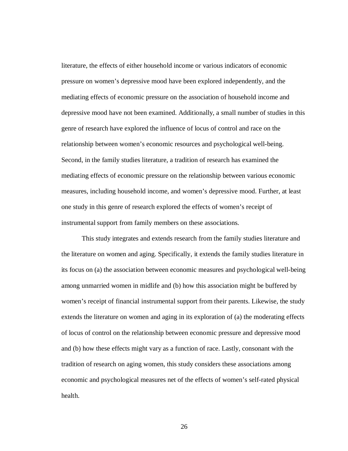literature, the effects of either household income or various indicators of economic pressure on women's depressive mood have been explored independently, and the mediating effects of economic pressure on the association of household income and depressive mood have not been examined. Additionally, a small number of studies in this genre of research have explored the influence of locus of control and race on the relationship between women's economic resources and psychological well-being. Second, in the family studies literature, a tradition of research has examined the mediating effects of economic pressure on the relationship between various economic measures, including household income, and women's depressive mood. Further, at least one study in this genre of research explored the effects of women's receipt of instrumental support from family members on these associations.

This study integrates and extends research from the family studies literature and the literature on women and aging. Specifically, it extends the family studies literature in its focus on (a) the association between economic measures and psychological well-being among unmarried women in midlife and (b) how this association might be buffered by women's receipt of financial instrumental support from their parents. Likewise, the study extends the literature on women and aging in its exploration of (a) the moderating effects of locus of control on the relationship between economic pressure and depressive mood and (b) how these effects might vary as a function of race. Lastly, consonant with the tradition of research on aging women, this study considers these associations among economic and psychological measures net of the effects of women's self-rated physical health.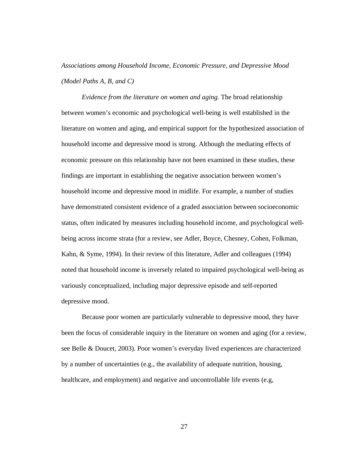*Associations among Household Income, Economic Pressure, and Depressive Mood (Model Paths A, B, and C)*

*Evidence from the literature on women and aging.* The broad relationship between women's economic and psychological well-being is well established in the literature on women and aging, and empirical support for the hypothesized association of household income and depressive mood is strong. Although the mediating effects of economic pressure on this relationship have not been examined in these studies, these findings are important in establishing the negative association between women's household income and depressive mood in midlife. For example, a number of studies have demonstrated consistent evidence of a graded association between socioeconomic status, often indicated by measures including household income, and psychological wellbeing across income strata (for a review, see Adler, Boyce, Chesney, Cohen, Folkman, Kahn, & Syme, 1994). In their review of this literature, Adler and colleagues (1994) noted that household income is inversely related to impaired psychological well-being as variously conceptualized, including major depressive episode and self-reported depressive mood.

Because poor women are particularly vulnerable to depressive mood, they have been the focus of considerable inquiry in the literature on women and aging (for a review, see Belle & Doucet, 2003). Poor women's everyday lived experiences are characterized by a number of uncertainties (e.g., the availability of adequate nutrition, housing, healthcare, and employment) and negative and uncontrollable life events (e.g,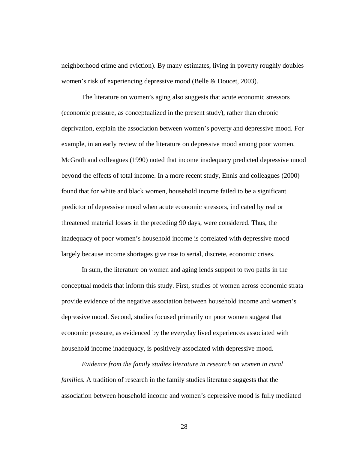neighborhood crime and eviction). By many estimates, living in poverty roughly doubles women's risk of experiencing depressive mood (Belle & Doucet, 2003).

The literature on women's aging also suggests that acute economic stressors (economic pressure, as conceptualized in the present study), rather than chronic deprivation, explain the association between women's poverty and depressive mood. For example, in an early review of the literature on depressive mood among poor women, McGrath and colleagues (1990) noted that income inadequacy predicted depressive mood beyond the effects of total income. In a more recent study, Ennis and colleagues (2000) found that for white and black women, household income failed to be a significant predictor of depressive mood when acute economic stressors, indicated by real or threatened material losses in the preceding 90 days, were considered. Thus, the inadequacy of poor women's household income is correlated with depressive mood largely because income shortages give rise to serial, discrete, economic crises.

In sum, the literature on women and aging lends support to two paths in the conceptual models that inform this study. First, studies of women across economic strata provide evidence of the negative association between household income and women's depressive mood. Second, studies focused primarily on poor women suggest that economic pressure, as evidenced by the everyday lived experiences associated with household income inadequacy, is positively associated with depressive mood.

*Evidence from the family studies literature in research on women in rural families.* A tradition of research in the family studies literature suggests that the association between household income and women's depressive mood is fully mediated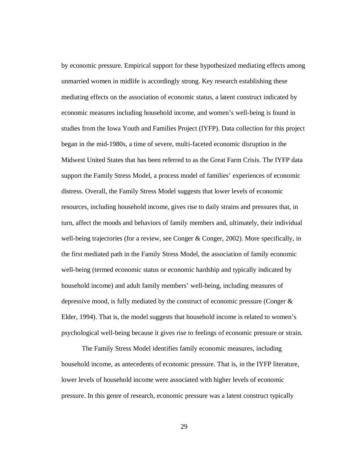by economic pressure. Empirical support for these hypothesized mediating effects among unmarried women in midlife is accordingly strong. Key research establishing these mediating effects on the association of economic status, a latent construct indicated by economic measures including household income, and women's well-being is found in studies from the Iowa Youth and Families Project (IYFP). Data collection for this project began in the mid-1980s, a time of severe, multi-faceted economic disruption in the Midwest United States that has been referred to as the Great Farm Crisis. The IYFP data support the Family Stress Model, a process model of families' experiences of economic distress. Overall, the Family Stress Model suggests that lower levels of economic resources, including household income, gives rise to daily strains and pressures that, in turn, affect the moods and behaviors of family members and, ultimately, their individual well-being trajectories (for a review, see Conger & Conger, 2002). More specifically, in the first mediated path in the Family Stress Model, the association of family economic well-being (termed economic status or economic hardship and typically indicated by household income) and adult family members' well-being, including measures of depressive mood, is fully mediated by the construct of economic pressure (Conger  $\&$ Elder, 1994). That is, the model suggests that household income is related to women's psychological well-being because it gives rise to feelings of economic pressure or strain.

The Family Stress Model identifies family economic measures, including household income, as antecedents of economic pressure. That is, in the IYFP literature, lower levels of household income were associated with higher levels of economic pressure. In this genre of research, economic pressure was a latent construct typically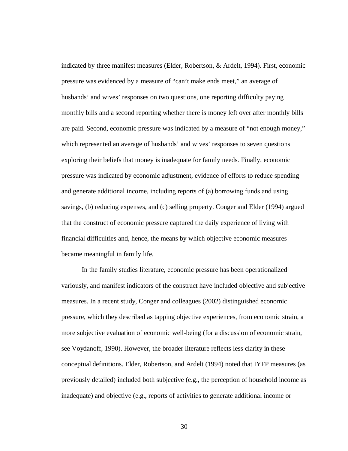indicated by three manifest measures (Elder, Robertson, & Ardelt, 1994). First, economic pressure was evidenced by a measure of "can't make ends meet," an average of husbands' and wives' responses on two questions, one reporting difficulty paying monthly bills and a second reporting whether there is money left over after monthly bills are paid. Second, economic pressure was indicated by a measure of "not enough money," which represented an average of husbands' and wives' responses to seven questions exploring their beliefs that money is inadequate for family needs. Finally, economic pressure was indicated by economic adjustment, evidence of efforts to reduce spending and generate additional income, including reports of (a) borrowing funds and using savings, (b) reducing expenses, and (c) selling property. Conger and Elder (1994) argued that the construct of economic pressure captured the daily experience of living with financial difficulties and, hence, the means by which objective economic measures became meaningful in family life.

In the family studies literature, economic pressure has been operationalized variously, and manifest indicators of the construct have included objective and subjective measures. In a recent study, Conger and colleagues (2002) distinguished economic pressure, which they described as tapping objective experiences, from economic strain, a more subjective evaluation of economic well-being (for a discussion of economic strain, see Voydanoff, 1990). However, the broader literature reflects less clarity in these conceptual definitions. Elder, Robertson, and Ardelt (1994) noted that IYFP measures (as previously detailed) included both subjective (e.g., the perception of household income as inadequate) and objective (e.g., reports of activities to generate additional income or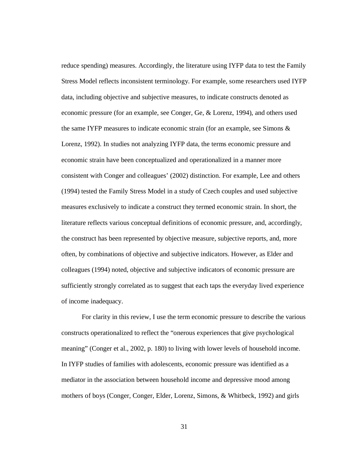reduce spending) measures. Accordingly, the literature using IYFP data to test the Family Stress Model reflects inconsistent terminology. For example, some researchers used IYFP data, including objective and subjective measures, to indicate constructs denoted as economic pressure (for an example, see Conger, Ge, & Lorenz, 1994), and others used the same IYFP measures to indicate economic strain (for an example, see Simons & Lorenz, 1992). In studies not analyzing IYFP data, the terms economic pressure and economic strain have been conceptualized and operationalized in a manner more consistent with Conger and colleagues' (2002) distinction. For example, Lee and others (1994) tested the Family Stress Model in a study of Czech couples and used subjective measures exclusively to indicate a construct they termed economic strain. In short, the literature reflects various conceptual definitions of economic pressure, and, accordingly, the construct has been represented by objective measure, subjective reports, and, more often, by combinations of objective and subjective indicators. However, as Elder and colleagues (1994) noted, objective and subjective indicators of economic pressure are sufficiently strongly correlated as to suggest that each taps the everyday lived experience of income inadequacy.

For clarity in this review, I use the term economic pressure to describe the various constructs operationalized to reflect the "onerous experiences that give psychological meaning" (Conger et al., 2002, p. 180) to living with lower levels of household income. In IYFP studies of families with adolescents, economic pressure was identified as a mediator in the association between household income and depressive mood among mothers of boys (Conger, Conger, Elder, Lorenz, Simons, & Whitbeck, 1992) and girls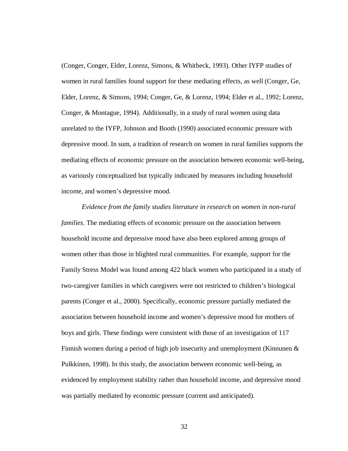(Conger, Conger, Elder, Lorenz, Simons, & Whitbeck, 1993). Other IYFP studies of women in rural families found support for these mediating effects, as well (Conger, Ge, Elder, Lorenz, & Simons, 1994; Conger, Ge, & Lorenz, 1994; Elder et al., 1992; Lorenz, Conger, & Montague, 1994). Additionally, in a study of rural women using data unrelated to the IYFP, Johnson and Booth (1990) associated economic pressure with depressive mood. In sum, a tradition of research on women in rural families supports the mediating effects of economic pressure on the association between economic well-being, as variously conceptualized but typically indicated by measures including household income, and women's depressive mood.

*Evidence from the family studies literature in research on women in non-rural families*. The mediating effects of economic pressure on the association between household income and depressive mood have also been explored among groups of women other than those in blighted rural communities. For example, support for the Family Stress Model was found among 422 black women who participated in a study of two-caregiver families in which caregivers were not restricted to children's biological parents (Conger et al., 2000). Specifically, economic pressure partially mediated the association between household income and women's depressive mood for mothers of boys and girls. These findings were consistent with those of an investigation of 117 Finnish women during a period of high job insecurity and unemployment (Kinnunen  $\&$ Pulkkinen, 1998). In this study, the association between economic well-being, as evidenced by employment stability rather than household income, and depressive mood was partially mediated by economic pressure (current and anticipated).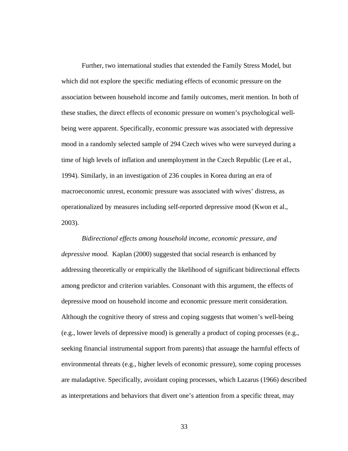Further, two international studies that extended the Family Stress Model, but which did not explore the specific mediating effects of economic pressure on the association between household income and family outcomes, merit mention. In both of these studies, the direct effects of economic pressure on women's psychological wellbeing were apparent. Specifically, economic pressure was associated with depressive mood in a randomly selected sample of 294 Czech wives who were surveyed during a time of high levels of inflation and unemployment in the Czech Republic (Lee et al., 1994). Similarly, in an investigation of 236 couples in Korea during an era of macroeconomic unrest, economic pressure was associated with wives' distress, as operationalized by measures including self-reported depressive mood (Kwon et al., 2003).

*Bidirectional effects among household income, economic pressure, and depressive mood.* Kaplan (2000) suggested that social research is enhanced by addressing theoretically or empirically the likelihood of significant bidirectional effects among predictor and criterion variables. Consonant with this argument, the effects of depressive mood on household income and economic pressure merit consideration. Although the cognitive theory of stress and coping suggests that women's well-being (e.g., lower levels of depressive mood) is generally a product of coping processes (e.g., seeking financial instrumental support from parents) that assuage the harmful effects of environmental threats (e.g., higher levels of economic pressure), some coping processes are maladaptive. Specifically, avoidant coping processes, which Lazarus (1966) described as interpretations and behaviors that divert one's attention from a specific threat, may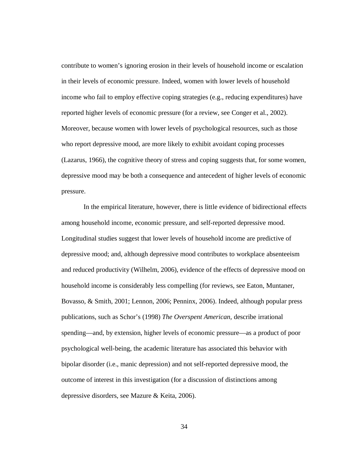contribute to women's ignoring erosion in their levels of household income or escalation in their levels of economic pressure. Indeed, women with lower levels of household income who fail to employ effective coping strategies (e.g., reducing expenditures) have reported higher levels of economic pressure (for a review, see Conger et al., 2002). Moreover, because women with lower levels of psychological resources, such as those who report depressive mood, are more likely to exhibit avoidant coping processes (Lazarus, 1966), the cognitive theory of stress and coping suggests that, for some women, depressive mood may be both a consequence and antecedent of higher levels of economic pressure.

In the empirical literature, however, there is little evidence of bidirectional effects among household income, economic pressure, and self-reported depressive mood. Longitudinal studies suggest that lower levels of household income are predictive of depressive mood; and, although depressive mood contributes to workplace absenteeism and reduced productivity (Wilhelm, 2006), evidence of the effects of depressive mood on household income is considerably less compelling (for reviews, see Eaton, Muntaner, Bovasso, & Smith, 2001; Lennon, 2006; Penninx, 2006). Indeed, although popular press publications, such as Schor's (1998) *The Overspent American,* describe irrational spending—and, by extension, higher levels of economic pressure—as a product of poor psychological well-being, the academic literature has associated this behavior with bipolar disorder (i.e., manic depression) and not self-reported depressive mood, the outcome of interest in this investigation (for a discussion of distinctions among depressive disorders, see Mazure & Keita, 2006).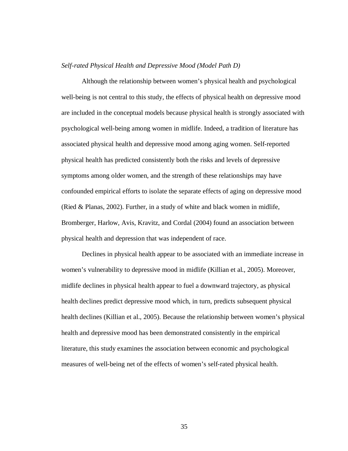### *Self-rated Physical Health and Depressive Mood (Model Path D)*

Although the relationship between women's physical health and psychological well-being is not central to this study, the effects of physical health on depressive mood are included in the conceptual models because physical health is strongly associated with psychological well-being among women in midlife. Indeed, a tradition of literature has associated physical health and depressive mood among aging women. Self-reported physical health has predicted consistently both the risks and levels of depressive symptoms among older women, and the strength of these relationships may have confounded empirical efforts to isolate the separate effects of aging on depressive mood (Ried & Planas, 2002). Further, in a study of white and black women in midlife, Bromberger, Harlow, Avis, Kravitz, and Cordal (2004) found an association between physical health and depression that was independent of race.

Declines in physical health appear to be associated with an immediate increase in women's vulnerability to depressive mood in midlife (Killian et al., 2005). Moreover, midlife declines in physical health appear to fuel a downward trajectory, as physical health declines predict depressive mood which, in turn, predicts subsequent physical health declines (Killian et al., 2005). Because the relationship between women's physical health and depressive mood has been demonstrated consistently in the empirical literature, this study examines the association between economic and psychological measures of well-being net of the effects of women's self-rated physical health.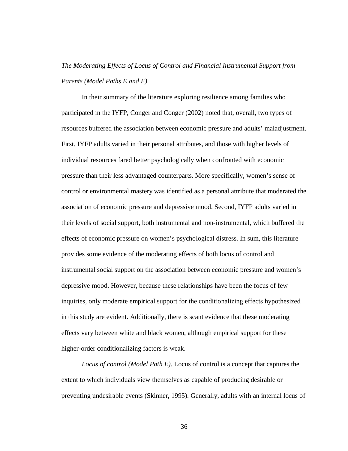# *The Moderating Effects of Locus of Control and Financial Instrumental Support from Parents (Model Paths E and F)*

In their summary of the literature exploring resilience among families who participated in the IYFP, Conger and Conger (2002) noted that, overall, two types of resources buffered the association between economic pressure and adults' maladjustment. First, IYFP adults varied in their personal attributes, and those with higher levels of individual resources fared better psychologically when confronted with economic pressure than their less advantaged counterparts. More specifically, women's sense of control or environmental mastery was identified as a personal attribute that moderated the association of economic pressure and depressive mood. Second, IYFP adults varied in their levels of social support, both instrumental and non-instrumental, which buffered the effects of economic pressure on women's psychological distress. In sum, this literature provides some evidence of the moderating effects of both locus of control and instrumental social support on the association between economic pressure and women's depressive mood. However, because these relationships have been the focus of few inquiries, only moderate empirical support for the conditionalizing effects hypothesized in this study are evident. Additionally, there is scant evidence that these moderating effects vary between white and black women, although empirical support for these higher-order conditionalizing factors is weak.

*Locus of control (Model Path E).* Locus of control is a concept that captures the extent to which individuals view themselves as capable of producing desirable or preventing undesirable events (Skinner, 1995). Generally, adults with an internal locus of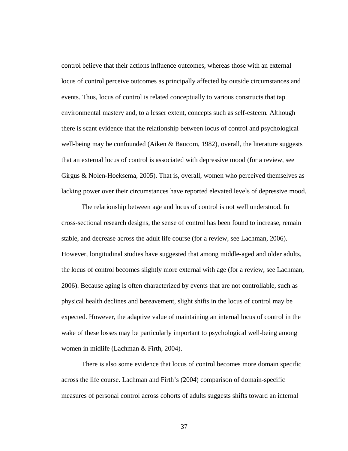control believe that their actions influence outcomes, whereas those with an external locus of control perceive outcomes as principally affected by outside circumstances and events. Thus, locus of control is related conceptually to various constructs that tap environmental mastery and, to a lesser extent, concepts such as self-esteem. Although there is scant evidence that the relationship between locus of control and psychological well-being may be confounded (Aiken & Baucom, 1982), overall, the literature suggests that an external locus of control is associated with depressive mood (for a review, see Girgus & Nolen-Hoeksema, 2005). That is, overall, women who perceived themselves as lacking power over their circumstances have reported elevated levels of depressive mood.

The relationship between age and locus of control is not well understood. In cross-sectional research designs, the sense of control has been found to increase, remain stable, and decrease across the adult life course (for a review, see Lachman, 2006). However, longitudinal studies have suggested that among middle-aged and older adults, the locus of control becomes slightly more external with age (for a review, see Lachman, 2006). Because aging is often characterized by events that are not controllable, such as physical health declines and bereavement, slight shifts in the locus of control may be expected. However, the adaptive value of maintaining an internal locus of control in the wake of these losses may be particularly important to psychological well-being among women in midlife (Lachman & Firth, 2004).

There is also some evidence that locus of control becomes more domain specific across the life course. Lachman and Firth's (2004) comparison of domain-specific measures of personal control across cohorts of adults suggests shifts toward an internal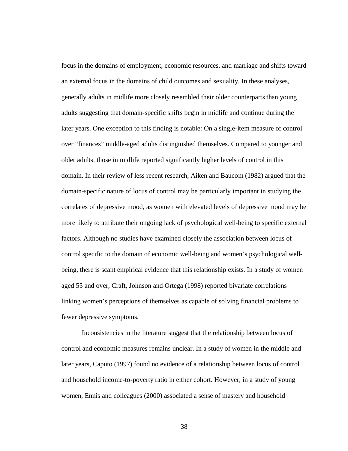focus in the domains of employment, economic resources, and marriage and shifts toward an external focus in the domains of child outcomes and sexuality. In these analyses, generally adults in midlife more closely resembled their older counterparts than young adults suggesting that domain-specific shifts begin in midlife and continue during the later years. One exception to this finding is notable: On a single-item measure of control over "finances" middle-aged adults distinguished themselves. Compared to younger and older adults, those in midlife reported significantly higher levels of control in this domain. In their review of less recent research, Aiken and Baucom (1982) argued that the domain-specific nature of locus of control may be particularly important in studying the correlates of depressive mood, as women with elevated levels of depressive mood may be more likely to attribute their ongoing lack of psychological well-being to specific external factors. Although no studies have examined closely the association between locus of control specific to the domain of economic well-being and women's psychological wellbeing, there is scant empirical evidence that this relationship exists. In a study of women aged 55 and over, Craft, Johnson and Ortega (1998) reported bivariate correlations linking women's perceptions of themselves as capable of solving financial problems to fewer depressive symptoms.

Inconsistencies in the literature suggest that the relationship between locus of control and economic measures remains unclear. In a study of women in the middle and later years, Caputo (1997) found no evidence of a relationship between locus of control and household income-to-poverty ratio in either cohort. However, in a study of young women, Ennis and colleagues (2000) associated a sense of mastery and household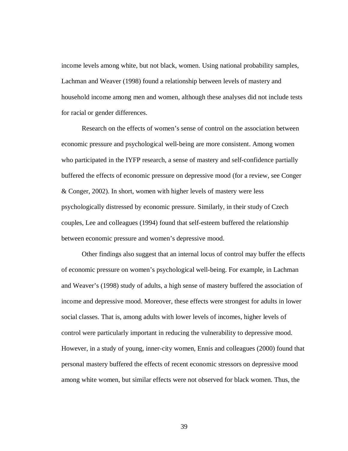income levels among white, but not black, women. Using national probability samples, Lachman and Weaver (1998) found a relationship between levels of mastery and household income among men and women, although these analyses did not include tests for racial or gender differences.

Research on the effects of women's sense of control on the association between economic pressure and psychological well-being are more consistent. Among women who participated in the IYFP research, a sense of mastery and self-confidence partially buffered the effects of economic pressure on depressive mood (for a review, see Conger & Conger, 2002). In short, women with higher levels of mastery were less psychologically distressed by economic pressure. Similarly, in their study of Czech couples, Lee and colleagues (1994) found that self-esteem buffered the relationship between economic pressure and women's depressive mood.

Other findings also suggest that an internal locus of control may buffer the effects of economic pressure on women's psychological well-being. For example, in Lachman and Weaver's (1998) study of adults, a high sense of mastery buffered the association of income and depressive mood. Moreover, these effects were strongest for adults in lower social classes. That is, among adults with lower levels of incomes, higher levels of control were particularly important in reducing the vulnerability to depressive mood. However, in a study of young, inner-city women, Ennis and colleagues (2000) found that personal mastery buffered the effects of recent economic stressors on depressive mood among white women, but similar effects were not observed for black women. Thus, the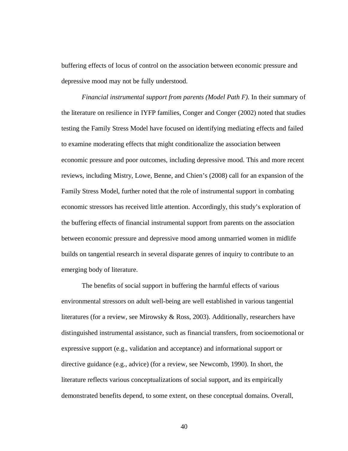buffering effects of locus of control on the association between economic pressure and depressive mood may not be fully understood.

*Financial instrumental support from parents (Model Path F).* In their summary of the literature on resilience in IYFP families, Conger and Conger (2002) noted that studies testing the Family Stress Model have focused on identifying mediating effects and failed to examine moderating effects that might conditionalize the association between economic pressure and poor outcomes, including depressive mood. This and more recent reviews, including Mistry, Lowe, Benne, and Chien's (2008) call for an expansion of the Family Stress Model, further noted that the role of instrumental support in combating economic stressors has received little attention. Accordingly, this study's exploration of the buffering effects of financial instrumental support from parents on the association between economic pressure and depressive mood among unmarried women in midlife builds on tangential research in several disparate genres of inquiry to contribute to an emerging body of literature.

The benefits of social support in buffering the harmful effects of various environmental stressors on adult well-being are well established in various tangential literatures (for a review, see Mirowsky & Ross, 2003). Additionally, researchers have distinguished instrumental assistance, such as financial transfers, from socioemotional or expressive support (e.g., validation and acceptance) and informational support or directive guidance (e.g., advice) (for a review, see Newcomb, 1990). In short, the literature reflects various conceptualizations of social support, and its empirically demonstrated benefits depend, to some extent, on these conceptual domains. Overall,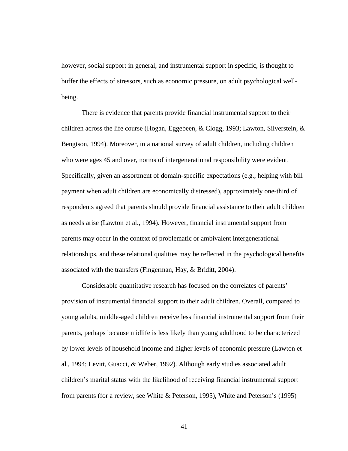however, social support in general, and instrumental support in specific, is thought to buffer the effects of stressors, such as economic pressure, on adult psychological wellbeing.

There is evidence that parents provide financial instrumental support to their children across the life course (Hogan, Eggebeen, & Clogg, 1993; Lawton, Silverstein, & Bengtson, 1994). Moreover, in a national survey of adult children, including children who were ages 45 and over, norms of intergenerational responsibility were evident. Specifically, given an assortment of domain-specific expectations (e.g., helping with bill payment when adult children are economically distressed), approximately one-third of respondents agreed that parents should provide financial assistance to their adult children as needs arise (Lawton et al., 1994). However, financial instrumental support from parents may occur in the context of problematic or ambivalent intergenerational relationships, and these relational qualities may be reflected in the psychological benefits associated with the transfers (Fingerman, Hay, & Briditt, 2004).

Considerable quantitative research has focused on the correlates of parents' provision of instrumental financial support to their adult children. Overall, compared to young adults, middle-aged children receive less financial instrumental support from their parents, perhaps because midlife is less likely than young adulthood to be characterized by lower levels of household income and higher levels of economic pressure (Lawton et al., 1994; Levitt, Guacci, & Weber, 1992). Although early studies associated adult children's marital status with the likelihood of receiving financial instrumental support from parents (for a review, see White & Peterson, 1995), White and Peterson's (1995)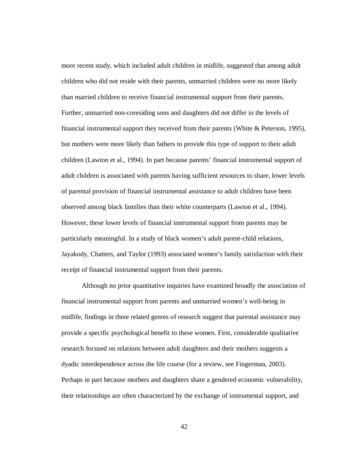more recent study, which included adult children in midlife, suggested that among adult children who did not reside with their parents, unmarried children were no more likely than married children to receive financial instrumental support from their parents. Further, unmarried non-coresiding sons and daughters did not differ in the levels of financial instrumental support they received from their parents (White & Peterson, 1995), but mothers were more likely than fathers to provide this type of support to their adult children (Lawton et al., 1994). In part because parents' financial instrumental support of adult children is associated with parents having sufficient resources to share, lower levels of parental provision of financial instrumental assistance to adult children have been observed among black families than their white counterparts (Lawton et al., 1994). However, these lower levels of financial instrumental support from parents may be particularly meaningful. In a study of black women's adult parent-child relations, Jayakody, Chatters, and Taylor (1993) associated women's family satisfaction with their receipt of financial instrumental support from their parents.

Although no prior quantitative inquiries have examined broadly the association of financial instrumental support from parents and unmarried women's well-being in midlife, findings in three related genres of research suggest that parental assistance may provide a specific psychological benefit to these women. First, considerable qualitative research focused on relations between adult daughters and their mothers suggests a dyadic interdependence across the life course (for a review, see Fingerman, 2003). Perhaps in part because mothers and daughters share a gendered economic vulnerability, their relationships are often characterized by the exchange of instrumental support, and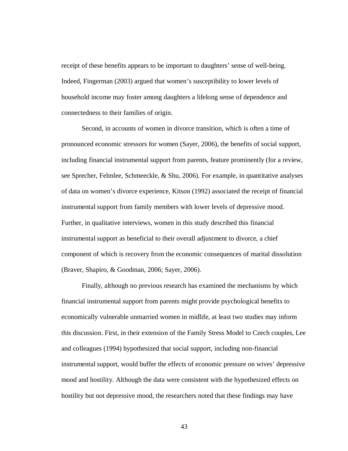receipt of these benefits appears to be important to daughters' sense of well-being. Indeed, Fingerman (2003) argued that women's susceptibility to lower levels of household income may foster among daughters a lifelong sense of dependence and connectedness to their families of origin.

Second, in accounts of women in divorce transition, which is often a time of pronounced economic stressors for women (Sayer, 2006), the benefits of social support, including financial instrumental support from parents, feature prominently (for a review, see Sprecher, Felmlee, Schmeeckle, & Shu, 2006). For example, in quantitative analyses of data on women's divorce experience, Kitson (1992) associated the receipt of financial instrumental support from family members with lower levels of depressive mood. Further, in qualitative interviews, women in this study described this financial instrumental support as beneficial to their overall adjustment to divorce, a chief component of which is recovery from the economic consequences of marital dissolution (Braver, Shapiro, & Goodman, 2006; Sayer, 2006).

Finally, although no previous research has examined the mechanisms by which financial instrumental support from parents might provide psychological benefits to economically vulnerable unmarried women in midlife, at least two studies may inform this discussion. First, in their extension of the Family Stress Model to Czech couples, Lee and colleagues (1994) hypothesized that social support, including non-financial instrumental support, would buffer the effects of economic pressure on wives' depressive mood and hostility. Although the data were consistent with the hypothesized effects on hostility but not depressive mood, the researchers noted that these findings may have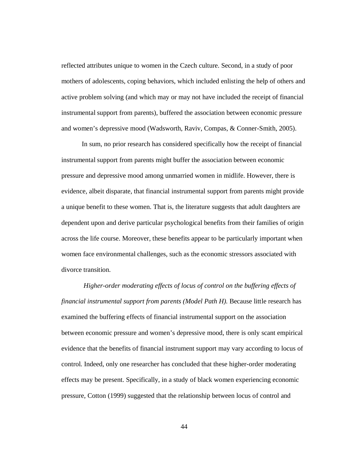reflected attributes unique to women in the Czech culture. Second, in a study of poor mothers of adolescents, coping behaviors, which included enlisting the help of others and active problem solving (and which may or may not have included the receipt of financial instrumental support from parents), buffered the association between economic pressure and women's depressive mood (Wadsworth, Raviv, Compas, & Conner-Smith, 2005).

In sum, no prior research has considered specifically how the receipt of financial instrumental support from parents might buffer the association between economic pressure and depressive mood among unmarried women in midlife. However, there is evidence, albeit disparate, that financial instrumental support from parents might provide a unique benefit to these women. That is, the literature suggests that adult daughters are dependent upon and derive particular psychological benefits from their families of origin across the life course. Moreover, these benefits appear to be particularly important when women face environmental challenges, such as the economic stressors associated with divorce transition.

*Higher-order moderating effects of locus of control on the buffering effects of financial instrumental support from parents (Model Path H).* Because little research has examined the buffering effects of financial instrumental support on the association between economic pressure and women's depressive mood, there is only scant empirical evidence that the benefits of financial instrument support may vary according to locus of control. Indeed, only one researcher has concluded that these higher-order moderating effects may be present. Specifically, in a study of black women experiencing economic pressure, Cotton (1999) suggested that the relationship between locus of control and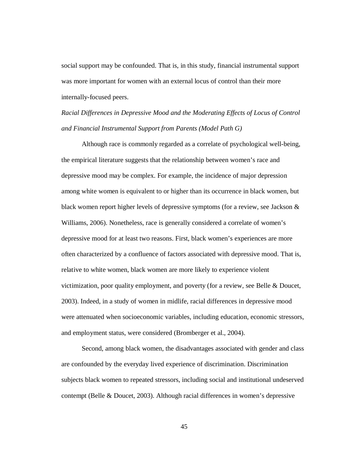social support may be confounded. That is, in this study, financial instrumental support was more important for women with an external locus of control than their more internally-focused peers.

*Racial Differences in Depressive Mood and the Moderating Effects of Locus of Control and Financial Instrumental Support from Parents (Model Path G)*

Although race is commonly regarded as a correlate of psychological well-being, the empirical literature suggests that the relationship between women's race and depressive mood may be complex. For example, the incidence of major depression among white women is equivalent to or higher than its occurrence in black women, but black women report higher levels of depressive symptoms (for a review, see Jackson  $\&$ Williams, 2006). Nonetheless, race is generally considered a correlate of women's depressive mood for at least two reasons. First, black women's experiences are more often characterized by a confluence of factors associated with depressive mood. That is, relative to white women, black women are more likely to experience violent victimization, poor quality employment, and poverty (for a review, see Belle & Doucet, 2003). Indeed, in a study of women in midlife, racial differences in depressive mood were attenuated when socioeconomic variables, including education, economic stressors, and employment status, were considered (Bromberger et al., 2004).

Second, among black women, the disadvantages associated with gender and class are confounded by the everyday lived experience of discrimination. Discrimination subjects black women to repeated stressors, including social and institutional undeserved contempt (Belle & Doucet, 2003). Although racial differences in women's depressive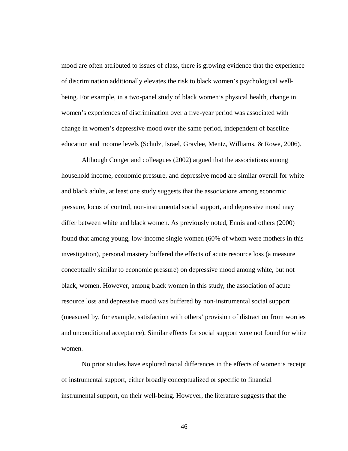mood are often attributed to issues of class, there is growing evidence that the experience of discrimination additionally elevates the risk to black women's psychological wellbeing. For example, in a two-panel study of black women's physical health, change in women's experiences of discrimination over a five-year period was associated with change in women's depressive mood over the same period, independent of baseline education and income levels (Schulz, Israel, Gravlee, Mentz, Williams, & Rowe, 2006).

Although Conger and colleagues (2002) argued that the associations among household income, economic pressure, and depressive mood are similar overall for white and black adults, at least one study suggests that the associations among economic pressure, locus of control, non-instrumental social support, and depressive mood may differ between white and black women. As previously noted, Ennis and others (2000) found that among young, low-income single women (60% of whom were mothers in this investigation), personal mastery buffered the effects of acute resource loss (a measure conceptually similar to economic pressure) on depressive mood among white, but not black, women. However, among black women in this study, the association of acute resource loss and depressive mood was buffered by non-instrumental social support (measured by, for example, satisfaction with others' provision of distraction from worries and unconditional acceptance). Similar effects for social support were not found for white women.

No prior studies have explored racial differences in the effects of women's receipt of instrumental support, either broadly conceptualized or specific to financial instrumental support, on their well-being. However, the literature suggests that the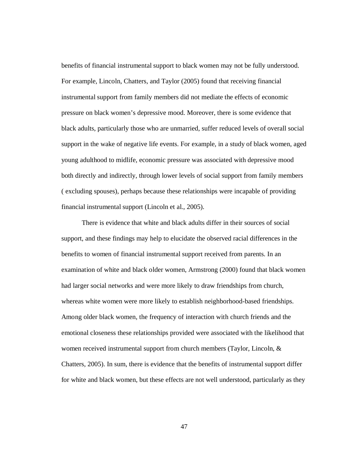benefits of financial instrumental support to black women may not be fully understood. For example, Lincoln, Chatters, and Taylor (2005) found that receiving financial instrumental support from family members did not mediate the effects of economic pressure on black women's depressive mood. Moreover, there is some evidence that black adults, particularly those who are unmarried, suffer reduced levels of overall social support in the wake of negative life events. For example, in a study of black women, aged young adulthood to midlife, economic pressure was associated with depressive mood both directly and indirectly, through lower levels of social support from family members ( excluding spouses), perhaps because these relationships were incapable of providing financial instrumental support (Lincoln et al., 2005).

There is evidence that white and black adults differ in their sources of social support, and these findings may help to elucidate the observed racial differences in the benefits to women of financial instrumental support received from parents. In an examination of white and black older women, Armstrong (2000) found that black women had larger social networks and were more likely to draw friendships from church, whereas white women were more likely to establish neighborhood-based friendships. Among older black women, the frequency of interaction with church friends and the emotional closeness these relationships provided were associated with the likelihood that women received instrumental support from church members (Taylor, Lincoln, & Chatters, 2005). In sum, there is evidence that the benefits of instrumental support differ for white and black women, but these effects are not well understood, particularly as they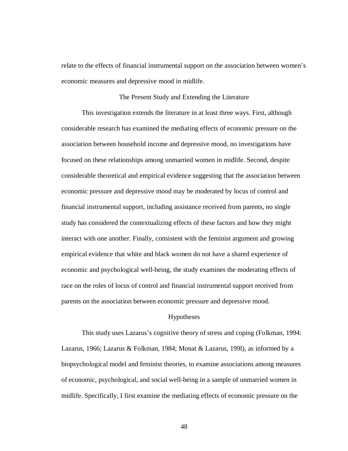relate to the effects of financial instrumental support on the association between women's economic measures and depressive mood in midlife.

## The Present Study and Extending the Literature

This investigation extends the literature in at least three ways. First, although considerable research has examined the mediating effects of economic pressure on the association between household income and depressive mood, no investigations have focused on these relationships among unmarried women in midlife. Second, despite considerable theoretical and empirical evidence suggesting that the association between economic pressure and depressive mood may be moderated by locus of control and financial instrumental support, including assistance received from parents, no single study has considered the contextualizing effects of these factors and how they might interact with one another. Finally, consistent with the feminist argument and growing empirical evidence that white and black women do not have a shared experience of economic and psychological well-being, the study examines the moderating effects of race on the roles of locus of control and financial instrumental support received from parents on the association between economic pressure and depressive mood.

#### Hypotheses

This study uses Lazarus's cognitive theory of stress and coping (Folkman, 1994: Lazarus, 1966; Lazarus & Folkman, 1984; Monat & Lazarus, 199l), as informed by a biopsychological model and feminist theories, to examine associations among measures of economic, psychological, and social well-being in a sample of unmarried women in midlife. Specifically, I first examine the mediating effects of economic pressure on the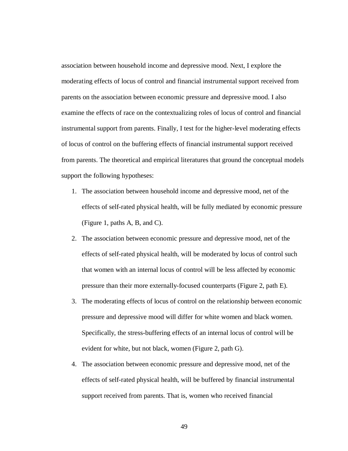association between household income and depressive mood. Next, I explore the moderating effects of locus of control and financial instrumental support received from parents on the association between economic pressure and depressive mood. I also examine the effects of race on the contextualizing roles of locus of control and financial instrumental support from parents. Finally, I test for the higher-level moderating effects of locus of control on the buffering effects of financial instrumental support received from parents. The theoretical and empirical literatures that ground the conceptual models support the following hypotheses:

- 1. The association between household income and depressive mood, net of the effects of self-rated physical health, will be fully mediated by economic pressure (Figure 1, paths A, B, and C).
- 2. The association between economic pressure and depressive mood, net of the effects of self-rated physical health, will be moderated by locus of control such that women with an internal locus of control will be less affected by economic pressure than their more externally-focused counterparts (Figure 2, path E).
- 3. The moderating effects of locus of control on the relationship between economic pressure and depressive mood will differ for white women and black women. Specifically, the stress-buffering effects of an internal locus of control will be evident for white, but not black, women (Figure 2, path G).
- 4. The association between economic pressure and depressive mood, net of the effects of self-rated physical health, will be buffered by financial instrumental support received from parents. That is, women who received financial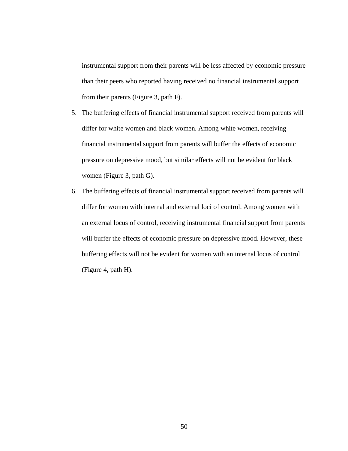instrumental support from their parents will be less affected by economic pressure than their peers who reported having received no financial instrumental support from their parents (Figure 3, path F).

- 5. The buffering effects of financial instrumental support received from parents will differ for white women and black women. Among white women, receiving financial instrumental support from parents will buffer the effects of economic pressure on depressive mood, but similar effects will not be evident for black women (Figure 3, path G).
- 6. The buffering effects of financial instrumental support received from parents will differ for women with internal and external loci of control. Among women with an external locus of control, receiving instrumental financial support from parents will buffer the effects of economic pressure on depressive mood. However, these buffering effects will not be evident for women with an internal locus of control (Figure 4, path H).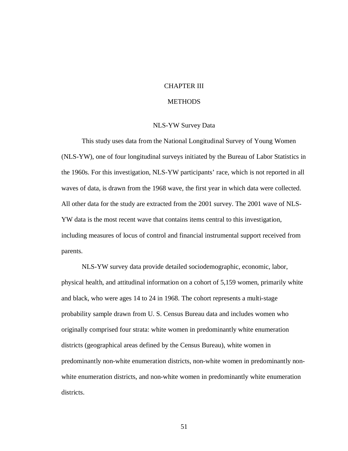# CHAPTER III

# **METHODS**

# NLS-YW Survey Data

This study uses data from the National Longitudinal Survey of Young Women (NLS-YW), one of four longitudinal surveys initiated by the Bureau of Labor Statistics in the 1960s. For this investigation, NLS-YW participants' race, which is not reported in all waves of data, is drawn from the 1968 wave, the first year in which data were collected. All other data for the study are extracted from the 2001 survey. The 2001 wave of NLS-YW data is the most recent wave that contains items central to this investigation, including measures of locus of control and financial instrumental support received from parents.

NLS-YW survey data provide detailed sociodemographic, economic, labor, physical health, and attitudinal information on a cohort of 5,159 women, primarily white and black, who were ages 14 to 24 in 1968. The cohort represents a multi-stage probability sample drawn from U. S. Census Bureau data and includes women who originally comprised four strata: white women in predominantly white enumeration districts (geographical areas defined by the Census Bureau), white women in predominantly non-white enumeration districts, non-white women in predominantly nonwhite enumeration districts, and non-white women in predominantly white enumeration districts.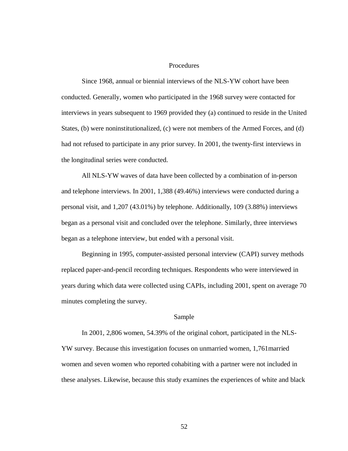## Procedures

Since 1968, annual or biennial interviews of the NLS-YW cohort have been conducted. Generally, women who participated in the 1968 survey were contacted for interviews in years subsequent to 1969 provided they (a) continued to reside in the United States, (b) were noninstitutionalized, (c) were not members of the Armed Forces, and (d) had not refused to participate in any prior survey. In 2001, the twenty-first interviews in the longitudinal series were conducted.

All NLS-YW waves of data have been collected by a combination of in-person and telephone interviews. In 2001, 1,388 (49.46%) interviews were conducted during a personal visit, and 1,207 (43.01%) by telephone. Additionally, 109 (3.88%) interviews began as a personal visit and concluded over the telephone. Similarly, three interviews began as a telephone interview, but ended with a personal visit.

Beginning in 1995, computer-assisted personal interview (CAPI) survey methods replaced paper-and-pencil recording techniques. Respondents who were interviewed in years during which data were collected using CAPIs, including 2001, spent on average 70 minutes completing the survey.

#### Sample

In 2001, 2,806 women, 54.39% of the original cohort, participated in the NLS-YW survey. Because this investigation focuses on unmarried women, 1,761married women and seven women who reported cohabiting with a partner were not included in these analyses. Likewise, because this study examines the experiences of white and black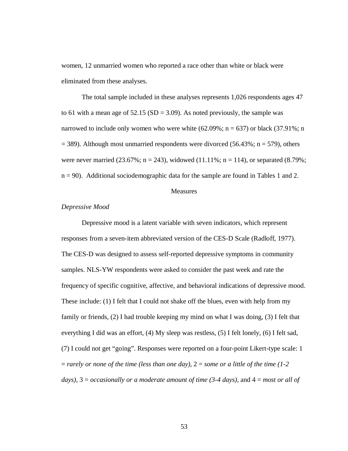women, 12 unmarried women who reported a race other than white or black were eliminated from these analyses.

The total sample included in these analyses represents 1,026 respondents ages 47 to 61 with a mean age of  $52.15$  (SD = 3.09). As noted previously, the sample was narrowed to include only women who were white  $(62.09\%; n = 637)$  or black  $(37.91\%; n$  $=$  389). Although most unmarried respondents were divorced (56.43%; n = 579), others were never married (23.67%;  $n = 243$ ), widowed (11.11%;  $n = 114$ ), or separated (8.79%; n = 90). Additional sociodemographic data for the sample are found in Tables 1 and 2.

## **Measures**

## *Depressive Mood*

Depressive mood is a latent variable with seven indicators, which represent responses from a seven-item abbreviated version of the CES-D Scale (Radloff, 1977). The CES-D was designed to assess self-reported depressive symptoms in community samples. NLS-YW respondents were asked to consider the past week and rate the frequency of specific cognitive, affective, and behavioral indications of depressive mood. These include: (1) I felt that I could not shake off the blues, even with help from my family or friends, (2) I had trouble keeping my mind on what I was doing, (3) I felt that everything I did was an effort, (4) My sleep was restless, (5) I felt lonely, (6) I felt sad, (7) I could not get "going". Responses were reported on a four-point Likert-type scale: 1 = *rarely or none of the time (less than one day)*, 2 = *some or a little of the time (1-2 days)*, 3 = *occasionally or a moderate amount of time (3-4 days)*, and 4 = *most or all of*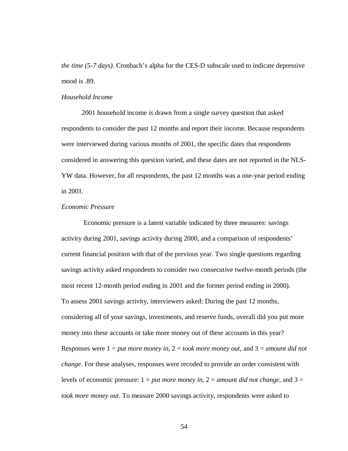*the time (5-7 days)*. Cronbach's alpha for the CES-D subscale used to indicate depressive mood is .89.

## *Household Income*

2001 household income is drawn from a single survey question that asked respondents to consider the past 12 months and report their income. Because respondents were interviewed during various months of 2001, the specific dates that respondents considered in answering this question varied, and these dates are not reported in the NLS-YW data. However, for all respondents, the past 12 months was a one-year period ending in 2001.

# *Economic Pressure*

Economic pressure is a latent variable indicated by three measures: savings activity during 2001, savings activity during 2000, and a comparison of respondents' current financial position with that of the previous year. Two single questions regarding savings activity asked respondents to consider two consecutive twelve-month periods (the most recent 12-month period ending in 2001 and the former period ending in 2000). To assess 2001 savings activity, interviewers asked: During the past 12 months, considering all of your savings, investments, and reserve funds, overall did you put more money into these accounts or take more money out of these accounts in this year? Responses were 1 = *put more money in*, 2 = *took more money out*, and 3 = *amount did not change*. For these analyses, responses were recoded to provide an order consistent with levels of economic pressure: 1 = *put more money in*, 2 = *amount did not change*, and 3 = *took more money out*. To measure 2000 savings activity, respondents were asked to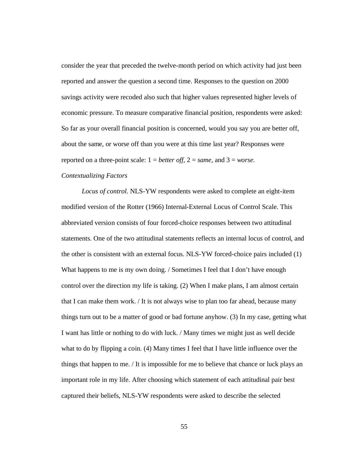consider the year that preceded the twelve-month period on which activity had just been reported and answer the question a second time. Responses to the question on 2000 savings activity were recoded also such that higher values represented higher levels of economic pressure. To measure comparative financial position, respondents were asked: So far as your overall financial position is concerned, would you say you are better off, about the same, or worse off than you were at this time last year? Responses were reported on a three-point scale:  $1 = better$  *off*,  $2 = same$ , and  $3 = worse$ .

# *Contextualizing Factors*

*Locus of control.* NLS-YW respondents were asked to complete an eight-item modified version of the Rotter (1966) Internal-External Locus of Control Scale. This abbreviated version consists of four forced-choice responses between two attitudinal statements. One of the two attitudinal statements reflects an internal locus of control, and the other is consistent with an external focus. NLS-YW forced-choice pairs included (1) What happens to me is my own doing. / Sometimes I feel that I don't have enough control over the direction my life is taking. (2) When I make plans, I am almost certain that I can make them work. / It is not always wise to plan too far ahead, because many things turn out to be a matter of good or bad fortune anyhow. (3) In my case, getting what I want has little or nothing to do with luck. / Many times we might just as well decide what to do by flipping a coin. (4) Many times I feel that I have little influence over the things that happen to me. / It is impossible for me to believe that chance or luck plays an important role in my life. After choosing which statement of each attitudinal pair best captured their beliefs, NLS-YW respondents were asked to describe the selected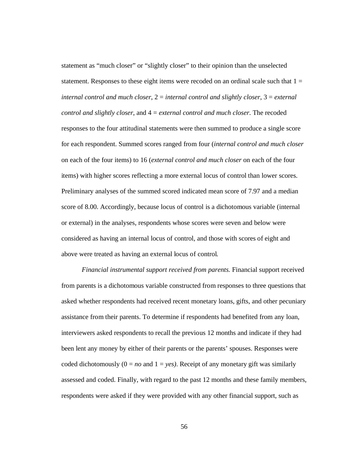statement as "much closer" or "slightly closer" to their opinion than the unselected statement. Responses to these eight items were recoded on an ordinal scale such that  $1 =$ *internal control and much closer*, 2 = *internal control and slightly closer*, 3 = *external control and slightly closer*, and 4 = *external control and much closer*. The recoded responses to the four attitudinal statements were then summed to produce a single score for each respondent. Summed scores ranged from four (*internal control and much closer* on each of the four items) to 16 (*external control and much closer* on each of the four items) with higher scores reflecting a more external locus of control than lower scores. Preliminary analyses of the summed scored indicated mean score of 7.97 and a median score of 8.00. Accordingly, because locus of control is a dichotomous variable (internal or external) in the analyses, respondents whose scores were seven and below were considered as having an internal locus of control, and those with scores of eight and above were treated as having an external locus of control*.*

*Financial instrumental support received from parents.* Financial support received from parents is a dichotomous variable constructed from responses to three questions that asked whether respondents had received recent monetary loans, gifts, and other pecuniary assistance from their parents. To determine if respondents had benefited from any loan, interviewers asked respondents to recall the previous 12 months and indicate if they had been lent any money by either of their parents or the parents' spouses. Responses were coded dichotomously  $(0 = no$  and  $1 = yes)$ . Receipt of any monetary gift was similarly assessed and coded. Finally, with regard to the past 12 months and these family members, respondents were asked if they were provided with any other financial support, such as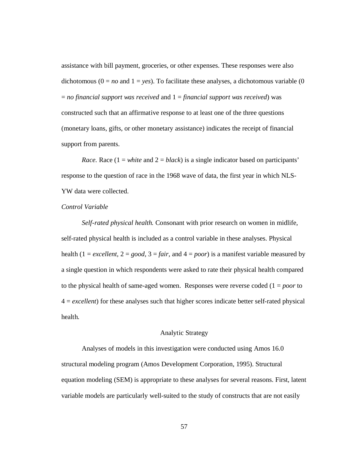assistance with bill payment, groceries, or other expenses. These responses were also dichotomous ( $0 = no$  and  $1 = yes$ ). To facilitate these analyses, a dichotomous variable (0) = *no financial support was received* and 1 = *financial support was received*) was constructed such that an affirmative response to at least one of the three questions (monetary loans, gifts, or other monetary assistance) indicates the receipt of financial support from parents.

*Race.* Race  $(1 = white and 2 = black)$  is a single indicator based on participants' response to the question of race in the 1968 wave of data, the first year in which NLS-YW data were collected.

# *Control Variable*

*Self-rated physical health.* Consonant with prior research on women in midlife, self-rated physical health is included as a control variable in these analyses. Physical health  $(1 = \text{excellent}, 2 = \text{good}, 3 = \text{fair}, \text{and } 4 = \text{poor})$  is a manifest variable measured by a single question in which respondents were asked to rate their physical health compared to the physical health of same-aged women. Responses were reverse coded (1 = *poor* to 4 = *excellent*) for these analyses such that higher scores indicate better self-rated physical health*.*

# Analytic Strategy

Analyses of models in this investigation were conducted using Amos 16.0 structural modeling program (Amos Development Corporation, 1995). Structural equation modeling (SEM) is appropriate to these analyses for several reasons. First, latent variable models are particularly well-suited to the study of constructs that are not easily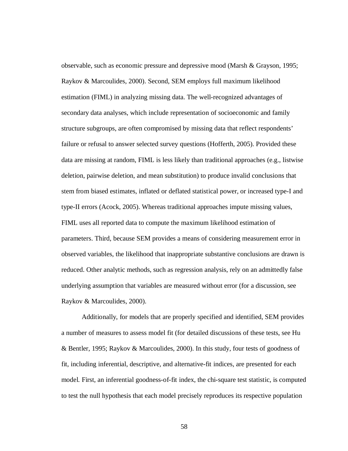observable, such as economic pressure and depressive mood (Marsh & Grayson, 1995; Raykov & Marcoulides, 2000). Second, SEM employs full maximum likelihood estimation (FIML) in analyzing missing data. The well-recognized advantages of secondary data analyses, which include representation of socioeconomic and family structure subgroups, are often compromised by missing data that reflect respondents' failure or refusal to answer selected survey questions (Hofferth, 2005). Provided these data are missing at random, FIML is less likely than traditional approaches (e.g., listwise deletion, pairwise deletion, and mean substitution) to produce invalid conclusions that stem from biased estimates, inflated or deflated statistical power, or increased type-I and type-II errors (Acock, 2005). Whereas traditional approaches impute missing values, FIML uses all reported data to compute the maximum likelihood estimation of parameters. Third, because SEM provides a means of considering measurement error in observed variables, the likelihood that inappropriate substantive conclusions are drawn is reduced. Other analytic methods, such as regression analysis, rely on an admittedly false underlying assumption that variables are measured without error (for a discussion, see Raykov & Marcoulides, 2000).

Additionally, for models that are properly specified and identified, SEM provides a number of measures to assess model fit (for detailed discussions of these tests, see Hu & Bentler, 1995; Raykov & Marcoulides, 2000). In this study, four tests of goodness of fit, including inferential, descriptive, and alternative-fit indices, are presented for each model. First, an inferential goodness-of-fit index, the chi-square test statistic, is computed to test the null hypothesis that each model precisely reproduces its respective population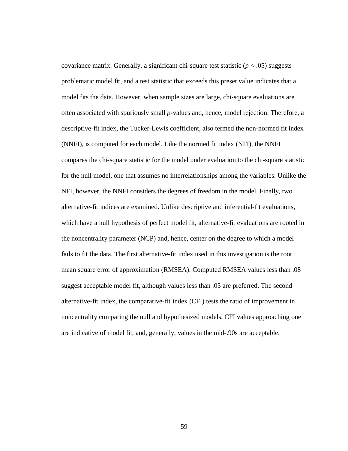covariance matrix. Generally, a significant chi-square test statistic  $(p < .05)$  suggests problematic model fit, and a test statistic that exceeds this preset value indicates that a model fits the data. However, when sample sizes are large, chi-square evaluations are often associated with spuriously small *p*-values and, hence, model rejection. Therefore, a descriptive-fit index, the Tucker-Lewis coefficient, also termed the non-normed fit index (NNFI), is computed for each model. Like the normed fit index (NFI), the NNFI compares the chi-square statistic for the model under evaluation to the chi-square statistic for the null model, one that assumes no interrelationships among the variables. Unlike the NFI, however, the NNFI considers the degrees of freedom in the model. Finally, two alternative-fit indices are examined. Unlike descriptive and inferential-fit evaluations, which have a null hypothesis of perfect model fit, alternative-fit evaluations are rooted in the noncentrality parameter (NCP) and, hence, center on the degree to which a model fails to fit the data. The first alternative-fit index used in this investigation is the root mean square error of approximation (RMSEA). Computed RMSEA values less than .08 suggest acceptable model fit, although values less than .05 are preferred. The second alternative-fit index, the comparative-fit index (CFI) tests the ratio of improvement in noncentrality comparing the null and hypothesized models. CFI values approaching one are indicative of model fit, and, generally, values in the mid-.90s are acceptable.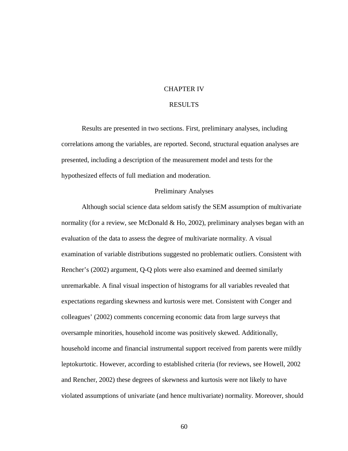#### CHAPTER IV

# RESULTS

Results are presented in two sections. First, preliminary analyses, including correlations among the variables, are reported. Second, structural equation analyses are presented, including a description of the measurement model and tests for the hypothesized effects of full mediation and moderation.

### Preliminary Analyses

Although social science data seldom satisfy the SEM assumption of multivariate normality (for a review, see McDonald  $& Ho, 2002$ ), preliminary analyses began with an evaluation of the data to assess the degree of multivariate normality. A visual examination of variable distributions suggested no problematic outliers. Consistent with Rencher's (2002) argument, Q-Q plots were also examined and deemed similarly unremarkable. A final visual inspection of histograms for all variables revealed that expectations regarding skewness and kurtosis were met. Consistent with Conger and colleagues' (2002) comments concerning economic data from large surveys that oversample minorities, household income was positively skewed. Additionally, household income and financial instrumental support received from parents were mildly leptokurtotic. However, according to established criteria (for reviews, see Howell, 2002 and Rencher, 2002) these degrees of skewness and kurtosis were not likely to have violated assumptions of univariate (and hence multivariate) normality. Moreover, should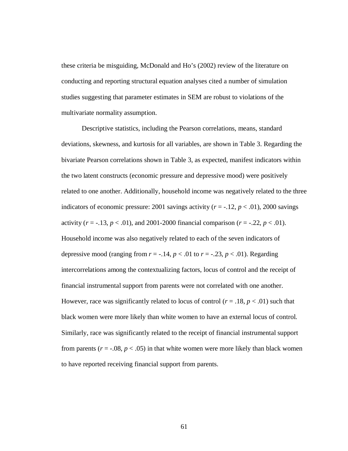these criteria be misguiding, McDonald and Ho's (2002) review of the literature on conducting and reporting structural equation analyses cited a number of simulation studies suggesting that parameter estimates in SEM are robust to violations of the multivariate normality assumption.

Descriptive statistics, including the Pearson correlations, means, standard deviations, skewness, and kurtosis for all variables, are shown in Table 3. Regarding the bivariate Pearson correlations shown in Table 3, as expected, manifest indicators within the two latent constructs (economic pressure and depressive mood) were positively related to one another. Additionally, household income was negatively related to the three indicators of economic pressure: 2001 savings activity  $(r = -12, p < 0.01)$ , 2000 savings activity  $(r = -13, p < .01)$ , and 2001-2000 financial comparison  $(r = -0.22, p < .01)$ . Household income was also negatively related to each of the seven indicators of depressive mood (ranging from  $r = -0.14$ ,  $p < 0.01$  to  $r = -0.23$ ,  $p < 0.01$ ). Regarding intercorrelations among the contextualizing factors, locus of control and the receipt of financial instrumental support from parents were not correlated with one another. However, race was significantly related to locus of control  $(r = .18, p < .01)$  such that black women were more likely than white women to have an external locus of control. Similarly, race was significantly related to the receipt of financial instrumental support from parents ( $r = -0.08$ ,  $p < 0.05$ ) in that white women were more likely than black women to have reported receiving financial support from parents.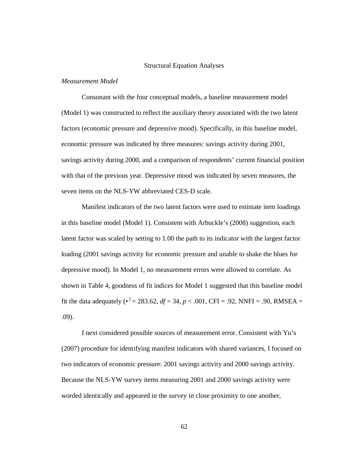#### Structural Equation Analyses

#### *Measurement ModeI*

Consonant with the four conceptual models, a baseline measurement model (Model 1) was constructed to reflect the auxiliary theory associated with the two latent factors (economic pressure and depressive mood). Specifically, in this baseline model, economic pressure was indicated by three measures: savings activity during 2001, savings activity during 2000, and a comparison of respondents' current financial position with that of the previous year. Depressive mood was indicated by seven measures, the seven items on the NLS-YW abbreviated CES-D scale.

Manifest indicators of the two latent factors were used to estimate item loadings in this baseline model (Model 1). Consistent with Arbuckle's (2008) suggestion, each latent factor was scaled by setting to 1.00 the path to its indicator with the largest factor loading (2001 savings activity for economic pressure and unable to shake the blues for depressive mood). In Model 1, no measurement errors were allowed to correlate. As shown in Table 4, goodness of fit indices for Model 1 suggested that this baseline model fit the data adequately ( $\bullet^2 = 283.62$ ,  $df = 34$ ,  $p < .001$ , CFI = .92, NNFI = .90, RMSEA = .09).

I next considered possible sources of measurement error. Consistent with Yu's (2007) procedure for identifying manifest indicators with shared variances, I focused on two indicators of economic pressure: 2001 savings activity and 2000 savings activity. Because the NLS-YW survey items measuring 2001 and 2000 savings activity were worded identically and appeared in the survey in close proximity to one another,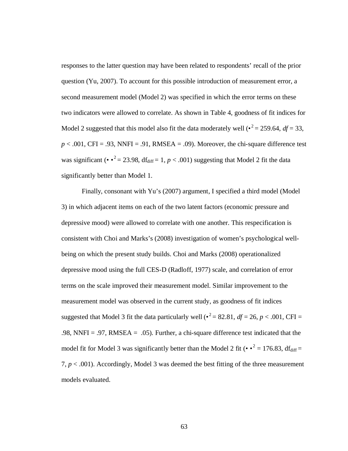responses to the latter question may have been related to respondents' recall of the prior question (Yu, 2007). To account for this possible introduction of measurement error, a second measurement model (Model 2) was specified in which the error terms on these two indicators were allowed to correlate. As shown in Table 4, goodness of fit indices for Model 2 suggested that this model also fit the data moderately well  $\left(\bullet^2 = 259.64, df = 33, \right)$  $p < .001$ , CFI = .93, NNFI = .91, RMSEA = .09). Moreover, the chi-square difference test was significant ( $\cdot \cdot^2 = 23.98$ , df<sub>diff</sub> = 1, *p* < .001) suggesting that Model 2 fit the data significantly better than Model 1.

Finally, consonant with Yu's (2007) argument, I specified a third model (Model 3) in which adjacent items on each of the two latent factors (economic pressure and depressive mood) were allowed to correlate with one another. This respecification is consistent with Choi and Marks's (2008) investigation of women's psychological wellbeing on which the present study builds. Choi and Marks (2008) operationalized depressive mood using the full CES-D (Radloff, 1977) scale, and correlation of error terms on the scale improved their measurement model. Similar improvement to the measurement model was observed in the current study, as goodness of fit indices suggested that Model 3 fit the data particularly well ( $\bullet^2 = 82.81$ ,  $df = 26$ ,  $p < .001$ , CFI = .98, NNFI = .97, RMSEA = .05). Further, a chi-square difference test indicated that the model fit for Model 3 was significantly better than the Model 2 fit ( $\cdot \cdot^2 = 176.83$ , df<sub>diff</sub> = 7, *p* < .001). Accordingly, Model 3 was deemed the best fitting of the three measurement models evaluated.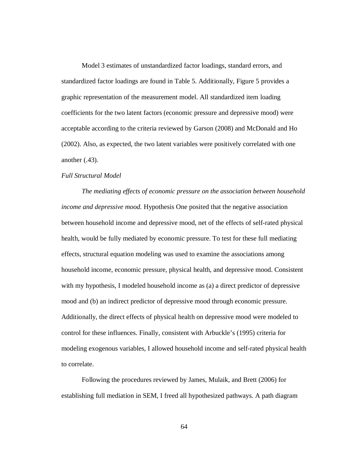Model 3 estimates of unstandardized factor loadings, standard errors, and standardized factor loadings are found in Table 5. Additionally, Figure 5 provides a graphic representation of the measurement model. All standardized item loading coefficients for the two latent factors (economic pressure and depressive mood) were acceptable according to the criteria reviewed by Garson (2008) and McDonald and Ho (2002). Also, as expected, the two latent variables were positively correlated with one another (.43).

# *Full Structural Model*

*The mediating effects of economic pressure on the association between household income and depressive mood.* Hypothesis One posited that the negative association between household income and depressive mood, net of the effects of self-rated physical health, would be fully mediated by economic pressure. To test for these full mediating effects, structural equation modeling was used to examine the associations among household income, economic pressure, physical health, and depressive mood. Consistent with my hypothesis, I modeled household income as (a) a direct predictor of depressive mood and (b) an indirect predictor of depressive mood through economic pressure. Additionally, the direct effects of physical health on depressive mood were modeled to control for these influences. Finally, consistent with Arbuckle's (1995) criteria for modeling exogenous variables, I allowed household income and self-rated physical health to correlate.

Following the procedures reviewed by James, Mulaik, and Brett (2006) for establishing full mediation in SEM, I freed all hypothesized pathways. A path diagram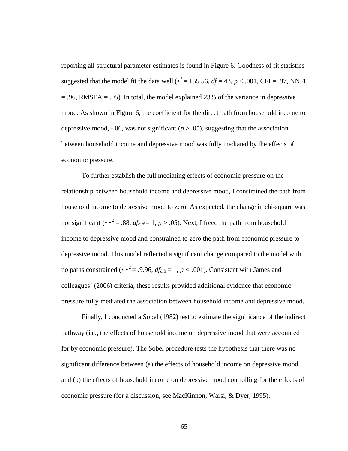reporting all structural parameter estimates is found in Figure 6. Goodness of fit statistics suggested that the model fit the data well ( $\cdot^2$  = 155.56,  $df$  = 43,  $p$  < .001, CFI = .97, NNFI  $= .96$ , RMSEA  $= .05$ ). In total, the model explained 23% of the variance in depressive mood. As shown in Figure 6, the coefficient for the direct path from household income to depressive mood, -.06, was not significant  $(p > .05)$ , suggesting that the association between household income and depressive mood was fully mediated by the effects of economic pressure.

To further establish the full mediating effects of economic pressure on the relationship between household income and depressive mood, I constrained the path from household income to depressive mood to zero. As expected, the change in chi-square was not significant ( $\cdot \cdot^2 = .88$ , *df*<sub>diff</sub> = 1, *p* > .05). Next, I freed the path from household income to depressive mood and constrained to zero the path from economic pressure to depressive mood. This model reflected a significant change compared to the model with no paths constrained ( $\cdot \cdot^2 = .9.96$ ,  $df_{\text{diff}} = 1$ ,  $p < .001$ ). Consistent with James and colleagues' (2006) criteria, these results provided additional evidence that economic pressure fully mediated the association between household income and depressive mood.

Finally, I conducted a Sobel (1982) test to estimate the significance of the indirect pathway (i.e., the effects of household income on depressive mood that were accounted for by economic pressure). The Sobel procedure tests the hypothesis that there was no significant difference between (a) the effects of household income on depressive mood and (b) the effects of household income on depressive mood controlling for the effects of economic pressure (for a discussion, see MacKinnon, Warsi, & Dyer, 1995).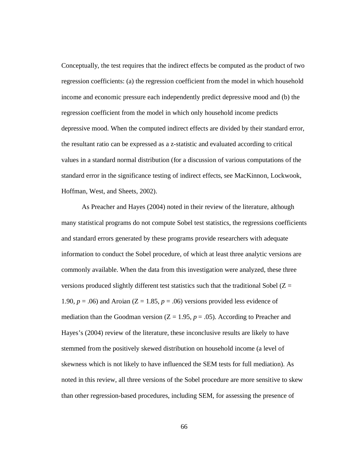Conceptually, the test requires that the indirect effects be computed as the product of two regression coefficients: (a) the regression coefficient from the model in which household income and economic pressure each independently predict depressive mood and (b) the regression coefficient from the model in which only household income predicts depressive mood. When the computed indirect effects are divided by their standard error, the resultant ratio can be expressed as a z-statistic and evaluated according to critical values in a standard normal distribution (for a discussion of various computations of the standard error in the significance testing of indirect effects, see MacKinnon, Lockwook, Hoffman, West, and Sheets, 2002).

As Preacher and Hayes (2004) noted in their review of the literature, although many statistical programs do not compute Sobel test statistics, the regressions coefficients and standard errors generated by these programs provide researchers with adequate information to conduct the Sobel procedure, of which at least three analytic versions are commonly available. When the data from this investigation were analyzed, these three versions produced slightly different test statistics such that the traditional Sobel  $(Z =$ 1.90,  $p = .06$ ) and Aroian ( $Z = 1.85$ ,  $p = .06$ ) versions provided less evidence of mediation than the Goodman version  $(Z = 1.95, p = .05)$ . According to Preacher and Hayes's (2004) review of the literature, these inconclusive results are likely to have stemmed from the positively skewed distribution on household income (a level of skewness which is not likely to have influenced the SEM tests for full mediation). As noted in this review, all three versions of the Sobel procedure are more sensitive to skew than other regression-based procedures, including SEM, for assessing the presence of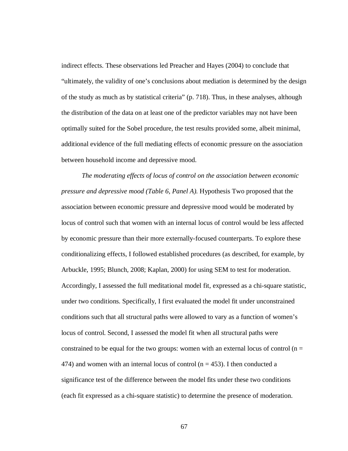indirect effects. These observations led Preacher and Hayes (2004) to conclude that "ultimately, the validity of one's conclusions about mediation is determined by the design of the study as much as by statistical criteria" (p. 718). Thus, in these analyses, although the distribution of the data on at least one of the predictor variables may not have been optimally suited for the Sobel procedure, the test results provided some, albeit minimal, additional evidence of the full mediating effects of economic pressure on the association between household income and depressive mood.

*The moderating effects of locus of control on the association between economic pressure and depressive mood (Table 6, Panel A).* Hypothesis Two proposed that the association between economic pressure and depressive mood would be moderated by locus of control such that women with an internal locus of control would be less affected by economic pressure than their more externally-focused counterparts. To explore these conditionalizing effects, I followed established procedures (as described, for example, by Arbuckle, 1995; Blunch, 2008; Kaplan, 2000) for using SEM to test for moderation. Accordingly, I assessed the full meditational model fit, expressed as a chi-square statistic, under two conditions. Specifically, I first evaluated the model fit under unconstrained conditions such that all structural paths were allowed to vary as a function of women's locus of control. Second, I assessed the model fit when all structural paths were constrained to be equal for the two groups: women with an external locus of control  $(n =$ 474) and women with an internal locus of control ( $n = 453$ ). I then conducted a significance test of the difference between the model fits under these two conditions (each fit expressed as a chi-square statistic) to determine the presence of moderation.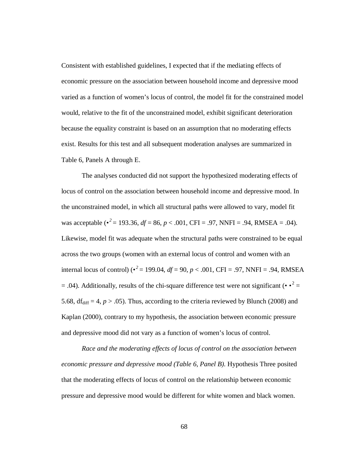Consistent with established guidelines, I expected that if the mediating effects of economic pressure on the association between household income and depressive mood varied as a function of women's locus of control, the model fit for the constrained model would, relative to the fit of the unconstrained model, exhibit significant deterioration because the equality constraint is based on an assumption that no moderating effects exist. Results for this test and all subsequent moderation analyses are summarized in Table 6, Panels A through E.

The analyses conducted did not support the hypothesized moderating effects of locus of control on the association between household income and depressive mood. In the unconstrained model, in which all structural paths were allowed to vary, model fit was acceptable (*• 2* = 193.36, *df* = 86, *p* < .001, CFI = .97, NNFI = .94, RMSEA = .04). Likewise, model fit was adequate when the structural paths were constrained to be equal across the two groups (women with an external locus of control and women with an internal locus of control) ( $\cdot^2$  = 199.04,  $df$  = 90,  $p$  < .001, CFI = .97, NNFI = .94, RMSEA  $= .04$ ). Additionally, results of the chi-square difference test were not significant ( $\cdot \cdot^2$  = 5.68,  $df_{diff} = 4$ ,  $p > .05$ ). Thus, according to the criteria reviewed by Blunch (2008) and Kaplan (2000), contrary to my hypothesis, the association between economic pressure and depressive mood did not vary as a function of women's locus of control.

*Race and the moderating effects of locus of control on the association between economic pressure and depressive mood (Table 6, Panel B).* Hypothesis Three posited that the moderating effects of locus of control on the relationship between economic pressure and depressive mood would be different for white women and black women.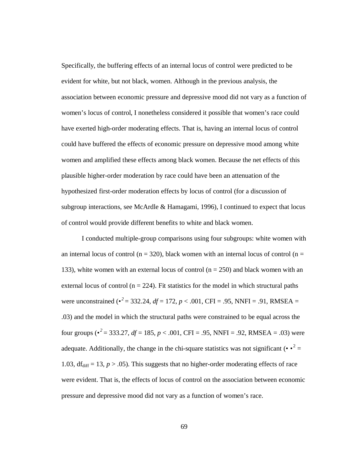Specifically, the buffering effects of an internal locus of control were predicted to be evident for white, but not black, women. Although in the previous analysis, the association between economic pressure and depressive mood did not vary as a function of women's locus of control, I nonetheless considered it possible that women's race could have exerted high-order moderating effects. That is, having an internal locus of control could have buffered the effects of economic pressure on depressive mood among white women and amplified these effects among black women. Because the net effects of this plausible higher-order moderation by race could have been an attenuation of the hypothesized first-order moderation effects by locus of control (for a discussion of subgroup interactions, see McArdle & Hamagami, 1996), I continued to expect that locus of control would provide different benefits to white and black women.

I conducted multiple-group comparisons using four subgroups: white women with an internal locus of control ( $n = 320$ ), black women with an internal locus of control ( $n =$ 133), white women with an external locus of control ( $n = 250$ ) and black women with an external locus of control ( $n = 224$ ). Fit statistics for the model in which structural paths were unconstrained ( $\cdot^2$  = 332.24,  $df$  = 172,  $p$  < .001, CFI = .95, NNFI = .91, RMSEA = .03) and the model in which the structural paths were constrained to be equal across the four groups ( $\cdot^2$  = 333.27, *df* = 185, *p* < .001, CFI = .95, NNFI = .92, RMSEA = .03) were adequate. Additionally, the change in the chi-square statistics was not significant  $(\cdot \cdot^2 =$ 1.03,  $df_{diff} = 13$ ,  $p > .05$ ). This suggests that no higher-order moderating effects of race were evident. That is, the effects of locus of control on the association between economic pressure and depressive mood did not vary as a function of women's race.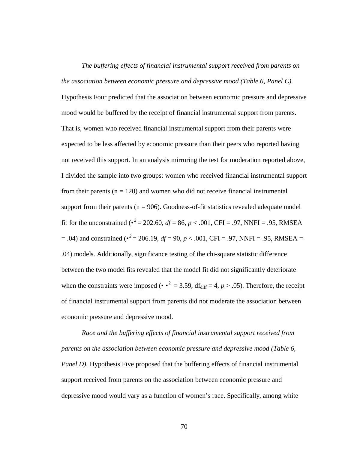*The buffering effects of financial instrumental support received from parents on the association between economic pressure and depressive mood (Table 6, Panel C).* Hypothesis Four predicted that the association between economic pressure and depressive mood would be buffered by the receipt of financial instrumental support from parents. That is, women who received financial instrumental support from their parents were expected to be less affected by economic pressure than their peers who reported having not received this support. In an analysis mirroring the test for moderation reported above, I divided the sample into two groups: women who received financial instrumental support from their parents ( $n = 120$ ) and women who did not receive financial instrumental support from their parents ( $n = 906$ ). Goodness-of-fit statistics revealed adequate model fit for the unconstrained ( $\cdot^2$  = 202.60, *df* = 86, *p* < .001, CFI = .97, NNFI = .95, RMSEA  $= .04$ ) and constrained ( $\cdot^2 = 206.19$ ,  $df = 90$ ,  $p < .001$ , CFI = .97, NNFI = .95, RMSEA = .04) models. Additionally, significance testing of the chi-square statistic difference between the two model fits revealed that the model fit did not significantly deteriorate when the constraints were imposed ( $\cdot \cdot^2 = 3.59$ , df<sub>diff</sub> = 4, *p* > .05). Therefore, the receipt of financial instrumental support from parents did not moderate the association between economic pressure and depressive mood.

*Race and the buffering effects of financial instrumental support received from parents on the association between economic pressure and depressive mood (Table 6, Panel D*). Hypothesis Five proposed that the buffering effects of financial instrumental support received from parents on the association between economic pressure and depressive mood would vary as a function of women's race. Specifically, among white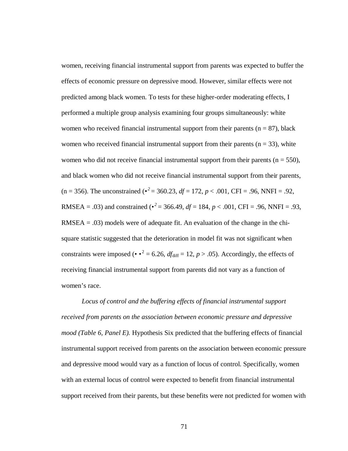women, receiving financial instrumental support from parents was expected to buffer the effects of economic pressure on depressive mood. However, similar effects were not predicted among black women. To tests for these higher-order moderating effects, I performed a multiple group analysis examining four groups simultaneously: white women who received financial instrumental support from their parents ( $n = 87$ ), black women who received financial instrumental support from their parents ( $n = 33$ ), white women who did not receive financial instrumental support from their parents ( $n = 550$ ), and black women who did not receive financial instrumental support from their parents, (n = 356). The unconstrained ( $\cdot^2$  = 360.23, *df* = 172, *p* < .001, CFI = .96, NNFI = .92, RMSEA = .03) and constrained ( $\bullet^2$  = 366.49, *df* = 184, *p* < .001, CFI = .96, NNFI = .93,  $RMSEA = .03$ ) models were of adequate fit. An evaluation of the change in the chisquare statistic suggested that the deterioration in model fit was not significant when constraints were imposed ( $\cdot \cdot^2 = 6.26$ ,  $df_{\text{diff}} = 12$ ,  $p > .05$ ). Accordingly, the effects of receiving financial instrumental support from parents did not vary as a function of women's race.

*Locus of control and the buffering effects of financial instrumental support received from parents on the association between economic pressure and depressive mood (Table 6, Panel E).* Hypothesis Six predicted that the buffering effects of financial instrumental support received from parents on the association between economic pressure and depressive mood would vary as a function of locus of control. Specifically, women with an external locus of control were expected to benefit from financial instrumental support received from their parents, but these benefits were not predicted for women with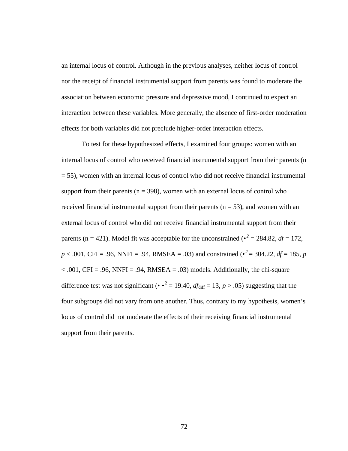an internal locus of control. Although in the previous analyses, neither locus of control nor the receipt of financial instrumental support from parents was found to moderate the association between economic pressure and depressive mood, I continued to expect an interaction between these variables. More generally, the absence of first-order moderation effects for both variables did not preclude higher-order interaction effects.

To test for these hypothesized effects, I examined four groups: women with an internal locus of control who received financial instrumental support from their parents (n = 55), women with an internal locus of control who did not receive financial instrumental support from their parents ( $n = 398$ ), women with an external locus of control who received financial instrumental support from their parents  $(n = 53)$ , and women with an external locus of control who did not receive financial instrumental support from their parents (n = 421). Model fit was acceptable for the unconstrained ( $\epsilon^2 = 284.82$ , *df* = 172,  $p < .001$ , CFI = .96, NNFI = .94, RMSEA = .03) and constrained ( $\cdot^2$  = 304.22, *df* = 185, *p*  $< .001$ , CFI = .96, NNFI = .94, RMSEA = .03) models. Additionally, the chi-square difference test was not significant ( $\cdot \cdot^2 = 19.40$ ,  $df_{\text{diff}} = 13$ ,  $p > .05$ ) suggesting that the four subgroups did not vary from one another. Thus, contrary to my hypothesis, women's locus of control did not moderate the effects of their receiving financial instrumental support from their parents.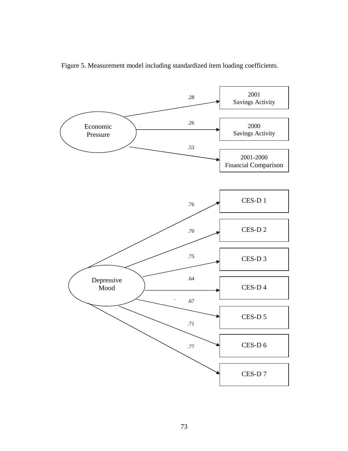

Figure 5. Measurement model including standardized item loading coefficients.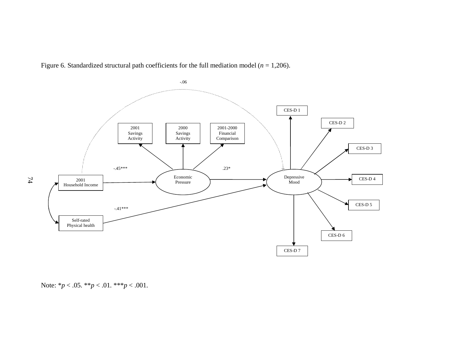Figure 6. Standardized structural path coefficients for the full mediation model (*n* = 1,206).



Note: \**p* < .05. \*\**p* < .01. \*\*\**p* < .001.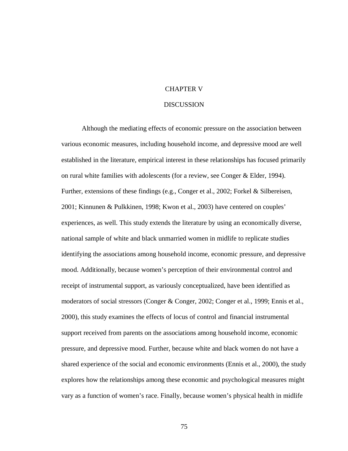## CHAPTER V

#### DISCUSSION

Although the mediating effects of economic pressure on the association between various economic measures, including household income, and depressive mood are well established in the literature, empirical interest in these relationships has focused primarily on rural white families with adolescents (for a review, see Conger & Elder, 1994). Further, extensions of these findings (e.g., Conger et al., 2002; Forkel & Silbereisen, 2001; Kinnunen & Pulkkinen, 1998; Kwon et al., 2003) have centered on couples' experiences, as well. This study extends the literature by using an economically diverse, national sample of white and black unmarried women in midlife to replicate studies identifying the associations among household income, economic pressure, and depressive mood. Additionally, because women's perception of their environmental control and receipt of instrumental support, as variously conceptualized, have been identified as moderators of social stressors (Conger & Conger, 2002; Conger et al., 1999; Ennis et al., 2000), this study examines the effects of locus of control and financial instrumental support received from parents on the associations among household income, economic pressure, and depressive mood. Further, because white and black women do not have a shared experience of the social and economic environments (Ennis et al., 2000), the study explores how the relationships among these economic and psychological measures might vary as a function of women's race. Finally, because women's physical health in midlife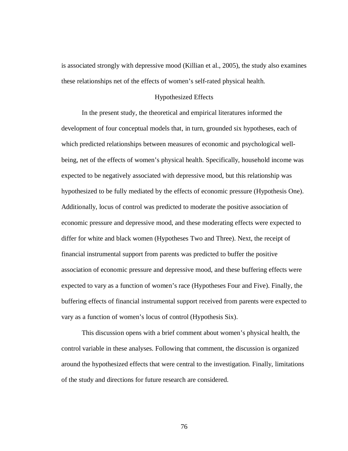is associated strongly with depressive mood (Killian et al., 2005), the study also examines these relationships net of the effects of women's self-rated physical health.

## Hypothesized Effects

In the present study, the theoretical and empirical literatures informed the development of four conceptual models that, in turn, grounded six hypotheses, each of which predicted relationships between measures of economic and psychological wellbeing, net of the effects of women's physical health. Specifically, household income was expected to be negatively associated with depressive mood, but this relationship was hypothesized to be fully mediated by the effects of economic pressure (Hypothesis One). Additionally, locus of control was predicted to moderate the positive association of economic pressure and depressive mood, and these moderating effects were expected to differ for white and black women (Hypotheses Two and Three). Next, the receipt of financial instrumental support from parents was predicted to buffer the positive association of economic pressure and depressive mood, and these buffering effects were expected to vary as a function of women's race (Hypotheses Four and Five). Finally, the buffering effects of financial instrumental support received from parents were expected to vary as a function of women's locus of control (Hypothesis Six).

This discussion opens with a brief comment about women's physical health, the control variable in these analyses. Following that comment, the discussion is organized around the hypothesized effects that were central to the investigation. Finally, limitations of the study and directions for future research are considered.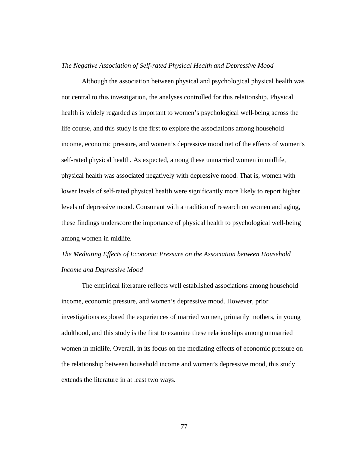## *The Negative Association of Self-rated Physical Health and Depressive Mood*

Although the association between physical and psychological physical health was not central to this investigation, the analyses controlled for this relationship. Physical health is widely regarded as important to women's psychological well-being across the life course, and this study is the first to explore the associations among household income, economic pressure, and women's depressive mood net of the effects of women's self-rated physical health. As expected, among these unmarried women in midlife, physical health was associated negatively with depressive mood. That is, women with lower levels of self-rated physical health were significantly more likely to report higher levels of depressive mood. Consonant with a tradition of research on women and aging, these findings underscore the importance of physical health to psychological well-being among women in midlife.

# *The Mediating Effects of Economic Pressure on the Association between Household Income and Depressive Mood*

The empirical literature reflects well established associations among household income, economic pressure, and women's depressive mood. However, prior investigations explored the experiences of married women, primarily mothers, in young adulthood, and this study is the first to examine these relationships among unmarried women in midlife. Overall, in its focus on the mediating effects of economic pressure on the relationship between household income and women's depressive mood, this study extends the literature in at least two ways.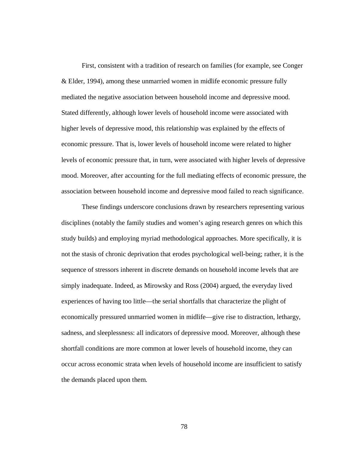First, consistent with a tradition of research on families (for example, see Conger & Elder, 1994), among these unmarried women in midlife economic pressure fully mediated the negative association between household income and depressive mood. Stated differently, although lower levels of household income were associated with higher levels of depressive mood, this relationship was explained by the effects of economic pressure. That is, lower levels of household income were related to higher levels of economic pressure that, in turn, were associated with higher levels of depressive mood. Moreover, after accounting for the full mediating effects of economic pressure, the association between household income and depressive mood failed to reach significance.

These findings underscore conclusions drawn by researchers representing various disciplines (notably the family studies and women's aging research genres on which this study builds) and employing myriad methodological approaches. More specifically, it is not the stasis of chronic deprivation that erodes psychological well-being; rather, it is the sequence of stressors inherent in discrete demands on household income levels that are simply inadequate. Indeed, as Mirowsky and Ross (2004) argued, the everyday lived experiences of having too little—the serial shortfalls that characterize the plight of economically pressured unmarried women in midlife—give rise to distraction, lethargy, sadness, and sleeplessness: all indicators of depressive mood. Moreover, although these shortfall conditions are more common at lower levels of household income, they can occur across economic strata when levels of household income are insufficient to satisfy the demands placed upon them.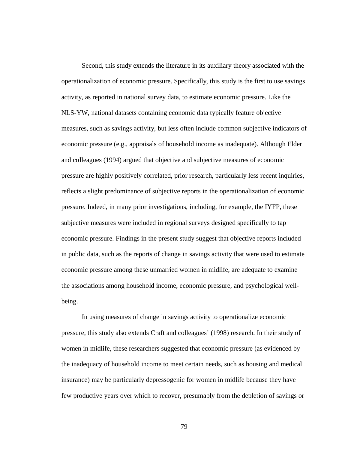Second, this study extends the literature in its auxiliary theory associated with the operationalization of economic pressure. Specifically, this study is the first to use savings activity, as reported in national survey data, to estimate economic pressure. Like the NLS-YW, national datasets containing economic data typically feature objective measures, such as savings activity, but less often include common subjective indicators of economic pressure (e.g., appraisals of household income as inadequate). Although Elder and colleagues (1994) argued that objective and subjective measures of economic pressure are highly positively correlated, prior research, particularly less recent inquiries, reflects a slight predominance of subjective reports in the operationalization of economic pressure. Indeed, in many prior investigations, including, for example, the IYFP, these subjective measures were included in regional surveys designed specifically to tap economic pressure. Findings in the present study suggest that objective reports included in public data, such as the reports of change in savings activity that were used to estimate economic pressure among these unmarried women in midlife, are adequate to examine the associations among household income, economic pressure, and psychological wellbeing.

In using measures of change in savings activity to operationalize economic pressure, this study also extends Craft and colleagues' (1998) research. In their study of women in midlife, these researchers suggested that economic pressure (as evidenced by the inadequacy of household income to meet certain needs, such as housing and medical insurance) may be particularly depressogenic for women in midlife because they have few productive years over which to recover, presumably from the depletion of savings or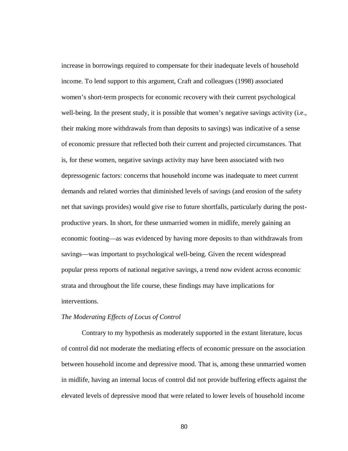increase in borrowings required to compensate for their inadequate levels of household income. To lend support to this argument, Craft and colleagues (1998) associated women's short-term prospects for economic recovery with their current psychological well-being. In the present study, it is possible that women's negative savings activity (i.e., their making more withdrawals from than deposits to savings) was indicative of a sense of economic pressure that reflected both their current and projected circumstances. That is, for these women, negative savings activity may have been associated with two depressogenic factors: concerns that household income was inadequate to meet current demands and related worries that diminished levels of savings (and erosion of the safety net that savings provides) would give rise to future shortfalls, particularly during the postproductive years. In short, for these unmarried women in midlife, merely gaining an economic footing—as was evidenced by having more deposits to than withdrawals from savings—was important to psychological well-being. Given the recent widespread popular press reports of national negative savings, a trend now evident across economic strata and throughout the life course, these findings may have implications for interventions.

## *The Moderating Effects of Locus of Control*

Contrary to my hypothesis as moderately supported in the extant literature, locus of control did not moderate the mediating effects of economic pressure on the association between household income and depressive mood. That is, among these unmarried women in midlife, having an internal locus of control did not provide buffering effects against the elevated levels of depressive mood that were related to lower levels of household income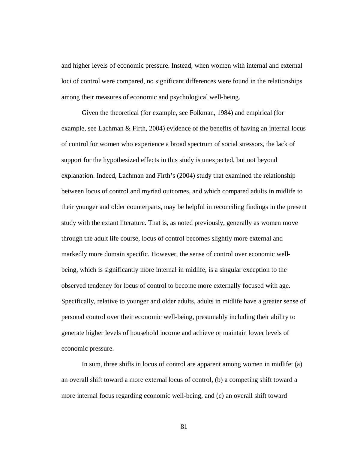and higher levels of economic pressure. Instead, when women with internal and external loci of control were compared, no significant differences were found in the relationships among their measures of economic and psychological well-being.

Given the theoretical (for example, see Folkman, 1984) and empirical (for example, see Lachman & Firth, 2004) evidence of the benefits of having an internal locus of control for women who experience a broad spectrum of social stressors, the lack of support for the hypothesized effects in this study is unexpected, but not beyond explanation. Indeed, Lachman and Firth's (2004) study that examined the relationship between locus of control and myriad outcomes, and which compared adults in midlife to their younger and older counterparts, may be helpful in reconciling findings in the present study with the extant literature. That is, as noted previously, generally as women move through the adult life course, locus of control becomes slightly more external and markedly more domain specific. However, the sense of control over economic wellbeing, which is significantly more internal in midlife, is a singular exception to the observed tendency for locus of control to become more externally focused with age. Specifically, relative to younger and older adults, adults in midlife have a greater sense of personal control over their economic well-being, presumably including their ability to generate higher levels of household income and achieve or maintain lower levels of economic pressure.

In sum, three shifts in locus of control are apparent among women in midlife: (a) an overall shift toward a more external locus of control, (b) a competing shift toward a more internal focus regarding economic well-being, and (c) an overall shift toward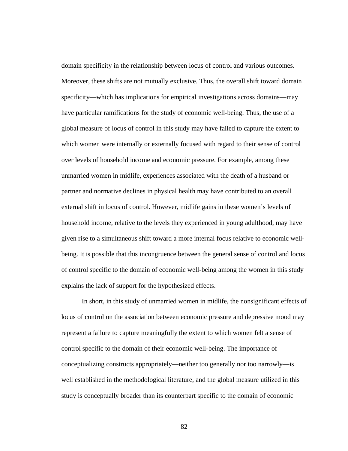domain specificity in the relationship between locus of control and various outcomes. Moreover, these shifts are not mutually exclusive. Thus, the overall shift toward domain specificity—which has implications for empirical investigations across domains—may have particular ramifications for the study of economic well-being. Thus, the use of a global measure of locus of control in this study may have failed to capture the extent to which women were internally or externally focused with regard to their sense of control over levels of household income and economic pressure. For example, among these unmarried women in midlife, experiences associated with the death of a husband or partner and normative declines in physical health may have contributed to an overall external shift in locus of control. However, midlife gains in these women's levels of household income, relative to the levels they experienced in young adulthood, may have given rise to a simultaneous shift toward a more internal focus relative to economic wellbeing. It is possible that this incongruence between the general sense of control and locus of control specific to the domain of economic well-being among the women in this study explains the lack of support for the hypothesized effects.

In short, in this study of unmarried women in midlife, the nonsignificant effects of locus of control on the association between economic pressure and depressive mood may represent a failure to capture meaningfully the extent to which women felt a sense of control specific to the domain of their economic well-being. The importance of conceptualizing constructs appropriately—neither too generally nor too narrowly—is well established in the methodological literature, and the global measure utilized in this study is conceptually broader than its counterpart specific to the domain of economic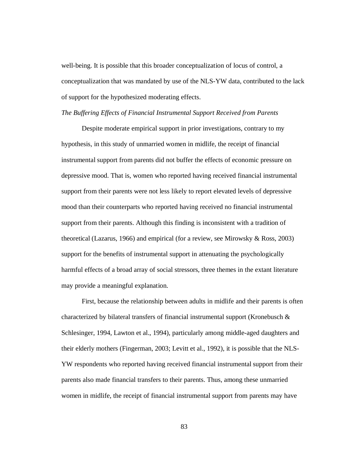well-being. It is possible that this broader conceptualization of locus of control, a conceptualization that was mandated by use of the NLS-YW data, contributed to the lack of support for the hypothesized moderating effects.

#### *The Buffering Effects of Financial Instrumental Support Received from Parents*

Despite moderate empirical support in prior investigations, contrary to my hypothesis, in this study of unmarried women in midlife, the receipt of financial instrumental support from parents did not buffer the effects of economic pressure on depressive mood. That is, women who reported having received financial instrumental support from their parents were not less likely to report elevated levels of depressive mood than their counterparts who reported having received no financial instrumental support from their parents. Although this finding is inconsistent with a tradition of theoretical (Lazarus, 1966) and empirical (for a review, see Mirowsky & Ross, 2003) support for the benefits of instrumental support in attenuating the psychologically harmful effects of a broad array of social stressors, three themes in the extant literature may provide a meaningful explanation.

First, because the relationship between adults in midlife and their parents is often characterized by bilateral transfers of financial instrumental support (Kronebusch  $\&$ Schlesinger, 1994, Lawton et al., 1994), particularly among middle-aged daughters and their elderly mothers (Fingerman, 2003; Levitt et al., 1992), it is possible that the NLS-YW respondents who reported having received financial instrumental support from their parents also made financial transfers to their parents. Thus, among these unmarried women in midlife, the receipt of financial instrumental support from parents may have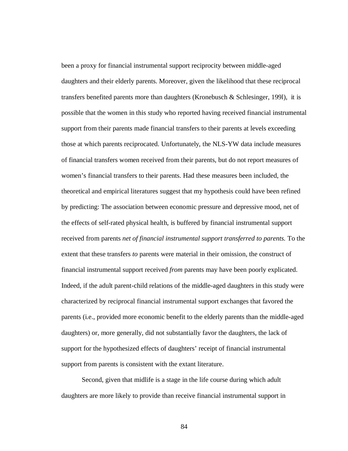been a proxy for financial instrumental support reciprocity between middle-aged daughters and their elderly parents. Moreover, given the likelihood that these reciprocal transfers benefited parents more than daughters (Kronebusch & Schlesinger, 199l), it is possible that the women in this study who reported having received financial instrumental support from their parents made financial transfers to their parents at levels exceeding those at which parents reciprocated. Unfortunately, the NLS-YW data include measures of financial transfers women received from their parents, but do not report measures of women's financial transfers to their parents. Had these measures been included, the theoretical and empirical literatures suggest that my hypothesis could have been refined by predicting: The association between economic pressure and depressive mood, net of the effects of self-rated physical health, is buffered by financial instrumental support received from parents *net of financial instrumental support transferred to parents.* To the extent that these transfers *to* parents were material in their omission, the construct of financial instrumental support received *from* parents may have been poorly explicated. Indeed, if the adult parent-child relations of the middle-aged daughters in this study were characterized by reciprocal financial instrumental support exchanges that favored the parents (i.e., provided more economic benefit to the elderly parents than the middle-aged daughters) or, more generally, did not substantially favor the daughters, the lack of support for the hypothesized effects of daughters' receipt of financial instrumental support from parents is consistent with the extant literature.

Second, given that midlife is a stage in the life course during which adult daughters are more likely to provide than receive financial instrumental support in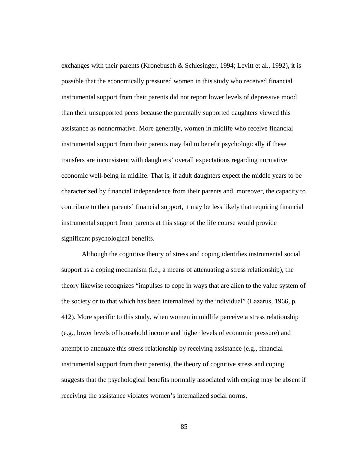exchanges with their parents (Kronebusch & Schlesinger, 1994; Levitt et al., 1992), it is possible that the economically pressured women in this study who received financial instrumental support from their parents did not report lower levels of depressive mood than their unsupported peers because the parentally supported daughters viewed this assistance as nonnormative. More generally, women in midlife who receive financial instrumental support from their parents may fail to benefit psychologically if these transfers are inconsistent with daughters' overall expectations regarding normative economic well-being in midlife. That is, if adult daughters expect the middle years to be characterized by financial independence from their parents and, moreover, the capacity to contribute to their parents' financial support, it may be less likely that requiring financial instrumental support from parents at this stage of the life course would provide significant psychological benefits.

Although the cognitive theory of stress and coping identifies instrumental social support as a coping mechanism (i.e., a means of attenuating a stress relationship), the theory likewise recognizes "impulses to cope in ways that are alien to the value system of the society or to that which has been internalized by the individual" (Lazarus, 1966, p. 412). More specific to this study, when women in midlife perceive a stress relationship (e.g., lower levels of household income and higher levels of economic pressure) and attempt to attenuate this stress relationship by receiving assistance (e.g., financial instrumental support from their parents), the theory of cognitive stress and coping suggests that the psychological benefits normally associated with coping may be absent if receiving the assistance violates women's internalized social norms.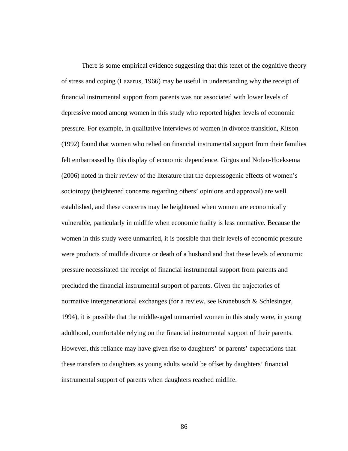There is some empirical evidence suggesting that this tenet of the cognitive theory of stress and coping (Lazarus, 1966) may be useful in understanding why the receipt of financial instrumental support from parents was not associated with lower levels of depressive mood among women in this study who reported higher levels of economic pressure. For example, in qualitative interviews of women in divorce transition, Kitson (1992) found that women who relied on financial instrumental support from their families felt embarrassed by this display of economic dependence. Girgus and Nolen-Hoeksema (2006) noted in their review of the literature that the depressogenic effects of women's sociotropy (heightened concerns regarding others' opinions and approval) are well established, and these concerns may be heightened when women are economically vulnerable, particularly in midlife when economic frailty is less normative. Because the women in this study were unmarried, it is possible that their levels of economic pressure were products of midlife divorce or death of a husband and that these levels of economic pressure necessitated the receipt of financial instrumental support from parents and precluded the financial instrumental support of parents. Given the trajectories of normative intergenerational exchanges (for a review, see Kronebusch & Schlesinger, 1994), it is possible that the middle-aged unmarried women in this study were, in young adulthood, comfortable relying on the financial instrumental support of their parents. However, this reliance may have given rise to daughters' or parents' expectations that these transfers to daughters as young adults would be offset by daughters' financial instrumental support of parents when daughters reached midlife.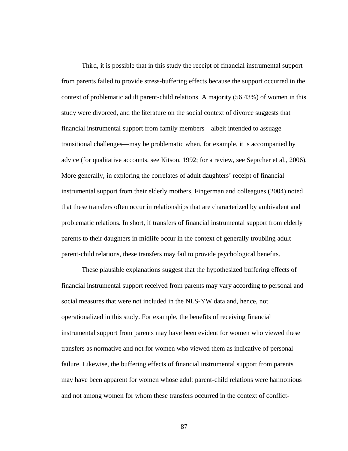Third, it is possible that in this study the receipt of financial instrumental support from parents failed to provide stress-buffering effects because the support occurred in the context of problematic adult parent-child relations. A majority (56.43%) of women in this study were divorced, and the literature on the social context of divorce suggests that financial instrumental support from family members—albeit intended to assuage transitional challenges—may be problematic when, for example, it is accompanied by advice (for qualitative accounts, see Kitson, 1992; for a review, see Seprcher et al., 2006). More generally, in exploring the correlates of adult daughters' receipt of financial instrumental support from their elderly mothers, Fingerman and colleagues (2004) noted that these transfers often occur in relationships that are characterized by ambivalent and problematic relations. In short, if transfers of financial instrumental support from elderly parents to their daughters in midlife occur in the context of generally troubling adult parent-child relations, these transfers may fail to provide psychological benefits.

These plausible explanations suggest that the hypothesized buffering effects of financial instrumental support received from parents may vary according to personal and social measures that were not included in the NLS-YW data and, hence, not operationalized in this study. For example, the benefits of receiving financial instrumental support from parents may have been evident for women who viewed these transfers as normative and not for women who viewed them as indicative of personal failure. Likewise, the buffering effects of financial instrumental support from parents may have been apparent for women whose adult parent-child relations were harmonious and not among women for whom these transfers occurred in the context of conflict-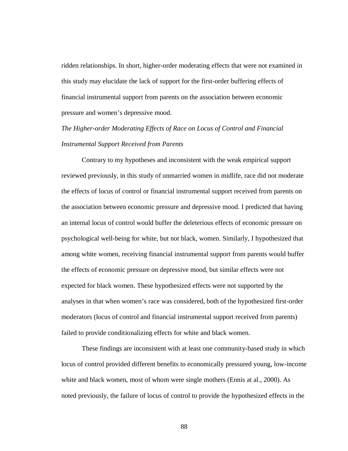ridden relationships. In short, higher-order moderating effects that were not examined in this study may elucidate the lack of support for the first-order buffering effects of financial instrumental support from parents on the association between economic pressure and women's depressive mood.

## *The Higher-order Moderating Effects of Race on Locus of Control and Financial Instrumental Support Received from Parents*

Contrary to my hypotheses and inconsistent with the weak empirical support reviewed previously, in this study of unmarried women in midlife, race did not moderate the effects of locus of control or financial instrumental support received from parents on the association between economic pressure and depressive mood. I predicted that having an internal locus of control would buffer the deleterious effects of economic pressure on psychological well-being for white, but not black, women. Similarly, I hypothesized that among white women, receiving financial instrumental support from parents would buffer the effects of economic pressure on depressive mood, but similar effects were not expected for black women. These hypothesized effects were not supported by the analyses in that when women's race was considered, both of the hypothesized first-order moderators (locus of control and financial instrumental support received from parents) failed to provide conditionalizing effects for white and black women.

These findings are inconsistent with at least one community-based study in which locus of control provided different benefits to economically pressured young, low-income white and black women, most of whom were single mothers (Ennis at al., 2000). As noted previously, the failure of locus of control to provide the hypothesized effects in the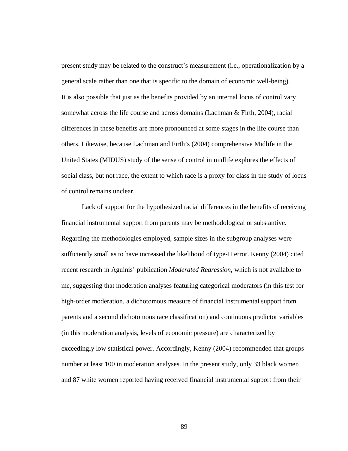present study may be related to the construct's measurement (i.e., operationalization by a general scale rather than one that is specific to the domain of economic well-being). It is also possible that just as the benefits provided by an internal locus of control vary somewhat across the life course and across domains (Lachman & Firth, 2004), racial differences in these benefits are more pronounced at some stages in the life course than others. Likewise, because Lachman and Firth's (2004) comprehensive Midlife in the United States (MIDUS) study of the sense of control in midlife explores the effects of social class, but not race, the extent to which race is a proxy for class in the study of locus of control remains unclear.

Lack of support for the hypothesized racial differences in the benefits of receiving financial instrumental support from parents may be methodological or substantive. Regarding the methodologies employed, sample sizes in the subgroup analyses were sufficiently small as to have increased the likelihood of type-II error. Kenny (2004) cited recent research in Aguinis' publication *Moderated Regression*, which is not available to me, suggesting that moderation analyses featuring categorical moderators (in this test for high-order moderation, a dichotomous measure of financial instrumental support from parents and a second dichotomous race classification) and continuous predictor variables (in this moderation analysis, levels of economic pressure) are characterized by exceedingly low statistical power. Accordingly, Kenny (2004) recommended that groups number at least 100 in moderation analyses. In the present study, only 33 black women and 87 white women reported having received financial instrumental support from their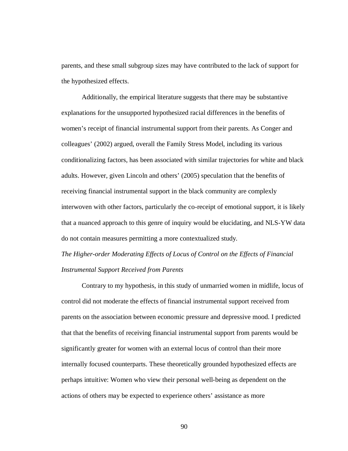parents, and these small subgroup sizes may have contributed to the lack of support for the hypothesized effects.

Additionally, the empirical literature suggests that there may be substantive explanations for the unsupported hypothesized racial differences in the benefits of women's receipt of financial instrumental support from their parents. As Conger and colleagues' (2002) argued, overall the Family Stress Model, including its various conditionalizing factors, has been associated with similar trajectories for white and black adults. However, given Lincoln and others' (2005) speculation that the benefits of receiving financial instrumental support in the black community are complexly interwoven with other factors, particularly the co-receipt of emotional support, it is likely that a nuanced approach to this genre of inquiry would be elucidating, and NLS-YW data do not contain measures permitting a more contextualized study.

*The Higher-order Moderating Effects of Locus of Control on the Effects of Financial Instrumental Support Received from Parents*

Contrary to my hypothesis, in this study of unmarried women in midlife, locus of control did not moderate the effects of financial instrumental support received from parents on the association between economic pressure and depressive mood. I predicted that that the benefits of receiving financial instrumental support from parents would be significantly greater for women with an external locus of control than their more internally focused counterparts. These theoretically grounded hypothesized effects are perhaps intuitive: Women who view their personal well-being as dependent on the actions of others may be expected to experience others' assistance as more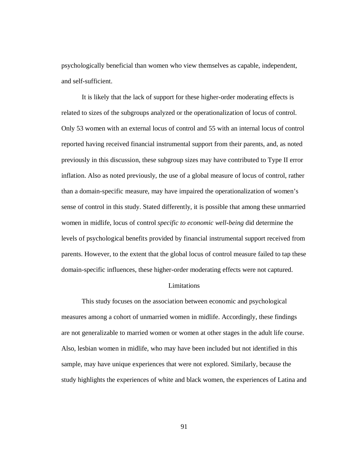psychologically beneficial than women who view themselves as capable, independent, and self-sufficient.

It is likely that the lack of support for these higher-order moderating effects is related to sizes of the subgroups analyzed or the operationalization of locus of control. Only 53 women with an external locus of control and 55 with an internal locus of control reported having received financial instrumental support from their parents, and, as noted previously in this discussion, these subgroup sizes may have contributed to Type II error inflation. Also as noted previously, the use of a global measure of locus of control, rather than a domain-specific measure, may have impaired the operationalization of women's sense of control in this study. Stated differently, it is possible that among these unmarried women in midlife, locus of control *specific to economic well-being* did determine the levels of psychological benefits provided by financial instrumental support received from parents. However, to the extent that the global locus of control measure failed to tap these domain-specific influences, these higher-order moderating effects were not captured.

## Limitations

This study focuses on the association between economic and psychological measures among a cohort of unmarried women in midlife. Accordingly, these findings are not generalizable to married women or women at other stages in the adult life course. Also, lesbian women in midlife, who may have been included but not identified in this sample, may have unique experiences that were not explored. Similarly, because the study highlights the experiences of white and black women, the experiences of Latina and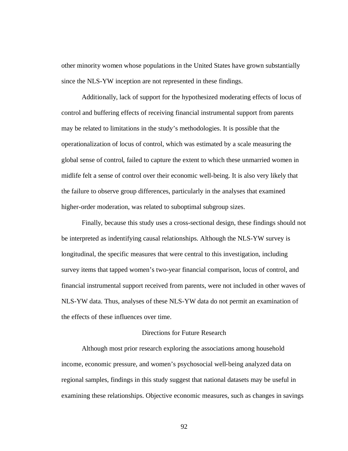other minority women whose populations in the United States have grown substantially since the NLS-YW inception are not represented in these findings.

Additionally, lack of support for the hypothesized moderating effects of locus of control and buffering effects of receiving financial instrumental support from parents may be related to limitations in the study's methodologies. It is possible that the operationalization of locus of control, which was estimated by a scale measuring the global sense of control, failed to capture the extent to which these unmarried women in midlife felt a sense of control over their economic well-being. It is also very likely that the failure to observe group differences, particularly in the analyses that examined higher-order moderation, was related to suboptimal subgroup sizes.

Finally, because this study uses a cross-sectional design, these findings should not be interpreted as indentifying causal relationships. Although the NLS-YW survey is longitudinal, the specific measures that were central to this investigation, including survey items that tapped women's two-year financial comparison, locus of control, and financial instrumental support received from parents, were not included in other waves of NLS-YW data. Thus, analyses of these NLS-YW data do not permit an examination of the effects of these influences over time.

## Directions for Future Research

Although most prior research exploring the associations among household income, economic pressure, and women's psychosocial well-being analyzed data on regional samples, findings in this study suggest that national datasets may be useful in examining these relationships. Objective economic measures, such as changes in savings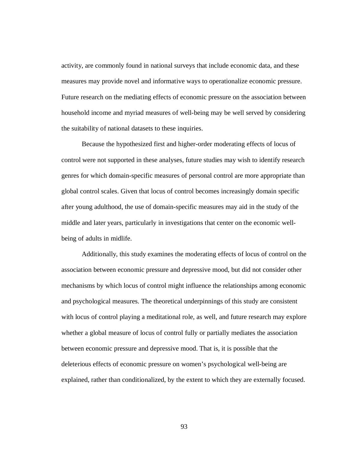activity, are commonly found in national surveys that include economic data, and these measures may provide novel and informative ways to operationalize economic pressure. Future research on the mediating effects of economic pressure on the association between household income and myriad measures of well-being may be well served by considering the suitability of national datasets to these inquiries.

Because the hypothesized first and higher-order moderating effects of locus of control were not supported in these analyses, future studies may wish to identify research genres for which domain-specific measures of personal control are more appropriate than global control scales. Given that locus of control becomes increasingly domain specific after young adulthood, the use of domain-specific measures may aid in the study of the middle and later years, particularly in investigations that center on the economic wellbeing of adults in midlife.

Additionally, this study examines the moderating effects of locus of control on the association between economic pressure and depressive mood, but did not consider other mechanisms by which locus of control might influence the relationships among economic and psychological measures. The theoretical underpinnings of this study are consistent with locus of control playing a meditational role, as well, and future research may explore whether a global measure of locus of control fully or partially mediates the association between economic pressure and depressive mood. That is, it is possible that the deleterious effects of economic pressure on women's psychological well-being are explained, rather than conditionalized, by the extent to which they are externally focused.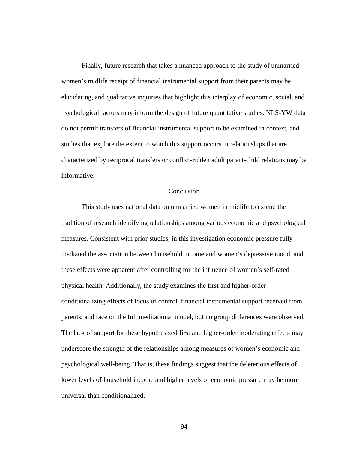Finally, future research that takes a nuanced approach to the study of unmarried women's midlife receipt of financial instrumental support from their parents may be elucidating, and qualitative inquiries that highlight this interplay of economic, social, and psychological factors may inform the design of future quantitative studies. NLS-YW data do not permit transfers of financial instrumental support to be examined in context, and studies that explore the extent to which this support occurs in relationships that are characterized by reciprocal transfers or conflict-ridden adult parent-child relations may be informative.

## **Conclusion**

This study uses national data on unmarried women in midlife to extend the tradition of research identifying relationships among various economic and psychological measures. Consistent with prior studies, in this investigation economic pressure fully mediated the association between household income and women's depressive mood, and these effects were apparent after controlling for the influence of women's self-rated physical health. Additionally, the study examines the first and higher-order conditionalizing effects of locus of control, financial instrumental support received from parents, and race on the full meditational model, but no group differences were observed. The lack of support for these hypothesized first and higher-order moderating effects may underscore the strength of the relationships among measures of women's economic and psychological well-being. That is, these findings suggest that the deleterious effects of lower levels of household income and higher levels of economic pressure may be more universal than conditionalized.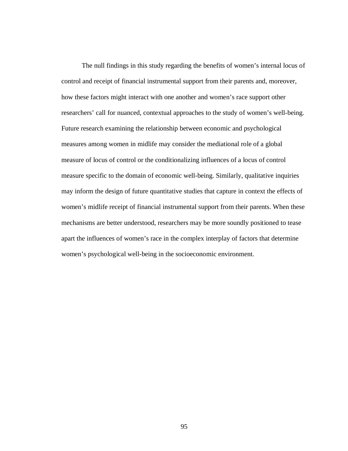The null findings in this study regarding the benefits of women's internal locus of control and receipt of financial instrumental support from their parents and, moreover, how these factors might interact with one another and women's race support other researchers' call for nuanced, contextual approaches to the study of women's well-being. Future research examining the relationship between economic and psychological measures among women in midlife may consider the mediational role of a global measure of locus of control or the conditionalizing influences of a locus of control measure specific to the domain of economic well-being. Similarly, qualitative inquiries may inform the design of future quantitative studies that capture in context the effects of women's midlife receipt of financial instrumental support from their parents. When these mechanisms are better understood, researchers may be more soundly positioned to tease apart the influences of women's race in the complex interplay of factors that determine women's psychological well-being in the socioeconomic environment.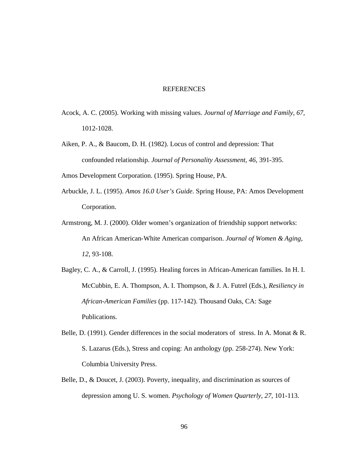## REFERENCES

- Acock, A. C. (2005). Working with missing values. *Journal of Marriage and Family, 67,* 1012-1028.
- Aiken, P. A., & Baucom, D. H. (1982). Locus of control and depression: That confounded relationship. *Journal of Personality Assessment, 46,* 391-395.

Amos Development Corporation. (1995). Spring House, PA.

- Arbuckle, J. L. (1995). *Amos 16.0 User's Guide*. Spring House, PA: Amos Development Corporation.
- Armstrong, M. J. (2000). Older women's organization of friendship support networks: An African American-White American comparison. *Journal of Women & Aging, 12,* 93-108.
- Bagley, C. A., & Carroll, J. (1995). Healing forces in African-American families. In H. I. McCubbin, E. A. Thompson, A. I. Thompson, & J. A. Futrel (Eds.), *Resiliency in African-American Families* (pp. 117-142). Thousand Oaks, CA: Sage Publications.
- Belle, D. (1991). Gender differences in the social moderators of stress. In A. Monat & R. S. Lazarus (Eds.), Stress and coping: An anthology (pp. 258-274). New York: Columbia University Press.
- Belle, D., & Doucet, J. (2003). Poverty, inequality, and discrimination as sources of depression among U. S. women. *Psychology of Women Quarterly, 27,* 101-113.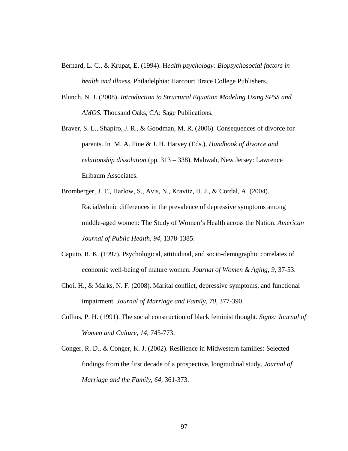- Bernard, L. C., & Krupat, E. (1994). H*ealth psychology: Biopsychosocial factors in health and illness.* Philadelphia: Harcourt Brace College Publishers.
- Blunch, N. J. (2008). *Introduction to Structural Equation Modeling Using SPSS and AMOS.* Thousand Oaks, CA: Sage Publications.
- Braver, S. L., Shapiro, J. R., & Goodman, M. R. (2006). Consequences of divorce for parents. In M. A. Fine & J. H. Harvey (Eds.), *Handbook of divorce and relationship dissolution* (pp. 313 – 338). Mahwah, New Jersey: Lawrence Erlbaum Associates.
- Bromberger, J. T., Harlow, S., Avis, N., Kravitz, H. J., & Cordal, A. (2004). Racial/ethnic differences in the prevalence of depressive symptoms among middle-aged women: The Study of Women's Health across the Nation. *American Journal of Public Health, 94,* 1378-1385.
- Caputo, R. K. (1997). Psychological, attitudinal, and socio-demographic correlates of economic well-being of mature women. *Journal of Women & Aging, 9*, 37-53.
- Choi, H., & Marks, N. F. (2008). Marital conflict, depressive symptoms, and functional impairment. *Journal of Marriage and Family, 70*, 377-390.
- Collins, P. H. (1991). The social construction of black feminist thought. *Signs: Journal of Women and Culture, 14,* 745-773.
- Conger, R. D., & Conger, K. J. (2002). Resilience in Midwestern families: Selected findings from the first decade of a prospective, longitudinal study. *Journal of Marriage and the Family, 64,* 361-373.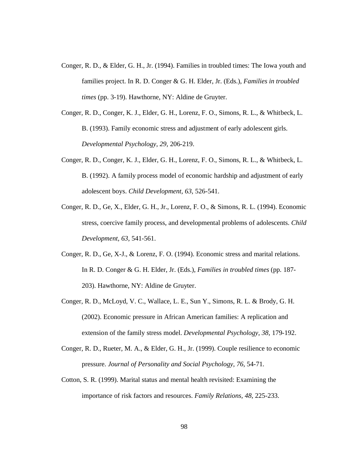- Conger, R. D., & Elder, G. H., Jr. (1994). Families in troubled times: The Iowa youth and families project. In R. D. Conger & G. H. Elder, Jr. (Eds.), *Families in troubled times* (pp. 3-19). Hawthorne, NY: Aldine de Gruyter.
- Conger, R. D., Conger, K. J., Elder, G. H., Lorenz, F. O., Simons, R. L., & Whitbeck, L. B. (1993). Family economic stress and adjustment of early adolescent girls. *Developmental Psychology, 29,* 206-219.
- Conger, R. D., Conger, K. J., Elder, G. H., Lorenz, F. O., Simons, R. L., & Whitbeck, L. B. (1992). A family process model of economic hardship and adjustment of early adolescent boys. *Child Development, 63,* 526-541.
- Conger, R. D., Ge, X., Elder, G. H., Jr., Lorenz, F. O., & Simons, R. L. (1994). Economic stress, coercive family process, and developmental problems of adolescents. *Child Development, 63,* 541-561.
- Conger, R. D., Ge, X-J., & Lorenz, F. O. (1994). Economic stress and marital relations. In R. D. Conger & G. H. Elder, Jr. (Eds.), *Families in troubled times* (pp. 187- 203). Hawthorne, NY: Aldine de Gruyter.
- Conger, R. D., McLoyd, V. C., Wallace, L. E., Sun Y., Simons, R. L. & Brody, G. H. (2002). Economic pressure in African American families: A replication and extension of the family stress model. *Developmental Psychology, 38,* 179-192.
- Conger, R. D., Rueter, M. A., & Elder, G. H., Jr. (1999). Couple resilience to economic pressure. *Journal of Personality and Social Psychology, 76,* 54-71.
- Cotton, S. R. (1999). Marital status and mental health revisited: Examining the importance of risk factors and resources. *Family Relations, 48*, 225-233.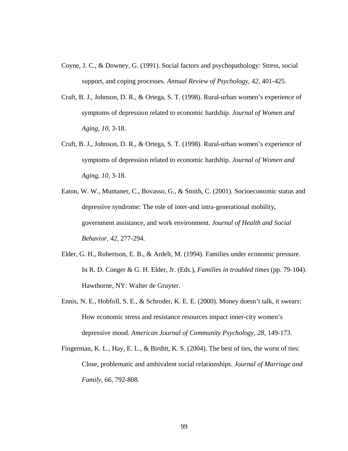- Coyne, J. C., & Downey, G. (1991). Social factors and psychopathology: Stress, social support, and coping processes. *Annual Review of Psychology, 42,* 401-425.
- Craft, B. J., Johnson, D. R., & Ortega, S. T. (1998). Rural-urban women's experience of symptoms of depression related to economic hardship. *Journal of Women and Aging, 10,* 3-18.
- Craft, B. J., Johnson, D. R., & Ortega, S. T. (1998). Rural-urban women's experience of symptoms of depression related to economic hardship. *Journal of Women and Aging, 10,* 3-18.
- Eaton, W. W., Muntaner, C., Bovasso, G., & Smith, C. (2001). Socioeconomic status and depressive syndrome: The role of inter-and intra-generational mobility, government assistance, and work environment. *Journal of Health and Social Behavior, 42,* 277-294.
- Elder, G. H., Robertson, E. B., & Ardelt, M. (1994). Families under economic pressure. In R. D. Conger & G. H. Elder, Jr. (Eds.), *Families in troubled times* (pp. 79-104). Hawthorne, NY: Walter de Gruyter.
- Ennis, N. E., Hobfoll, S. E., & Schroder, K. E. E. (2000). Money doesn't talk, it swears: How economic stress and resistance resources impact inner-city women's depressive mood. *American Journal of Community Psychology, 28,* 149-173.
- Fingerman, K. L., Hay, E. L., & Birditt, K. S. (2004). The best of ties, the worst of ties: Close, problematic and ambivalent social relationships. *Journal of Marriage and Family, 66,* 792-808.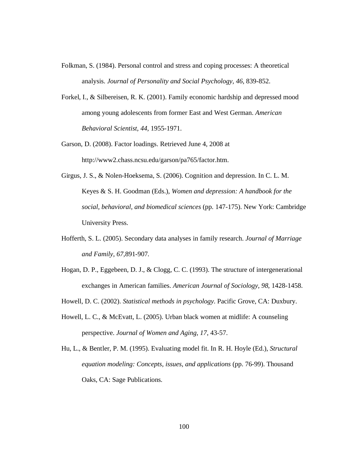- Folkman, S. (1984). Personal control and stress and coping processes: A theoretical analysis. *Journal of Personality and Social Psychology, 46,* 839-852.
- Forkel, I., & Silbereisen, R. K. (2001). Family economic hardship and depressed mood among young adolescents from former East and West German. *American Behavioral Scientist, 44,* 1955-1971.
- Garson, D. (2008). Factor loadings. Retrieved June 4, 2008 at http://www2.chass.ncsu.edu/garson/pa765/factor.htm.
- Girgus, J. S., & Nolen-Hoeksema, S. (2006). Cognition and depression. In C. L. M. Keyes & S. H. Goodman (Eds.), *Women and depression: A handbook for the social, behavioral, and biomedical sciences* (pp. 147-175). New York: Cambridge University Press.
- Hofferth, S. L. (2005). Secondary data analyses in family research. *Journal of Marriage and Family, 67,*891-907*.*
- Hogan, D. P., Eggebeen, D. J., & Clogg, C. C. (1993). The structure of intergenerational exchanges in American families. *American Journal of Sociology, 98*, 1428-1458.
- Howell, D. C. (2002). *Statistical methods in psychology*. Pacific Grove, CA: Duxbury.
- Howell, L. C., & McEvatt, L. (2005). Urban black women at midlife: A counseling perspective. *Journal of Women and Aging, 17*, 43-57.
- Hu, L., & Bentler, P. M. (1995). Evaluating model fit. In R. H. Hoyle (Ed.), *Structural equation modeling: Concepts, issues, and applications* (pp. 76-99). Thousand Oaks, CA: Sage Publications.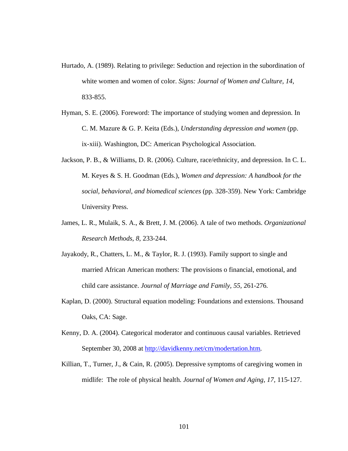- Hurtado, A. (1989). Relating to privilege: Seduction and rejection in the subordination of white women and women of color. *Signs: Journal of Women and Culture, 14,* 833-855.
- Hyman, S. E. (2006). Foreword: The importance of studying women and depression. In C. M. Mazure & G. P. Keita (Eds.), *Understanding depression and women* (pp. ix-xiii). Washington, DC: American Psychological Association.
- Jackson, P. B., & Williams, D. R. (2006). Culture, race/ethnicity, and depression. In C. L. M. Keyes & S. H. Goodman (Eds.), *Women and depression: A handbook for the social, behavioral, and biomedical sciences* (pp. 328-359). New York: Cambridge University Press.
- James, L. R., Mulaik, S. A., & Brett, J. M. (2006). A tale of two methods. *Organizational Research Methods, 8,* 233-244.
- Jayakody, R., Chatters, L. M., & Taylor, R. J. (1993). Family support to single and married African American mothers: The provisions o financial, emotional, and child care assistance. *Journal of Marriage and Family, 55,* 261-276.
- Kaplan, D. (2000). Structural equation modeling: Foundations and extensions. Thousand Oaks, CA: Sage.
- Kenny, D. A. (2004). Categorical moderator and continuous causal variables. Retrieved September 30, 2008 at http://davidkenny.net/cm/modertation.htm.
- Killian, T., Turner, J., & Cain, R. (2005). Depressive symptoms of caregiving women in midlife: The role of physical health. *Journal of Women and Aging, 17,* 115-127.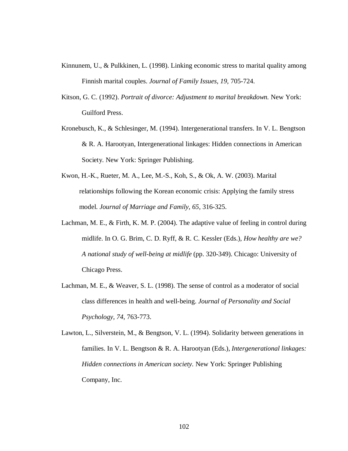- Kinnunem, U., & Pulkkinen, L. (1998). Linking economic stress to marital quality among Finnish marital couples. *Journal of Family Issues, 19,* 705-724.
- Kitson, G. C. (1992). *Portrait of divorce: Adjustment to marital breakdown.* New York: Guilford Press.
- Kronebusch, K., & Schlesinger, M. (1994). Intergenerational transfers. In V. L. Bengtson & R. A. Harootyan, Intergenerational linkages: Hidden connections in American Society. New York: Springer Publishing.
- Kwon, H.-K., Rueter, M. A., Lee, M.-S., Koh, S., & Ok, A. W. (2003). Marital relationships following the Korean economic crisis: Applying the family stress model. *Journal of Marriage and Family, 65,* 316-325.
- Lachman, M. E., & Firth, K. M. P. (2004). The adaptive value of feeling in control during midlife. In O. G. Brim, C. D. Ryff, & R. C. Kessler (Eds.), *How healthy are we? A national study of well-being at midlife* (pp. 320-349). Chicago: University of Chicago Press.
- Lachman, M. E., & Weaver, S. L. (1998). The sense of control as a moderator of social class differences in health and well-being. *Journal of Personality and Social Psychology, 74,* 763-773.
- Lawton, L., Silverstein, M., & Bengtson, V. L. (1994). Solidarity between generations in families. In V. L. Bengtson & R. A. Harootyan (Eds.), *Intergenerational linkages: Hidden connections in American society.* New York: Springer Publishing Company, Inc.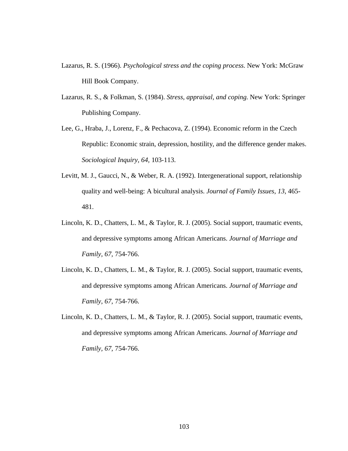- Lazarus, R. S. (1966). *Psychological stress and the coping process*. New York: McGraw Hill Book Company.
- Lazarus, R. S., & Folkman, S. (1984). *Stress, appraisal, and coping*. New York: Springer Publishing Company.
- Lee, G., Hraba, J., Lorenz, F., & Pechacova, Z. (1994). Economic reform in the Czech Republic: Economic strain, depression, hostility, and the difference gender makes. *Sociological Inquiry, 64,* 103-113.
- Levitt, M. J., Gaucci, N., & Weber, R. A. (1992). Intergenerational support, relationship quality and well-being: A bicultural analysis. *Journal of Family Issues, 13,* 465- 481.
- Lincoln, K. D., Chatters, L. M., & Taylor, R. J. (2005). Social support, traumatic events, and depressive symptoms among African Americans. *Journal of Marriage and Family, 67,* 754-766.
- Lincoln, K. D., Chatters, L. M., & Taylor, R. J. (2005). Social support, traumatic events, and depressive symptoms among African Americans. *Journal of Marriage and Family, 67,* 754-766.
- Lincoln, K. D., Chatters, L. M., & Taylor, R. J. (2005). Social support, traumatic events, and depressive symptoms among African Americans. *Journal of Marriage and Family, 67,* 754-766.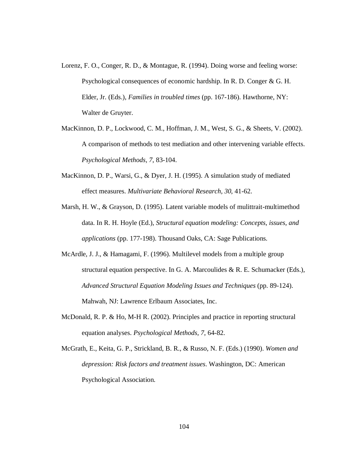- Lorenz, F. O., Conger, R. D., & Montague, R. (1994). Doing worse and feeling worse: Psychological consequences of economic hardship. In R. D. Conger & G. H. Elder, Jr. (Eds.), *Families in troubled times* (pp. 167-186). Hawthorne, NY: Walter de Gruyter.
- MacKinnon, D. P., Lockwood, C. M., Hoffman, J. M., West, S. G., & Sheets, V. (2002). A comparison of methods to test mediation and other intervening variable effects. *Psychological Methods, 7*, 83-104.
- MacKinnon, D. P., Warsi, G., & Dyer, J. H. (1995). A simulation study of mediated effect measures. *Multivariate Behavioral Research, 30*, 41-62.
- Marsh, H. W., & Grayson, D. (1995). Latent variable models of mulittrait-multimethod data. In R. H. Hoyle (Ed.), *Structural equation modeling: Concepts, issues, and applications* (pp. 177-198). Thousand Oaks, CA: Sage Publications.
- McArdle, J. J., & Hamagami, F. (1996). Multilevel models from a multiple group structural equation perspective. In G. A. Marcoulides & R. E. Schumacker (Eds.), *Advanced Structural Equation Modeling Issues and Techniques* (pp. 89-124). Mahwah, NJ: Lawrence Erlbaum Associates, Inc.
- McDonald, R. P. & Ho, M-H R. (2002). Principles and practice in reporting structural equation analyses. *Psychological Methods, 7*, 64-82.
- McGrath, E., Keita, G. P., Strickland, B. R., & Russo, N. F. (Eds.) (1990). *Women and depression: Risk factors and treatment issues*. Washington, DC: American Psychological Association.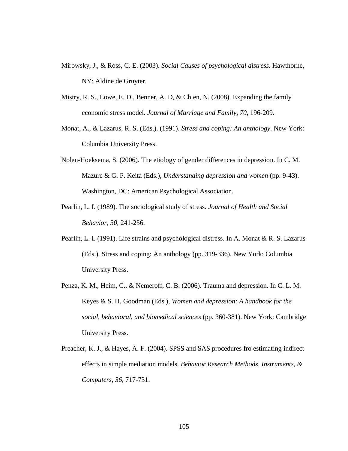- Mirowsky, J., & Ross, C. E. (2003). *Social Causes of psychological distress*. Hawthorne, NY: Aldine de Gruyter.
- Mistry, R. S., Lowe, E. D., Benner, A. D, & Chien, N. (2008). Expanding the family economic stress model. *Journal of Marriage and Family, 70,* 196-209.
- Monat, A., & Lazarus, R. S. (Eds.). (1991). *Stress and coping: An anthology*. New York: Columbia University Press.
- Nolen-Hoeksema, S. (2006). The etiology of gender differences in depression. In C. M. Mazure & G. P. Keita (Eds.), *Understanding depression and women* (pp. 9-43). Washington, DC: American Psychological Association.
- Pearlin, L. I. (1989). The sociological study of stress. *Journal of Health and Social Behavior, 30*, 241-256.
- Pearlin, L. I. (1991). Life strains and psychological distress. In A. Monat & R. S. Lazarus (Eds.), Stress and coping: An anthology (pp. 319-336). New York: Columbia University Press.
- Penza, K. M., Heim, C., & Nemeroff, C. B. (2006). Trauma and depression. In C. L. M. Keyes & S. H. Goodman (Eds.), *Women and depression: A handbook for the social, behavioral, and biomedical sciences* (pp. 360-381). New York: Cambridge University Press.
- Preacher, K. J., & Hayes, A. F. (2004). SPSS and SAS procedures fro estimating indirect effects in simple mediation models. *Behavior Research Methods, Instruments, & Computers, 36,* 717-731.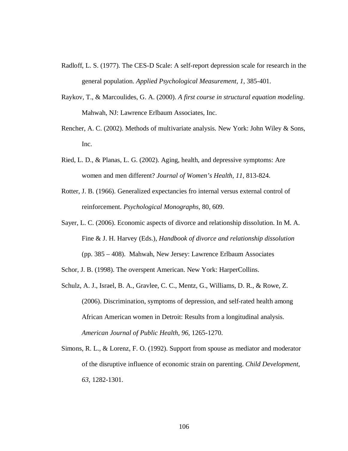- Radloff, L. S. (1977). The CES-D Scale: A self-report depression scale for research in the general population. *Applied Psychological Measurement, 1,* 385-401.
- Raykov, T., & Marcoulides, G. A. (2000). *A first course in structural equation modeling*. Mahwah, NJ: Lawrence Erlbaum Associates, Inc.
- Rencher, A. C. (2002). Methods of multivariate analysis. New York: John Wiley & Sons, Inc.
- Ried, L. D., & Planas, L. G. (2002). Aging, health, and depressive symptoms: Are women and men different? *Journal of Women's Health, 11,* 813-824.
- Rotter, J. B. (1966). Generalized expectancies fro internal versus external control of reinforcement. *Psychological Monographs,* 80, 609.
- Sayer, L. C. (2006). Economic aspects of divorce and relationship dissolution. In M. A. Fine & J. H. Harvey (Eds.), *Handbook of divorce and relationship dissolution* (pp. 385 – 408). Mahwah, New Jersey: Lawrence Erlbaum Associates
- Schor, J. B. (1998). The overspent American. New York: HarperCollins.
- Schulz, A. J., Israel, B. A., Gravlee, C. C., Mentz, G., Williams, D. R., & Rowe, Z. (2006). Discrimination, symptoms of depression, and self-rated health among African American women in Detroit: Results from a longitudinal analysis. *American Journal of Public Health, 96,* 1265-1270.
- Simons, R. L., & Lorenz, F. O. (1992). Support from spouse as mediator and moderator of the disruptive influence of economic strain on parenting. *Child Development, 63,* 1282-1301.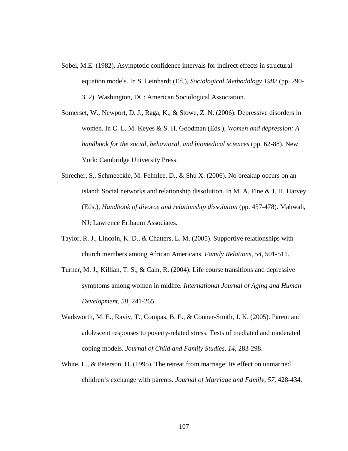- Sobel, M.E. (1982). Asymptotic confidence intervals for indirect effects in structural equation models. In S. Leinhardt (Ed.), *Sociological Methodology 1982* (pp. 290- 312). Washington, DC: American Sociological Association.
- Somerset, W., Newport, D. J., Raga, K., & Stowe, Z. N. (2006). Depressive disorders in women. In C. L. M. Keyes & S. H. Goodman (Eds.), *Women and depression: A handbook for the social, behavioral, and biomedical sciences* (pp. 62-88). New York: Cambridge University Press.
- Sprecher, S., Schmeeckle, M. Felmlee, D., & Shu X. (2006). No breakup occurs on an island: Social networks and relationship dissolution. In M. A. Fine & J. H. Harvey (Eds.), *Handbook of divorce and relationship dissolution* (pp. 457-478). Mahwah, NJ: Lawrence Erlbaum Associates.
- Taylor, R. J., Lincoln, K. D., & Chatters, L. M. (2005). Supportive relationships with church members among African Americans. *Family Relations, 54*, 501-511.
- Turner, M. J., Killian, T. S., & Cain, R. (2004). Life course transitions and depressive symptoms among women in midlife*. International Journal of Aging and Human Development, 58,* 241-265.
- Wadsworth, M. E., Raviv, T., Compas, B. E., & Conner-Smith, J. K. (2005). Parent and adolescent responses to poverty-related stress: Tests of mediated and moderated coping models. *Journal of Child and Family Studies, 14*, 283-298.
- White, L., & Peterson, D. (1995). The retreat from marriage: Its effect on unmarried children's exchange with parents. *Journal of Marriage and Family, 57*, 428-434.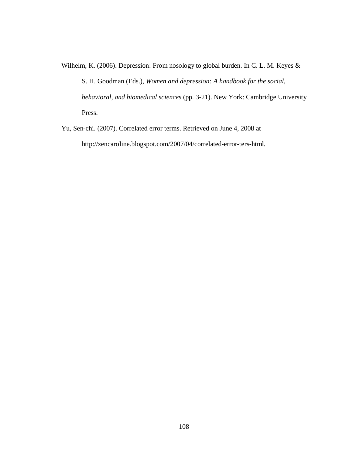Wilhelm, K. (2006). Depression: From nosology to global burden. In C. L. M. Keyes & S. H. Goodman (Eds.), *Women and depression: A handbook for the social, behavioral, and biomedical sciences* (pp. 3-21). New York: Cambridge University Press.

Yu, Sen-chi. (2007). Correlated error terms. Retrieved on June 4, 2008 at http://zencaroline.blogspot.com/2007/04/correlated-error-ters-html.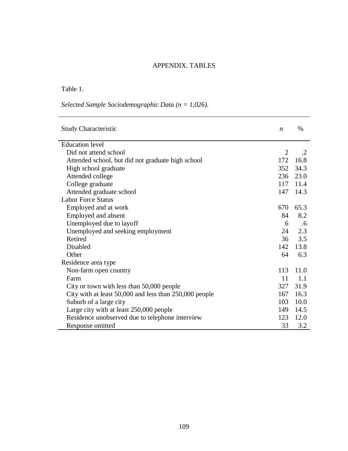### APPENDIX. TABLES

## Table 1.

|  | Selected Sample Sociodemographic Data ( $n = 1,026$ ). |  |
|--|--------------------------------------------------------|--|
|--|--------------------------------------------------------|--|

| <b>Study Characteristic</b>                            | $\boldsymbol{n}$ | $\%$             |
|--------------------------------------------------------|------------------|------------------|
| <b>Education</b> level                                 |                  |                  |
| Did not attend school                                  | $\overline{2}$   | $\cdot$ .2       |
| Attended school, but did not graduate high school      | 172              | 16.8             |
| High school graduate                                   |                  | 352 34.3         |
| Attended college                                       |                  | 236 23.0         |
| College graduate                                       | 117              | 11.4             |
| Attended graduate school                               | 147              | 14.3             |
| <b>Labor Force Status</b>                              |                  |                  |
| Employed and at work                                   | 670              | 65.3             |
| Employed and absent                                    | 84               | 8.2              |
| Unemployed due to layoff                               | 6                | .6               |
| Unemployed and seeking employment                      | 24               | 2.3              |
| Retired                                                | 36               | 3.5              |
| Disabled                                               | 142              | 13.8             |
| Other                                                  | 64               | 6.3              |
| Residence area type                                    |                  |                  |
| Non-farm open country                                  | 113              | 11.0             |
| Farm                                                   | 11               | $\overline{1.1}$ |
| City or town with less than 50,000 people              | 327              | 31.9             |
| City with at least 50,000 and less than 250,000 people | 167              | 16.3             |
| Suburb of a large city                                 | 103              | 10.0             |
| Large city with at least 250,000 people                | 149              | 14.5             |
| Residence unobserved due to telephone interview        | 123              | 12.0             |
| Response omitted                                       | 33               | 3.2              |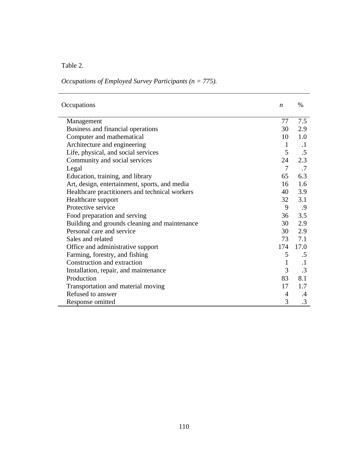Table 2.

# *Occupations of Employed Survey Participants (n = 775).*

| Occupations                                    | $\boldsymbol{n}$ | $\%$      |
|------------------------------------------------|------------------|-----------|
| Management                                     | 77               | 7.5       |
| Business and financial operations              | 30               | 2.9       |
| Computer and mathematical                      | 10               | 1.0       |
| Architecture and engineering                   | $\mathbf{1}$     | $\cdot$   |
| Life, physical, and social services            | 5                | .5        |
| Community and social services                  | 24               | 2.3       |
| Legal                                          | $\tau$           | .7        |
| Education, training, and library               | 65               | 6.3       |
| Art, design, entertainment, sports, and media  | 16               | 1.6       |
| Healthcare practitioners and technical workers | 40               | 3.9       |
| Healthcare support                             | 32               | 3.1       |
| Protective service                             | 9                | .9        |
| Food preparation and serving                   | 36               | 3.5       |
| Building and grounds cleaning and maintenance  | 30               | 2.9       |
| Personal care and service                      | 30               | 2.9       |
| Sales and related                              | 73               | 7.1       |
| Office and administrative support              | 174              | 17.0      |
| Farming, forestry, and fishing                 | 5                | .5        |
| Construction and extraction                    | $\mathbf{1}$     | $\cdot$ 1 |
| Installation, repair, and maintenance          | 3                | $\cdot$ 3 |
| Production                                     | 83               | 8.1       |
| Transportation and material moving             | 17               | 1.7       |
| Refused to answer                              | 4                | $\cdot$   |
| Response omitted                               | 3                | .3        |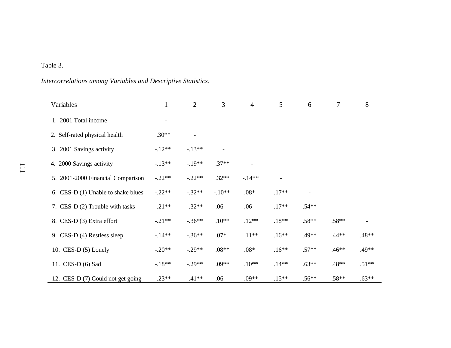# Table 3.

# *Intercorrelations among Variables and Descriptive Statistics.*

| Variables                          | $\mathbf{1}$             | 2        | 3        | $\overline{4}$ | 5       | 6       | $\overline{7}$ | 8       |
|------------------------------------|--------------------------|----------|----------|----------------|---------|---------|----------------|---------|
| 1. 2001 Total income               | $\overline{\phantom{a}}$ |          |          |                |         |         |                |         |
| 2. Self-rated physical health      | $.30**$                  |          |          |                |         |         |                |         |
| 3. 2001 Savings activity           | $-12**$                  | $-.13**$ |          |                |         |         |                |         |
| 4. 2000 Savings activity           | $-13**$                  | $-.19**$ | $.37**$  |                |         |         |                |         |
| 5. 2001-2000 Financial Comparison  | $-.22**$                 | $-.22**$ | $.32**$  | $-14**$        |         |         |                |         |
| 6. CES-D (1) Unable to shake blues | $-.22**$                 | $-.32**$ | $-.10**$ | $.08*$         | $.17**$ |         |                |         |
| 7. CES-D (2) Trouble with tasks    | $-.21**$                 | $-.32**$ | .06      | .06            | $.17**$ | $.54**$ |                |         |
| 8. CES-D (3) Extra effort          | $-.21**$                 | $-.36**$ | $.10**$  | $.12**$        | $.18**$ | $.58**$ | $.58**$        |         |
| 9. CES-D (4) Restless sleep        | $-14**$                  | $-.36**$ | $.07*$   | $.11**$        | $.16**$ | $.49**$ | $.44**$        | $.48**$ |
| 10. CES-D $(5)$ Lonely             | $-.20**$                 | $-.29**$ | $.08**$  | $.08*$         | $.16**$ | $.57**$ | $.46**$        | $.49**$ |
| 11. CES-D (6) Sad                  | $-18**$                  | $-.29**$ | $.09**$  | $.10**$        | $.14**$ | $.63**$ | $.48**$        | $.51**$ |
| 12. CES-D (7) Could not get going  | $-.23**$                 | $-41**$  | .06      | $.09**$        | $.15**$ | $.56**$ | $.58**$        | $.63**$ |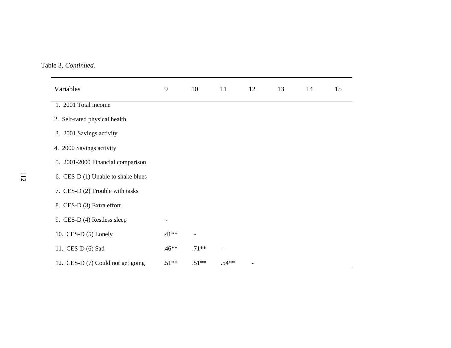Table 3, *Continued.*

| Variables                          | 9                        | 10      | 11             | 12             | 13 | 14 |
|------------------------------------|--------------------------|---------|----------------|----------------|----|----|
| 1. 2001 Total income               |                          |         |                |                |    |    |
| 2. Self-rated physical health      |                          |         |                |                |    |    |
| 3. 2001 Savings activity           |                          |         |                |                |    |    |
| 4. 2000 Savings activity           |                          |         |                |                |    |    |
| 5. 2001-2000 Financial comparison  |                          |         |                |                |    |    |
| 6. CES-D (1) Unable to shake blues |                          |         |                |                |    |    |
| 7. CES-D (2) Trouble with tasks    |                          |         |                |                |    |    |
| 8. CES-D (3) Extra effort          |                          |         |                |                |    |    |
| 9. CES-D (4) Restless sleep        | $\overline{\phantom{a}}$ |         |                |                |    |    |
| 10. CES-D $(5)$ Lonely             | $.41**$                  |         |                |                |    |    |
| 11. CES-D (6) Sad                  | $.46**$                  | $.71**$ | $\overline{a}$ |                |    |    |
| 12. CES-D (7) Could not get going  | $.51**$                  | $.51**$ | $.54**$        | $\overline{a}$ |    |    |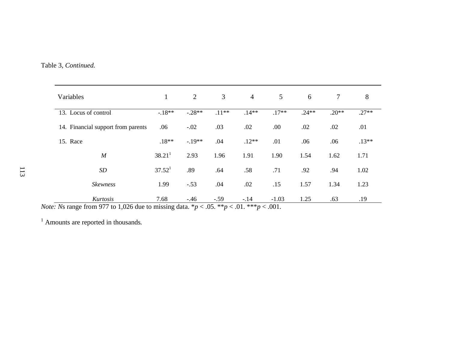| Variables                          | 1                       | $\overline{2}$ | 3                         | $\overline{4}$         | 5               | 6       | $\tau$  | 8       |
|------------------------------------|-------------------------|----------------|---------------------------|------------------------|-----------------|---------|---------|---------|
| 13. Locus of control               | $-18**$                 | $-.28**$       | $.11**$                   | $.14**$                | $.17**$         | $.24**$ | $.20**$ | $.27**$ |
| 14. Financial support from parents | .06                     | $-.02$         | .03                       | .02                    | .00             | .02     | .02     | .01     |
| 15. Race                           | $.18**$                 | $-19**$        | .04                       | $.12**$                | .01             | .06     | .06     | $.13**$ |
| $\boldsymbol{M}$                   | 38.21 <sup>1</sup>      | 2.93           | 1.96                      | 1.91                   | 1.90            | 1.54    | 1.62    | 1.71    |
| SD                                 | 37.52 <sup>1</sup>      | .89            | .64                       | .58                    | .71             | .92     | .94     | 1.02    |
| <b>Skewness</b>                    | 1.99                    | $-.53$         | .04                       | .02                    | .15             | 1.57    | 1.34    | 1.23    |
| Kurtosis                           | 7.68<br>$\cdot$ $\cdot$ | $-.46$         | $-.59$<br>$\alpha = 0.01$ | $-.14$<br>$A = 0.0000$ | $-1.03$<br>0.04 | 1.25    | .63     | .19     |

*Note: Ns* range from 977 to 1,026 due to missing data.  $* p < .05$ .  $* p < .01$ .  $* * p < .001$ .

<sup>1</sup> Amounts are reported in thousands*.*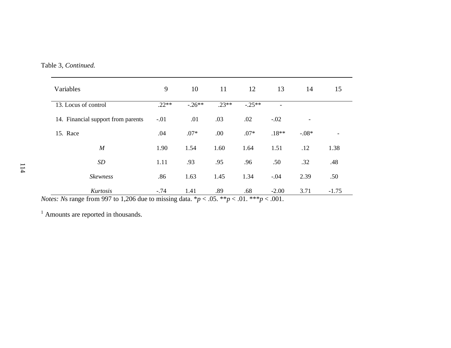Table 3, *Continued.*

| Variables                                                                                                                                                               | 9       | 10       | 11      | 12       | 13                       | 14      | 15      |
|-------------------------------------------------------------------------------------------------------------------------------------------------------------------------|---------|----------|---------|----------|--------------------------|---------|---------|
| 13. Locus of control                                                                                                                                                    | $.22**$ | $-.26**$ | $.23**$ | $-.25**$ | $\overline{\phantom{0}}$ |         |         |
| 14. Financial support from parents                                                                                                                                      | $-.01$  | .01      | .03     | .02      | $-.02$                   |         |         |
| 15. Race                                                                                                                                                                | .04     | $.07*$   | .00     | $.07*$   | $.18**$                  | $-.08*$ |         |
| $\boldsymbol{M}$                                                                                                                                                        | 1.90    | 1.54     | 1.60    | 1.64     | 1.51                     | .12     | 1.38    |
| SD                                                                                                                                                                      | 1.11    | .93      | .95     | .96      | .50                      | .32     | .48     |
| <b>Skewness</b>                                                                                                                                                         | .86     | 1.63     | 1.45    | 1.34     | $-.04$                   | 2.39    | .50     |
| Kurtosis<br>$\lambda_{\text{tot}}$ Me negate from 007 to 1.006 due to missing data $\lambda_{\text{tot}}$ / 05 $\lambda_{\text{tot}}$ / 01 $\lambda_{\text{tot}}$ / 001 | $-.74$  | 1.41     | .89     | .68      | $-2.00$                  | 3.71    | $-1.75$ |

*Notes: Ns* range from 997 to 1,206 due to missing data.  $* p < .05$ .  $* p < .01$ .  $* * p < .001$ .

<sup>1</sup> Amounts are reported in thousands.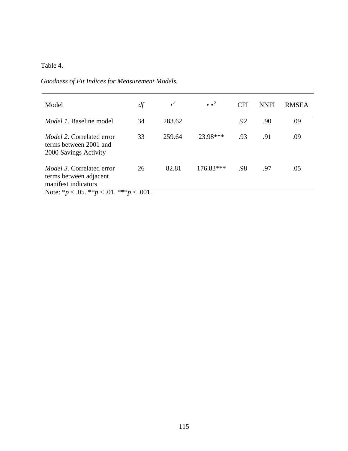Table 4.

| Model                                                                                                                                    | df | $\cdot^2$ | $\bullet$ $\bullet$ <sup>2</sup> | <b>CFI</b> | <b>NNFI</b> | <b>RMSEA</b> |
|------------------------------------------------------------------------------------------------------------------------------------------|----|-----------|----------------------------------|------------|-------------|--------------|
| <i>Model 1</i> . Baseline model                                                                                                          | 34 | 283.62    |                                  | .92        | .90         | .09          |
| <i>Model 2.</i> Correlated error<br>terms between 2001 and<br>2000 Savings Activity                                                      | 33 | 259.64    | 23.98***                         | .93        | .91         | .09          |
| <i>Model 3.</i> Correlated error<br>terms between adjacent<br>manifest indicators<br>Note: * $p < .05$ . ** $p < .01$ . *** $p < .001$ . | 26 | 82.81     | $176.83***$                      | .98        | .97         | .05          |

*Goodness of Fit Indices for Measurement Models.*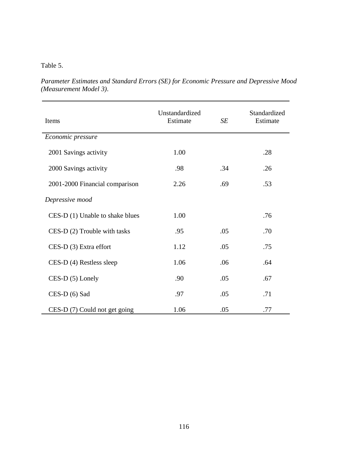#### Table 5.

*Parameter Estimates and Standard Errors (SE) for Economic Pressure and Depressive Mood (Measurement Model 3)*.

| Items                          | Unstandardized<br>Estimate | SE  | Standardized<br>Estimate |
|--------------------------------|----------------------------|-----|--------------------------|
| Economic pressure              |                            |     |                          |
| 2001 Savings activity          | 1.00                       |     | .28                      |
| 2000 Savings activity          | .98                        | .34 | .26                      |
| 2001-2000 Financial comparison | 2.26                       | .69 | .53                      |
| Depressive mood                |                            |     |                          |
| CES-D(1) Unable to shake blues | 1.00                       |     | .76                      |
| CES-D (2) Trouble with tasks   | .95                        | .05 | .70                      |
| CES-D (3) Extra effort         | 1.12                       | .05 | .75                      |
| CES-D (4) Restless sleep       | 1.06                       | .06 | .64                      |
| CES-D (5) Lonely               | .90                        | .05 | .67                      |
| $CES-D(6)$ Sad                 | .97                        | .05 | .71                      |
| CES-D (7) Could not get going  | 1.06                       | .05 | .77                      |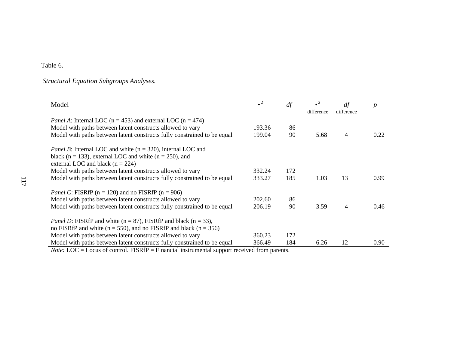### Table 6.

# *Structural Equation Subgroups Analyses.*

| Model                                                                                                                                                                            | $\cdot^2$ | df  | $\bullet$<br>difference | df<br>difference | $\boldsymbol{p}$ |
|----------------------------------------------------------------------------------------------------------------------------------------------------------------------------------|-----------|-----|-------------------------|------------------|------------------|
| <i>Panel A</i> : Internal LOC ( $n = 453$ ) and external LOC ( $n = 474$ )                                                                                                       |           |     |                         |                  |                  |
| Model with paths between latent constructs allowed to vary                                                                                                                       | 193.36    | 86  |                         |                  |                  |
| Model with paths between latent constructs fully constrained to be equal                                                                                                         | 199.04    | 90  | 5.68                    | 4                | 0.22             |
| <i>Panel B</i> : Internal LOC and white $(n = 320)$ , internal LOC and<br>black ( $n = 133$ ), external LOC and white ( $n = 250$ ), and<br>external LOC and black ( $n = 224$ ) |           |     |                         |                  |                  |
| Model with paths between latent constructs allowed to vary                                                                                                                       | 332.24    | 172 |                         |                  |                  |
| Model with paths between latent constructs fully constrained to be equal                                                                                                         | 333.27    | 185 | 1.03                    | 13               | 0.99             |
| <i>Panel C</i> : FISRfP ( $n = 120$ ) and no FISRfP ( $n = 906$ )                                                                                                                |           |     |                         |                  |                  |
| Model with paths between latent constructs allowed to vary                                                                                                                       | 202.60    | 86  |                         |                  |                  |
| Model with paths between latent constructs fully constrained to be equal                                                                                                         | 206.19    | 90  | 3.59                    | 4                | 0.46             |
| <i>Panel D</i> : FISRfP and white ( $n = 87$ ), FISRfP and black ( $n = 33$ ),<br>no FISRfP and white ( $n = 550$ ), and no FISRfP and black ( $n = 356$ )                       |           |     |                         |                  |                  |
| Model with paths between latent constructs allowed to vary                                                                                                                       | 360.23    | 172 |                         |                  |                  |
| Model with paths between latent constructs fully constrained to be equal                                                                                                         | 366.49    | 184 | 6.26                    | 12               | 0.90             |

*Note:* LOC = Locus of control. FISRfP = Financial instrumental support received from parents.